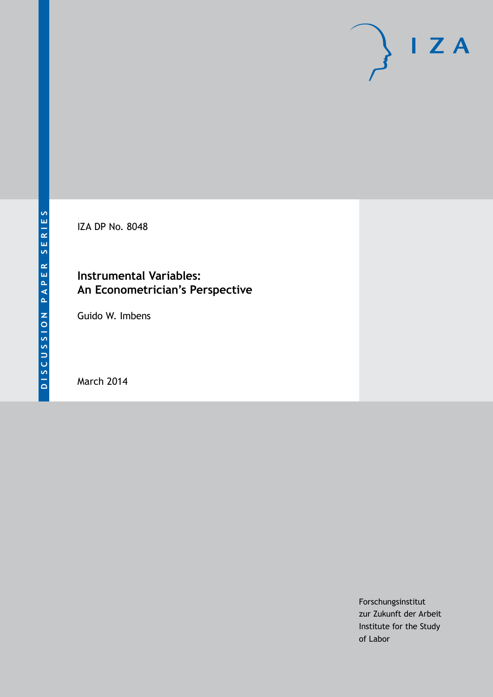IZA DP No. 8048

# **Instrumental Variables: An Econometrician's Perspective**

Guido W. Imbens

March 2014

Forschungsinstitut zur Zukunft der Arbeit Institute for the Study of Labor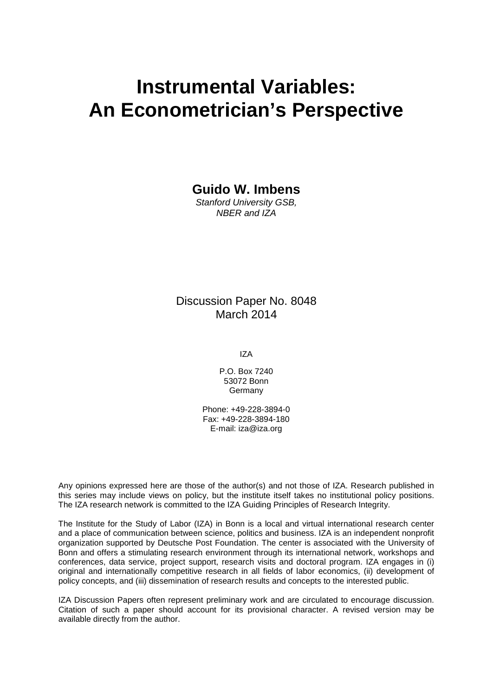# **Instrumental Variables: An Econometrician's Perspective**

**Guido W. Imbens**

*Stanford University GSB, NBER and IZA*

# Discussion Paper No. 8048 March 2014

IZA

P.O. Box 7240 53072 Bonn **Germany** 

Phone: +49-228-3894-0 Fax: +49-228-3894-180 E-mail: [iza@iza.org](mailto:iza@iza.org)

Any opinions expressed here are those of the author(s) and not those of IZA. Research published in this series may include views on policy, but the institute itself takes no institutional policy positions. The IZA research network is committed to the IZA Guiding Principles of Research Integrity.

The Institute for the Study of Labor (IZA) in Bonn is a local and virtual international research center and a place of communication between science, politics and business. IZA is an independent nonprofit organization supported by Deutsche Post Foundation. The center is associated with the University of Bonn and offers a stimulating research environment through its international network, workshops and conferences, data service, project support, research visits and doctoral program. IZA engages in (i) original and internationally competitive research in all fields of labor economics, (ii) development of policy concepts, and (iii) dissemination of research results and concepts to the interested public.

<span id="page-1-0"></span>IZA Discussion Papers often represent preliminary work and are circulated to encourage discussion. Citation of such a paper should account for its provisional character. A revised version may be available directly from the author.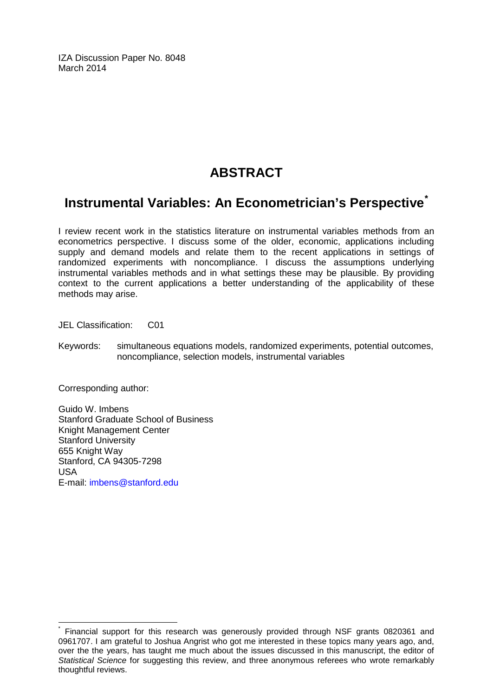IZA Discussion Paper No. 8048 March 2014

# **ABSTRACT**

# **Instrumental Variables: An Econometrician's Perspective[\\*](#page-1-0)**

I review recent work in the statistics literature on instrumental variables methods from an econometrics perspective. I discuss some of the older, economic, applications including supply and demand models and relate them to the recent applications in settings of randomized experiments with noncompliance. I discuss the assumptions underlying instrumental variables methods and in what settings these may be plausible. By providing context to the current applications a better understanding of the applicability of these methods may arise.

JEL Classification: C01

Keywords: simultaneous equations models, randomized experiments, potential outcomes, noncompliance, selection models, instrumental variables

Corresponding author:

Guido W. Imbens Stanford Graduate School of Business Knight Management Center Stanford University 655 Knight Way Stanford, CA 94305-7298 USA E-mail: [imbens@stanford.edu](mailto:imbens@stanford.edu)

Financial support for this research was generously provided through NSF grants 0820361 and 0961707. I am grateful to Joshua Angrist who got me interested in these topics many years ago, and, over the the years, has taught me much about the issues discussed in this manuscript, the editor of *Statistical Science* for suggesting this review, and three anonymous referees who wrote remarkably thoughtful reviews.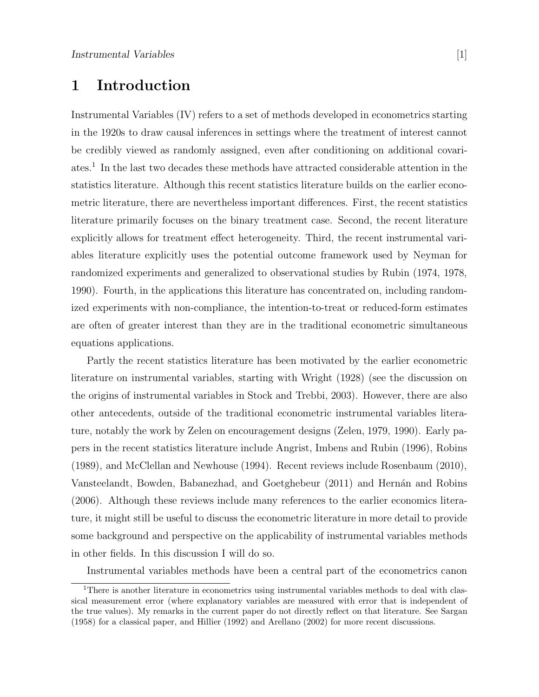# 1 Introduction

Instrumental Variables (IV) refers to a set of methods developed in econometrics starting in the 1920s to draw causal inferences in settings where the treatment of interest cannot be credibly viewed as randomly assigned, even after conditioning on additional covariates.<sup>1</sup> In the last two decades these methods have attracted considerable attention in the statistics literature. Although this recent statistics literature builds on the earlier econometric literature, there are nevertheless important differences. First, the recent statistics literature primarily focuses on the binary treatment case. Second, the recent literature explicitly allows for treatment effect heterogeneity. Third, the recent instrumental variables literature explicitly uses the potential outcome framework used by Neyman for randomized experiments and generalized to observational studies by Rubin (1974, 1978, 1990). Fourth, in the applications this literature has concentrated on, including randomized experiments with non-compliance, the intention-to-treat or reduced-form estimates are often of greater interest than they are in the traditional econometric simultaneous equations applications.

Partly the recent statistics literature has been motivated by the earlier econometric literature on instrumental variables, starting with Wright (1928) (see the discussion on the origins of instrumental variables in Stock and Trebbi, 2003). However, there are also other antecedents, outside of the traditional econometric instrumental variables literature, notably the work by Zelen on encouragement designs (Zelen, 1979, 1990). Early papers in the recent statistics literature include Angrist, Imbens and Rubin (1996), Robins (1989), and McClellan and Newhouse (1994). Recent reviews include Rosenbaum (2010), Vansteelandt, Bowden, Babanezhad, and Goetghebeur (2011) and Hernán and Robins (2006). Although these reviews include many references to the earlier economics literature, it might still be useful to discuss the econometric literature in more detail to provide some background and perspective on the applicability of instrumental variables methods in other fields. In this discussion I will do so.

Instrumental variables methods have been a central part of the econometrics canon

<sup>&</sup>lt;sup>1</sup>There is another literature in econometrics using instrumental variables methods to deal with classical measurement error (where explanatory variables are measured with error that is independent of the true values). My remarks in the current paper do not directly reflect on that literature. See Sargan (1958) for a classical paper, and Hillier (1992) and Arellano (2002) for more recent discussions.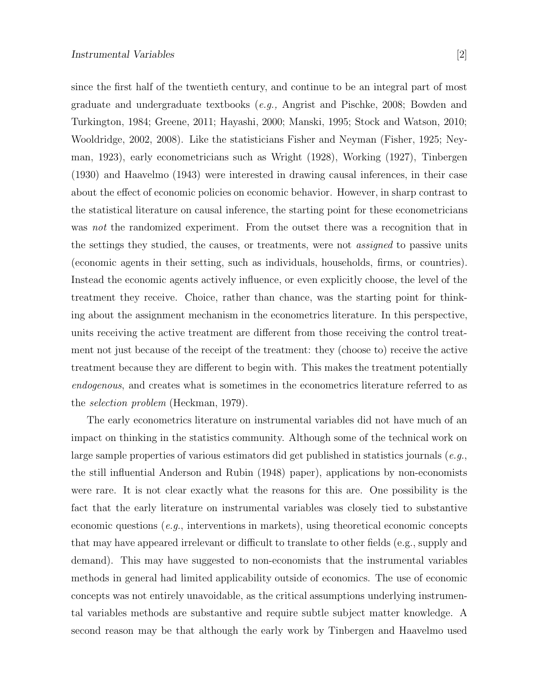since the first half of the twentieth century, and continue to be an integral part of most graduate and undergraduate textbooks (e.g., Angrist and Pischke, 2008; Bowden and Turkington, 1984; Greene, 2011; Hayashi, 2000; Manski, 1995; Stock and Watson, 2010; Wooldridge, 2002, 2008). Like the statisticians Fisher and Neyman (Fisher, 1925; Neyman, 1923), early econometricians such as Wright (1928), Working (1927), Tinbergen (1930) and Haavelmo (1943) were interested in drawing causal inferences, in their case about the effect of economic policies on economic behavior. However, in sharp contrast to the statistical literature on causal inference, the starting point for these econometricians was *not* the randomized experiment. From the outset there was a recognition that in the settings they studied, the causes, or treatments, were not *assigned* to passive units (economic agents in their setting, such as individuals, households, firms, or countries). Instead the economic agents actively influence, or even explicitly choose, the level of the treatment they receive. Choice, rather than chance, was the starting point for thinking about the assignment mechanism in the econometrics literature. In this perspective, units receiving the active treatment are different from those receiving the control treatment not just because of the receipt of the treatment: they (choose to) receive the active treatment because they are different to begin with. This makes the treatment potentially endogenous, and creates what is sometimes in the econometrics literature referred to as the selection problem (Heckman, 1979).

The early econometrics literature on instrumental variables did not have much of an impact on thinking in the statistics community. Although some of the technical work on large sample properties of various estimators did get published in statistics journals (e.g., the still influential Anderson and Rubin (1948) paper), applications by non-economists were rare. It is not clear exactly what the reasons for this are. One possibility is the fact that the early literature on instrumental variables was closely tied to substantive economic questions (e.g., interventions in markets), using theoretical economic concepts that may have appeared irrelevant or difficult to translate to other fields (e.g., supply and demand). This may have suggested to non-economists that the instrumental variables methods in general had limited applicability outside of economics. The use of economic concepts was not entirely unavoidable, as the critical assumptions underlying instrumental variables methods are substantive and require subtle subject matter knowledge. A second reason may be that although the early work by Tinbergen and Haavelmo used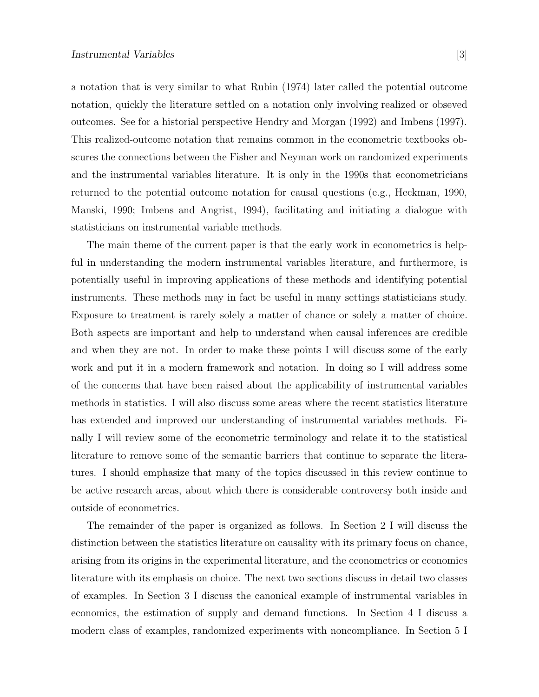a notation that is very similar to what Rubin (1974) later called the potential outcome notation, quickly the literature settled on a notation only involving realized or obseved outcomes. See for a historial perspective Hendry and Morgan (1992) and Imbens (1997). This realized-outcome notation that remains common in the econometric textbooks obscures the connections between the Fisher and Neyman work on randomized experiments and the instrumental variables literature. It is only in the 1990s that econometricians returned to the potential outcome notation for causal questions (e.g., Heckman, 1990, Manski, 1990; Imbens and Angrist, 1994), facilitating and initiating a dialogue with statisticians on instrumental variable methods.

The main theme of the current paper is that the early work in econometrics is helpful in understanding the modern instrumental variables literature, and furthermore, is potentially useful in improving applications of these methods and identifying potential instruments. These methods may in fact be useful in many settings statisticians study. Exposure to treatment is rarely solely a matter of chance or solely a matter of choice. Both aspects are important and help to understand when causal inferences are credible and when they are not. In order to make these points I will discuss some of the early work and put it in a modern framework and notation. In doing so I will address some of the concerns that have been raised about the applicability of instrumental variables methods in statistics. I will also discuss some areas where the recent statistics literature has extended and improved our understanding of instrumental variables methods. Finally I will review some of the econometric terminology and relate it to the statistical literature to remove some of the semantic barriers that continue to separate the literatures. I should emphasize that many of the topics discussed in this review continue to be active research areas, about which there is considerable controversy both inside and outside of econometrics.

The remainder of the paper is organized as follows. In Section 2 I will discuss the distinction between the statistics literature on causality with its primary focus on chance, arising from its origins in the experimental literature, and the econometrics or economics literature with its emphasis on choice. The next two sections discuss in detail two classes of examples. In Section 3 I discuss the canonical example of instrumental variables in economics, the estimation of supply and demand functions. In Section 4 I discuss a modern class of examples, randomized experiments with noncompliance. In Section 5 I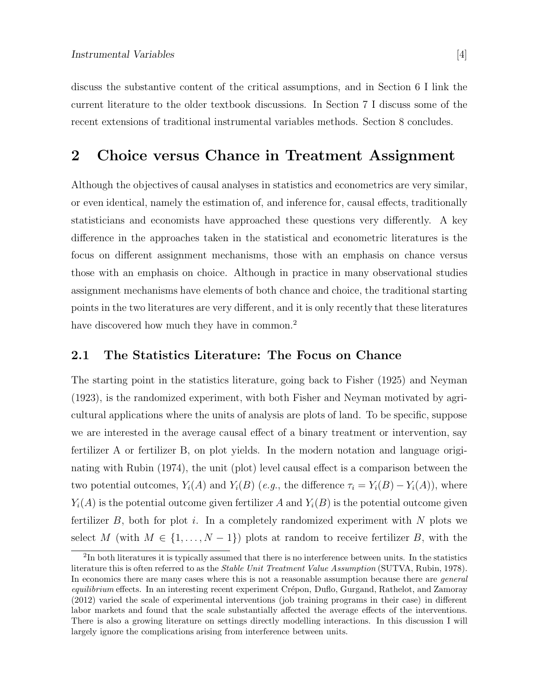discuss the substantive content of the critical assumptions, and in Section 6 I link the current literature to the older textbook discussions. In Section 7 I discuss some of the recent extensions of traditional instrumental variables methods. Section 8 concludes.

# 2 Choice versus Chance in Treatment Assignment

Although the objectives of causal analyses in statistics and econometrics are very similar, or even identical, namely the estimation of, and inference for, causal effects, traditionally statisticians and economists have approached these questions very differently. A key difference in the approaches taken in the statistical and econometric literatures is the focus on different assignment mechanisms, those with an emphasis on chance versus those with an emphasis on choice. Although in practice in many observational studies assignment mechanisms have elements of both chance and choice, the traditional starting points in the two literatures are very different, and it is only recently that these literatures have discovered how much they have in common.<sup>2</sup>

### 2.1 The Statistics Literature: The Focus on Chance

The starting point in the statistics literature, going back to Fisher (1925) and Neyman (1923), is the randomized experiment, with both Fisher and Neyman motivated by agricultural applications where the units of analysis are plots of land. To be specific, suppose we are interested in the average causal effect of a binary treatment or intervention, say fertilizer A or fertilizer B, on plot yields. In the modern notation and language originating with Rubin (1974), the unit (plot) level causal effect is a comparison between the two potential outcomes,  $Y_i(A)$  and  $Y_i(B)$  (e.g., the difference  $\tau_i = Y_i(B) - Y_i(A)$ ), where  $Y_i(A)$  is the potential outcome given fertilizer A and  $Y_i(B)$  is the potential outcome given fertilizer  $B$ , both for plot i. In a completely randomized experiment with N plots we select  $M$  (with  $M \in \{1, ..., N-1\}$ ) plots at random to receive fertilizer B, with the

<sup>&</sup>lt;sup>2</sup>In both literatures it is typically assumed that there is no interference between units. In the statistics literature this is often referred to as the *Stable Unit Treatment Value Assumption* (SUTVA, Rubin, 1978). In economics there are many cases where this is not a reasonable assumption because there are *general* equilibrium effects. In an interesting recent experiment Crépon, Duflo, Gurgand, Rathelot, and Zamoray (2012) varied the scale of experimental interventions (job training programs in their case) in different labor markets and found that the scale substantially affected the average effects of the interventions. There is also a growing literature on settings directly modelling interactions. In this discussion I will largely ignore the complications arising from interference between units.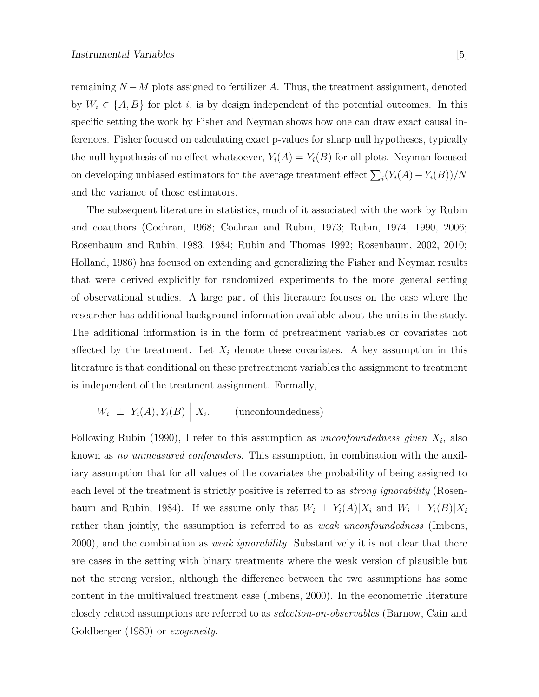remaining  $N-M$  plots assigned to fertilizer A. Thus, the treatment assignment, denoted by  $W_i \in \{A, B\}$  for plot i, is by design independent of the potential outcomes. In this specific setting the work by Fisher and Neyman shows how one can draw exact causal inferences. Fisher focused on calculating exact p-values for sharp null hypotheses, typically the null hypothesis of no effect whatsoever,  $Y_i(A) = Y_i(B)$  for all plots. Neyman focused on developing unbiased estimators for the average treatment effect  $\sum_i (Y_i(A) - Y_i(B))/N$ and the variance of those estimators.

The subsequent literature in statistics, much of it associated with the work by Rubin and coauthors (Cochran, 1968; Cochran and Rubin, 1973; Rubin, 1974, 1990, 2006; Rosenbaum and Rubin, 1983; 1984; Rubin and Thomas 1992; Rosenbaum, 2002, 2010; Holland, 1986) has focused on extending and generalizing the Fisher and Neyman results that were derived explicitly for randomized experiments to the more general setting of observational studies. A large part of this literature focuses on the case where the researcher has additional background information available about the units in the study. The additional information is in the form of pretreatment variables or covariates not affected by the treatment. Let  $X_i$  denote these covariates. A key assumption in this literature is that conditional on these pretreatment variables the assignment to treatment is independent of the treatment assignment. Formally,

 $W_i \perp Y_i(A), Y_i(B) \mid X_i$ . (unconfoundedness)

Following Rubin (1990), I refer to this assumption as *unconfoundedness given*  $X_i$ , also known as no unmeasured confounders. This assumption, in combination with the auxiliary assumption that for all values of the covariates the probability of being assigned to each level of the treatment is strictly positive is referred to as *strong ignorability* (Rosenbaum and Rubin, 1984). If we assume only that  $W_i \perp Y_i(A)|X_i$  and  $W_i \perp Y_i(B)|X_i$ rather than jointly, the assumption is referred to as *weak unconfoundedness* (Imbens, 2000), and the combination as *weak ignorability*. Substantively it is not clear that there are cases in the setting with binary treatments where the weak version of plausible but not the strong version, although the difference between the two assumptions has some content in the multivalued treatment case (Imbens, 2000). In the econometric literature closely related assumptions are referred to as selection-on-observables (Barnow, Cain and Goldberger (1980) or *exogeneity*.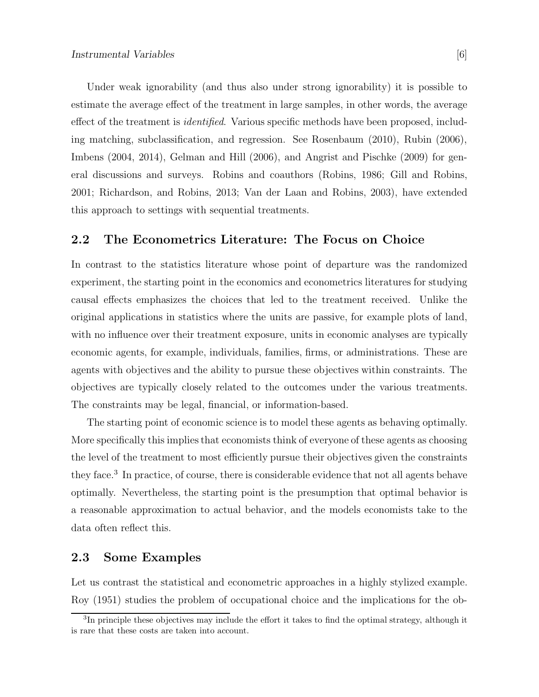Under weak ignorability (and thus also under strong ignorability) it is possible to estimate the average effect of the treatment in large samples, in other words, the average effect of the treatment is *identified*. Various specific methods have been proposed, including matching, subclassification, and regression. See Rosenbaum (2010), Rubin (2006), Imbens (2004, 2014), Gelman and Hill (2006), and Angrist and Pischke (2009) for general discussions and surveys. Robins and coauthors (Robins, 1986; Gill and Robins, 2001; Richardson, and Robins, 2013; Van der Laan and Robins, 2003), have extended this approach to settings with sequential treatments.

# 2.2 The Econometrics Literature: The Focus on Choice

In contrast to the statistics literature whose point of departure was the randomized experiment, the starting point in the economics and econometrics literatures for studying causal effects emphasizes the choices that led to the treatment received. Unlike the original applications in statistics where the units are passive, for example plots of land, with no influence over their treatment exposure, units in economic analyses are typically economic agents, for example, individuals, families, firms, or administrations. These are agents with objectives and the ability to pursue these objectives within constraints. The objectives are typically closely related to the outcomes under the various treatments. The constraints may be legal, financial, or information-based.

The starting point of economic science is to model these agents as behaving optimally. More specifically this implies that economists think of everyone of these agents as choosing the level of the treatment to most efficiently pursue their objectives given the constraints they face.<sup>3</sup> In practice, of course, there is considerable evidence that not all agents behave optimally. Nevertheless, the starting point is the presumption that optimal behavior is a reasonable approximation to actual behavior, and the models economists take to the data often reflect this.

# 2.3 Some Examples

Let us contrast the statistical and econometric approaches in a highly stylized example. Roy (1951) studies the problem of occupational choice and the implications for the ob-

<sup>&</sup>lt;sup>3</sup>In principle these objectives may include the effort it takes to find the optimal strategy, although it is rare that these costs are taken into account.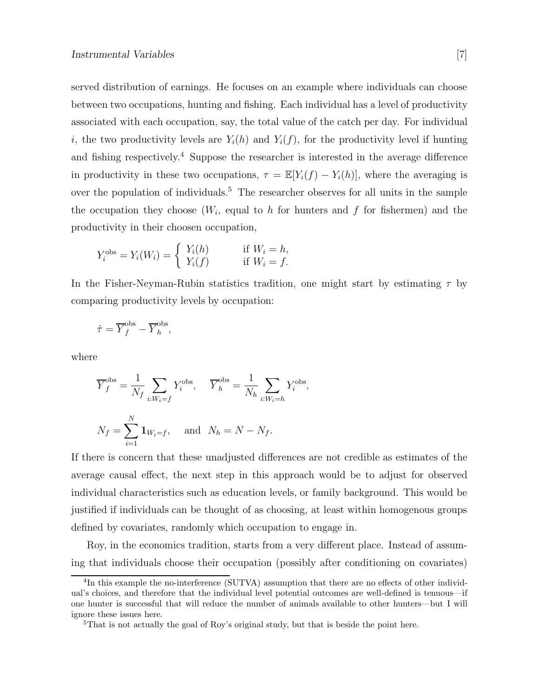served distribution of earnings. He focuses on an example where individuals can choose between two occupations, hunting and fishing. Each individual has a level of productivity associated with each occupation, say, the total value of the catch per day. For individual i, the two productivity levels are  $Y_i(h)$  and  $Y_i(f)$ , for the productivity level if hunting and fishing respectively.<sup>4</sup> Suppose the researcher is interested in the average difference in productivity in these two occupations,  $\tau = \mathbb{E}[Y_i(f) - Y_i(h)]$ , where the averaging is over the population of individuals.<sup>5</sup> The researcher observes for all units in the sample the occupation they choose  $(W_i,$  equal to h for hunters and f for fishermen) and the productivity in their choosen occupation,

$$
Y_i^{\text{obs}} = Y_i(W_i) = \begin{cases} Y_i(h) & \text{if } W_i = h, \\ Y_i(f) & \text{if } W_i = f. \end{cases}
$$

In the Fisher-Neyman-Rubin statistics tradition, one might start by estimating  $\tau$  by comparing productivity levels by occupation:

$$
\hat{\tau} = \overline{Y}_f^{\text{obs}} - \overline{Y}_h^{\text{obs}},
$$

where

$$
\overline{Y}_f^{\text{obs}} = \frac{1}{N_f} \sum_{i:W_i = f} Y_i^{\text{obs}}, \quad \overline{Y}_h^{\text{obs}} = \frac{1}{N_h} \sum_{i:W_i = h} Y_i^{\text{obs}},
$$
  

$$
N_f = \sum_{i=1}^N \mathbf{1}_{W_i = f}, \quad \text{and} \quad N_h = N - N_f.
$$

If there is concern that these unadjusted differences are not credible as estimates of the average causal effect, the next step in this approach would be to adjust for observed individual characteristics such as education levels, or family background. This would be justified if individuals can be thought of as choosing, at least within homogenous groups defined by covariates, randomly which occupation to engage in.

Roy, in the economics tradition, starts from a very different place. Instead of assuming that individuals choose their occupation (possibly after conditioning on covariates)

<sup>&</sup>lt;sup>4</sup>In this example the no-interference (SUTVA) assumption that there are no effects of other individual's choices, and therefore that the individual level potential outcomes are well-defined is tenuous—if one hunter is successful that will reduce the number of animals available to other hunters—but I will ignore these issues here.

<sup>5</sup>That is not actually the goal of Roy's original study, but that is beside the point here.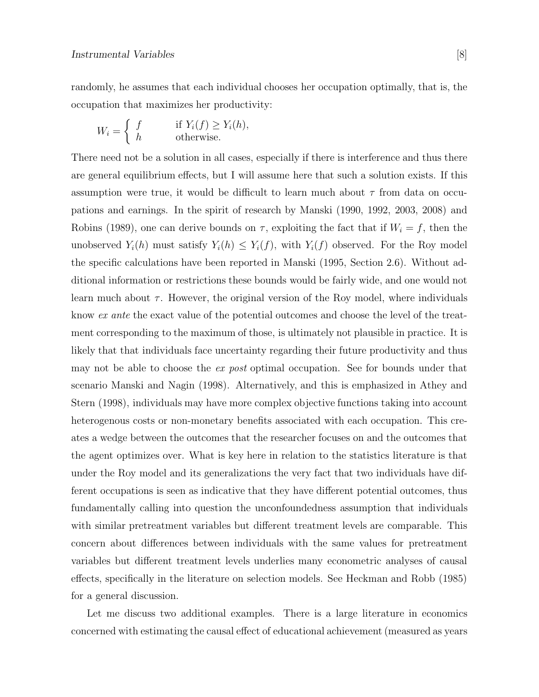randomly, he assumes that each individual chooses her occupation optimally, that is, the occupation that maximizes her productivity:

$$
W_i = \begin{cases} f & \text{if } Y_i(f) \ge Y_i(h), \\ h & \text{otherwise.} \end{cases}
$$

There need not be a solution in all cases, especially if there is interference and thus there are general equilibrium effects, but I will assume here that such a solution exists. If this assumption were true, it would be difficult to learn much about  $\tau$  from data on occupations and earnings. In the spirit of research by Manski (1990, 1992, 2003, 2008) and Robins (1989), one can derive bounds on  $\tau$ , exploiting the fact that if  $W_i = f$ , then the unobserved  $Y_i(h)$  must satisfy  $Y_i(h) \leq Y_i(f)$ , with  $Y_i(f)$  observed. For the Roy model the specific calculations have been reported in Manski (1995, Section 2.6). Without additional information or restrictions these bounds would be fairly wide, and one would not learn much about  $\tau$ . However, the original version of the Roy model, where individuals know ex ante the exact value of the potential outcomes and choose the level of the treatment corresponding to the maximum of those, is ultimately not plausible in practice. It is likely that that individuals face uncertainty regarding their future productivity and thus may not be able to choose the ex post optimal occupation. See for bounds under that scenario Manski and Nagin (1998). Alternatively, and this is emphasized in Athey and Stern (1998), individuals may have more complex objective functions taking into account heterogenous costs or non-monetary benefits associated with each occupation. This creates a wedge between the outcomes that the researcher focuses on and the outcomes that the agent optimizes over. What is key here in relation to the statistics literature is that under the Roy model and its generalizations the very fact that two individuals have different occupations is seen as indicative that they have different potential outcomes, thus fundamentally calling into question the unconfoundedness assumption that individuals with similar pretreatment variables but different treatment levels are comparable. This concern about differences between individuals with the same values for pretreatment variables but different treatment levels underlies many econometric analyses of causal effects, specifically in the literature on selection models. See Heckman and Robb (1985) for a general discussion.

Let me discuss two additional examples. There is a large literature in economics concerned with estimating the causal effect of educational achievement (measured as years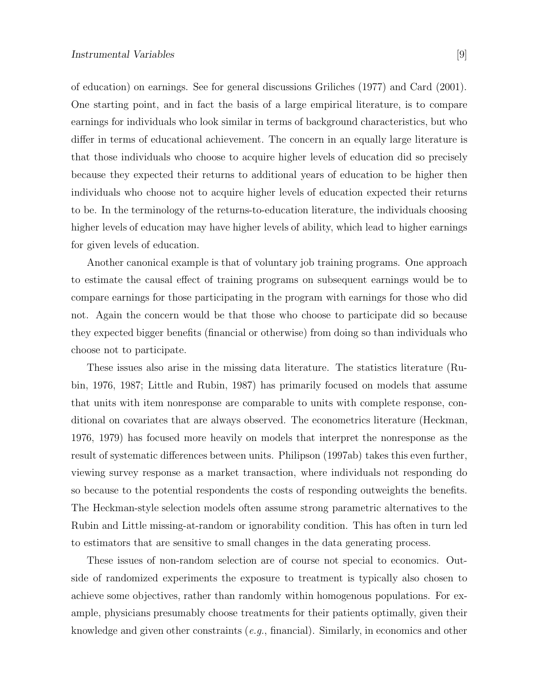of education) on earnings. See for general discussions Griliches (1977) and Card (2001). One starting point, and in fact the basis of a large empirical literature, is to compare earnings for individuals who look similar in terms of background characteristics, but who differ in terms of educational achievement. The concern in an equally large literature is that those individuals who choose to acquire higher levels of education did so precisely because they expected their returns to additional years of education to be higher then individuals who choose not to acquire higher levels of education expected their returns to be. In the terminology of the returns-to-education literature, the individuals choosing higher levels of education may have higher levels of ability, which lead to higher earnings for given levels of education.

Another canonical example is that of voluntary job training programs. One approach to estimate the causal effect of training programs on subsequent earnings would be to compare earnings for those participating in the program with earnings for those who did not. Again the concern would be that those who choose to participate did so because they expected bigger benefits (financial or otherwise) from doing so than individuals who choose not to participate.

These issues also arise in the missing data literature. The statistics literature (Rubin, 1976, 1987; Little and Rubin, 1987) has primarily focused on models that assume that units with item nonresponse are comparable to units with complete response, conditional on covariates that are always observed. The econometrics literature (Heckman, 1976, 1979) has focused more heavily on models that interpret the nonresponse as the result of systematic differences between units. Philipson (1997ab) takes this even further, viewing survey response as a market transaction, where individuals not responding do so because to the potential respondents the costs of responding outweights the benefits. The Heckman-style selection models often assume strong parametric alternatives to the Rubin and Little missing-at-random or ignorability condition. This has often in turn led to estimators that are sensitive to small changes in the data generating process.

These issues of non-random selection are of course not special to economics. Outside of randomized experiments the exposure to treatment is typically also chosen to achieve some objectives, rather than randomly within homogenous populations. For example, physicians presumably choose treatments for their patients optimally, given their knowledge and given other constraints  $(e,q, \text{financial})$ . Similarly, in economics and other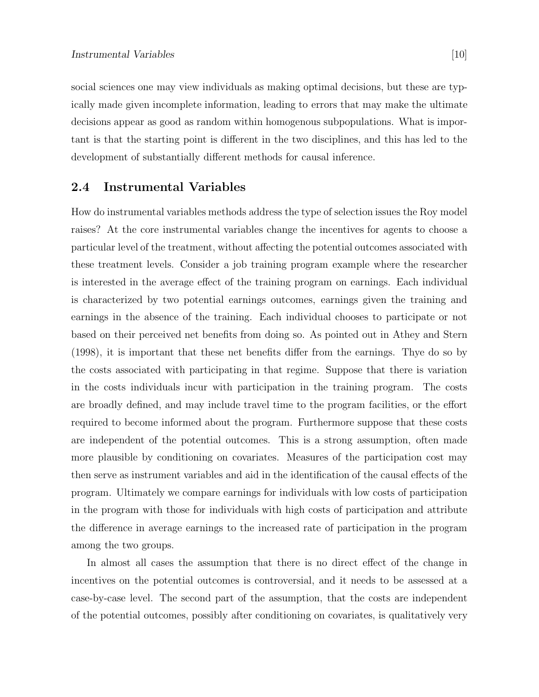social sciences one may view individuals as making optimal decisions, but these are typically made given incomplete information, leading to errors that may make the ultimate decisions appear as good as random within homogenous subpopulations. What is important is that the starting point is different in the two disciplines, and this has led to the development of substantially different methods for causal inference.

# 2.4 Instrumental Variables

How do instrumental variables methods address the type of selection issues the Roy model raises? At the core instrumental variables change the incentives for agents to choose a particular level of the treatment, without affecting the potential outcomes associated with these treatment levels. Consider a job training program example where the researcher is interested in the average effect of the training program on earnings. Each individual is characterized by two potential earnings outcomes, earnings given the training and earnings in the absence of the training. Each individual chooses to participate or not based on their perceived net benefits from doing so. As pointed out in Athey and Stern (1998), it is important that these net benefits differ from the earnings. Thye do so by the costs associated with participating in that regime. Suppose that there is variation in the costs individuals incur with participation in the training program. The costs are broadly defined, and may include travel time to the program facilities, or the effort required to become informed about the program. Furthermore suppose that these costs are independent of the potential outcomes. This is a strong assumption, often made more plausible by conditioning on covariates. Measures of the participation cost may then serve as instrument variables and aid in the identification of the causal effects of the program. Ultimately we compare earnings for individuals with low costs of participation in the program with those for individuals with high costs of participation and attribute the difference in average earnings to the increased rate of participation in the program among the two groups.

In almost all cases the assumption that there is no direct effect of the change in incentives on the potential outcomes is controversial, and it needs to be assessed at a case-by-case level. The second part of the assumption, that the costs are independent of the potential outcomes, possibly after conditioning on covariates, is qualitatively very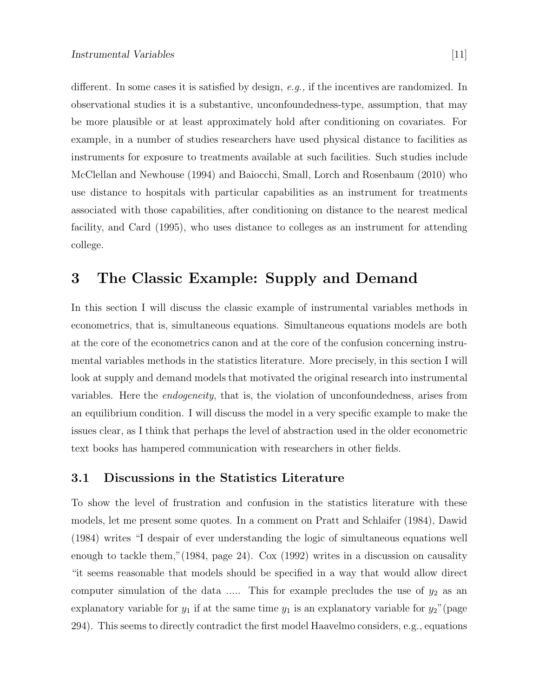different. In some cases it is satisfied by design, e.g., if the incentives are randomized. In observational studies it is a substantive, unconfoundedness-type, assumption, that may be more plausible or at least approximately hold after conditioning on covariates. For example, in a number of studies researchers have used physical distance to facilities as instruments for exposure to treatments available at such facilities. Such studies include McClellan and Newhouse (1994) and Baiocchi, Small, Lorch and Rosenbaum (2010) who use distance to hospitals with particular capabilities as an instrument for treatments associated with those capabilities, after conditioning on distance to the nearest medical facility, and Card (1995), who uses distance to colleges as an instrument for attending college.

# 3 The Classic Example: Supply and Demand

In this section I will discuss the classic example of instrumental variables methods in econometrics, that is, simultaneous equations. Simultaneous equations models are both at the core of the econometrics canon and at the core of the confusion concerning instrumental variables methods in the statistics literature. More precisely, in this section I will look at supply and demand models that motivated the original research into instrumental variables. Here the endogeneity, that is, the violation of unconfoundedness, arises from an equilibrium condition. I will discuss the model in a very specific example to make the issues clear, as I think that perhaps the level of abstraction used in the older econometric text books has hampered communication with researchers in other fields.

### 3.1 Discussions in the Statistics Literature

To show the level of frustration and confusion in the statistics literature with these models, let me present some quotes. In a comment on Pratt and Schlaifer (1984), Dawid (1984) writes "I despair of ever understanding the logic of simultaneous equations well enough to tackle them,"(1984, page 24). Cox (1992) writes in a discussion on causality "it seems reasonable that models should be specified in a way that would allow direct computer simulation of the data ..... This for example precludes the use of  $y_2$  as an explanatory variable for  $y_1$  if at the same time  $y_1$  is an explanatory variable for  $y_2$ "(page 294). This seems to directly contradict the first model Haavelmo considers, e.g., equations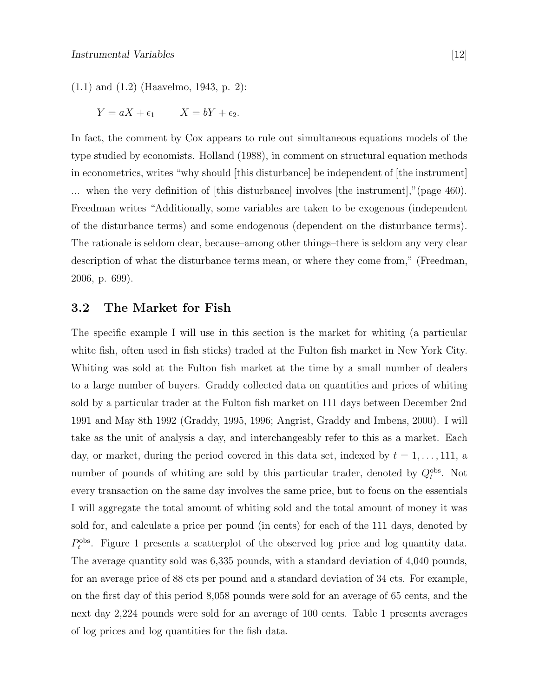(1.1) and (1.2) (Haavelmo, 1943, p. 2):

$$
Y = aX + \epsilon_1 \qquad X = bY + \epsilon_2.
$$

In fact, the comment by Cox appears to rule out simultaneous equations models of the type studied by economists. Holland (1988), in comment on structural equation methods in econometrics, writes "why should [this disturbance] be independent of [the instrument] ... when the very definition of [this disturbance] involves [the instrument],"(page 460). Freedman writes "Additionally, some variables are taken to be exogenous (independent of the disturbance terms) and some endogenous (dependent on the disturbance terms). The rationale is seldom clear, because–among other things–there is seldom any very clear description of what the disturbance terms mean, or where they come from," (Freedman, 2006, p. 699).

#### 3.2 The Market for Fish

The specific example I will use in this section is the market for whiting (a particular white fish, often used in fish sticks) traded at the Fulton fish market in New York City. Whiting was sold at the Fulton fish market at the time by a small number of dealers to a large number of buyers. Graddy collected data on quantities and prices of whiting sold by a particular trader at the Fulton fish market on 111 days between December 2nd 1991 and May 8th 1992 (Graddy, 1995, 1996; Angrist, Graddy and Imbens, 2000). I will take as the unit of analysis a day, and interchangeably refer to this as a market. Each day, or market, during the period covered in this data set, indexed by  $t = 1, \ldots, 111$ , a number of pounds of whiting are sold by this particular trader, denoted by  $Q_t^{\text{obs}}$ . Not every transaction on the same day involves the same price, but to focus on the essentials I will aggregate the total amount of whiting sold and the total amount of money it was sold for, and calculate a price per pound (in cents) for each of the 111 days, denoted by  $P_t^{\text{obs}}$ <sup>tobs</sup>. Figure 1 presents a scatterplot of the observed log price and log quantity data. The average quantity sold was 6,335 pounds, with a standard deviation of 4,040 pounds, for an average price of 88 cts per pound and a standard deviation of 34 cts. For example, on the first day of this period 8,058 pounds were sold for an average of 65 cents, and the next day 2,224 pounds were sold for an average of 100 cents. Table 1 presents averages of log prices and log quantities for the fish data.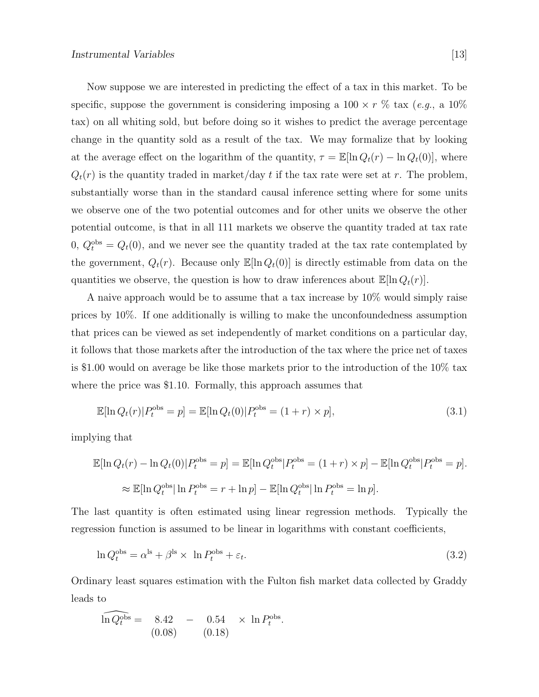Now suppose we are interested in predicting the effect of a tax in this market. To be specific, suppose the government is considering imposing a  $100 \times r$  % tax (*e.g.*, a  $10\%$ tax) on all whiting sold, but before doing so it wishes to predict the average percentage change in the quantity sold as a result of the tax. We may formalize that by looking at the average effect on the logarithm of the quantity,  $\tau = \mathbb{E}[\ln Q_t(r) - \ln Q_t(0)]$ , where  $Q_t(r)$  is the quantity traded in market/day t if the tax rate were set at r. The problem, substantially worse than in the standard causal inference setting where for some units we observe one of the two potential outcomes and for other units we observe the other potential outcome, is that in all 111 markets we observe the quantity traded at tax rate 0,  $Q_t^{\text{obs}} = Q_t(0)$ , and we never see the quantity traded at the tax rate contemplated by the government,  $Q_t(r)$ . Because only  $\mathbb{E}[\ln Q_t(0)]$  is directly estimable from data on the quantities we observe, the question is how to draw inferences about  $\mathbb{E}[\ln Q_t(r)]$ .

A naive approach would be to assume that a tax increase by 10% would simply raise prices by 10%. If one additionally is willing to make the unconfoundedness assumption that prices can be viewed as set independently of market conditions on a particular day, it follows that those markets after the introduction of the tax where the price net of taxes is \$1.00 would on average be like those markets prior to the introduction of the 10% tax where the price was \$1.10. Formally, this approach assumes that

$$
\mathbb{E}[\ln Q_t(r)|P_t^{\text{obs}} = p] = \mathbb{E}[\ln Q_t(0)|P_t^{\text{obs}} = (1+r) \times p],\tag{3.1}
$$

implying that

$$
\mathbb{E}[\ln Q_t(r) - \ln Q_t(0)|P_t^{\text{obs}} = p] = \mathbb{E}[\ln Q_t^{\text{obs}}|P_t^{\text{obs}} = (1+r) \times p] - \mathbb{E}[\ln Q_t^{\text{obs}}|P_t^{\text{obs}} = p].
$$
  

$$
\approx \mathbb{E}[\ln Q_t^{\text{obs}}| \ln P_t^{\text{obs}} = r + \ln p] - \mathbb{E}[\ln Q_t^{\text{obs}}| \ln P_t^{\text{obs}} = \ln p].
$$

The last quantity is often estimated using linear regression methods. Typically the regression function is assumed to be linear in logarithms with constant coefficients,

$$
\ln Q_t^{\text{obs}} = \alpha^{\text{ls}} + \beta^{\text{ls}} \times \ln P_t^{\text{obs}} + \varepsilon_t. \tag{3.2}
$$

.

Ordinary least squares estimation with the Fulton fish market data collected by Graddy leads to

$$
\widehat{\ln Q_t^{\text{obs}}} = 8.42 - 0.54 \times \ln P_t^{\text{obs}}
$$
  
(0.08) (0.18)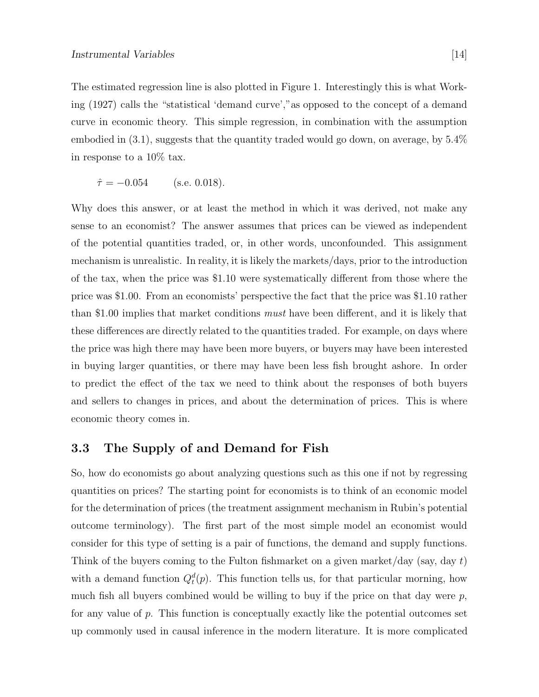The estimated regression line is also plotted in Figure 1. Interestingly this is what Working (1927) calls the "statistical 'demand curve',"as opposed to the concept of a demand curve in economic theory. This simple regression, in combination with the assumption embodied in (3.1), suggests that the quantity traded would go down, on average, by 5.4% in response to a 10% tax.

 $\hat{\tau} = -0.054$  (s.e. 0.018).

Why does this answer, or at least the method in which it was derived, not make any sense to an economist? The answer assumes that prices can be viewed as independent of the potential quantities traded, or, in other words, unconfounded. This assignment mechanism is unrealistic. In reality, it is likely the markets/days, prior to the introduction of the tax, when the price was \$1.10 were systematically different from those where the price was \$1.00. From an economists' perspective the fact that the price was \$1.10 rather than \$1.00 implies that market conditions must have been different, and it is likely that these differences are directly related to the quantities traded. For example, on days where the price was high there may have been more buyers, or buyers may have been interested in buying larger quantities, or there may have been less fish brought ashore. In order to predict the effect of the tax we need to think about the responses of both buyers and sellers to changes in prices, and about the determination of prices. This is where economic theory comes in.

### 3.3 The Supply of and Demand for Fish

So, how do economists go about analyzing questions such as this one if not by regressing quantities on prices? The starting point for economists is to think of an economic model for the determination of prices (the treatment assignment mechanism in Rubin's potential outcome terminology). The first part of the most simple model an economist would consider for this type of setting is a pair of functions, the demand and supply functions. Think of the buyers coming to the Fulton fishmarket on a given market/day (say, day  $t$ ) with a demand function  $Q_t^d(p)$ . This function tells us, for that particular morning, how much fish all buyers combined would be willing to buy if the price on that day were  $p$ , for any value of  $p$ . This function is conceptually exactly like the potential outcomes set up commonly used in causal inference in the modern literature. It is more complicated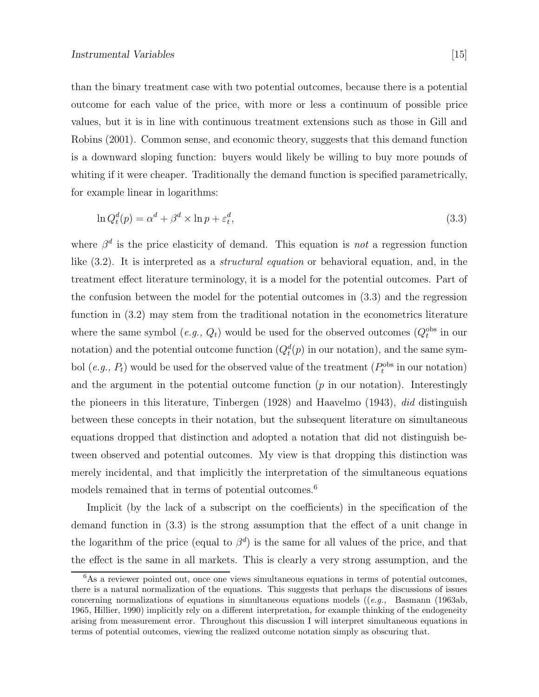than the binary treatment case with two potential outcomes, because there is a potential outcome for each value of the price, with more or less a continuum of possible price values, but it is in line with continuous treatment extensions such as those in Gill and Robins (2001). Common sense, and economic theory, suggests that this demand function is a downward sloping function: buyers would likely be willing to buy more pounds of whiting if it were cheaper. Traditionally the demand function is specified parametrically, for example linear in logarithms:

$$
\ln Q_t^d(p) = \alpha^d + \beta^d \times \ln p + \varepsilon_t^d,\tag{3.3}
$$

where  $\beta^d$  is the price elasticity of demand. This equation is not a regression function like (3.2). It is interpreted as a structural equation or behavioral equation, and, in the treatment effect literature terminology, it is a model for the potential outcomes. Part of the confusion between the model for the potential outcomes in (3.3) and the regression function in (3.2) may stem from the traditional notation in the econometrics literature where the same symbol  $(e.g., Q_t)$  would be used for the observed outcomes  $(Q_t^{\text{obs}})$  in our notation) and the potential outcome function  $(Q_t^d(p)$  in our notation), and the same symbol  $(e.g., P_t)$  would be used for the observed value of the treatment  $(P_t^{\text{obs}})$  $t_t^{\text{obs}}$  in our notation) and the argument in the potential outcome function  $(p \text{ in our notation})$ . Interestingly the pioneers in this literature, Tinbergen (1928) and Haavelmo (1943), did distinguish between these concepts in their notation, but the subsequent literature on simultaneous equations dropped that distinction and adopted a notation that did not distinguish between observed and potential outcomes. My view is that dropping this distinction was merely incidental, and that implicitly the interpretation of the simultaneous equations models remained that in terms of potential outcomes.<sup>6</sup>

Implicit (by the lack of a subscript on the coefficients) in the specification of the demand function in (3.3) is the strong assumption that the effect of a unit change in the logarithm of the price (equal to  $\beta^d$ ) is the same for all values of the price, and that the effect is the same in all markets. This is clearly a very strong assumption, and the

 $6$ As a reviewer pointed out, once one views simultaneous equations in terms of potential outcomes, there is a natural normalization of the equations. This suggests that perhaps the discussions of issues concerning normalizations of equations in simultaneous equations models  $((e.g.,$  Basmann (1963ab, 1965, Hillier, 1990) implicitly rely on a different interpretation, for example thinking of the endogeneity arising from measurement error. Throughout this discussion I will interpret simultaneous equations in terms of potential outcomes, viewing the realized outcome notation simply as obscuring that.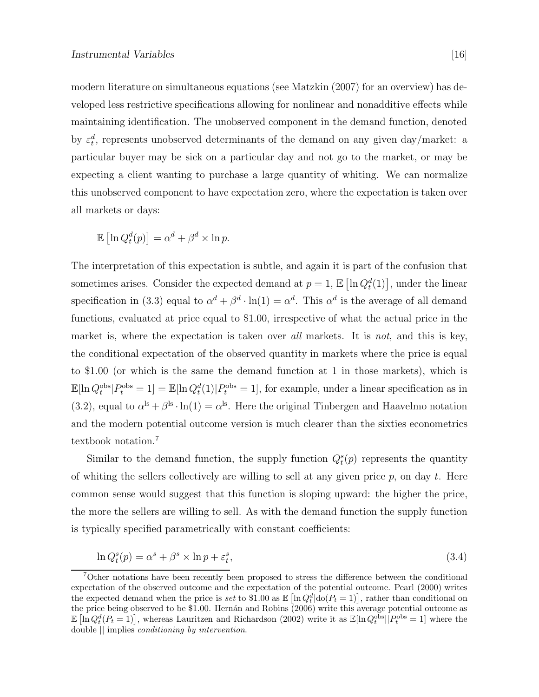modern literature on simultaneous equations (see Matzkin (2007) for an overview) has developed less restrictive specifications allowing for nonlinear and nonadditive effects while maintaining identification. The unobserved component in the demand function, denoted by  $\varepsilon_t^d$ , represents unobserved determinants of the demand on any given day/market: a particular buyer may be sick on a particular day and not go to the market, or may be expecting a client wanting to purchase a large quantity of whiting. We can normalize this unobserved component to have expectation zero, where the expectation is taken over all markets or days:

$$
\mathbb{E}\left[\ln Q_t^d(p)\right] = \alpha^d + \beta^d \times \ln p.
$$

The interpretation of this expectation is subtle, and again it is part of the confusion that sometimes arises. Consider the expected demand at  $p = 1$ ,  $\mathbb{E}\left[\ln Q_t^d(1)\right]$ , under the linear specification in (3.3) equal to  $\alpha^d + \beta^d \cdot \ln(1) = \alpha^d$ . This  $\alpha^d$  is the average of all demand functions, evaluated at price equal to \$1.00, irrespective of what the actual price in the market is, where the expectation is taken over all markets. It is not, and this is key, the conditional expectation of the observed quantity in markets where the price is equal to \$1.00 (or which is the same the demand function at 1 in those markets), which is  $\mathbb{E}[\ln Q_t^{\text{obs}} | P_t^{\text{obs}} = 1] = \mathbb{E}[\ln Q_t^d(1) | P_t^{\text{obs}} = 1]$ , for example, under a linear specification as in (3.2), equal to  $\alpha^{ls} + \beta^{ls} \cdot \ln(1) = \alpha^{ls}$ . Here the original Tinbergen and Haavelmo notation and the modern potential outcome version is much clearer than the sixties econometrics textbook notation.<sup>7</sup>

Similar to the demand function, the supply function  $Q_t^s(p)$  represents the quantity of whiting the sellers collectively are willing to sell at any given price  $p$ , on day  $t$ . Here common sense would suggest that this function is sloping upward: the higher the price, the more the sellers are willing to sell. As with the demand function the supply function is typically specified parametrically with constant coefficients:

$$
\ln Q_t^s(p) = \alpha^s + \beta^s \times \ln p + \varepsilon_t^s,\tag{3.4}
$$

<sup>7</sup>Other notations have been recently been proposed to stress the difference between the conditional expectation of the observed outcome and the expectation of the potential outcome. Pearl (2000) writes the expected demand when the price is set to \$1.00 as  $\mathbb{E} \left[ \ln Q_t^d \middle| \text{do}(P_t = 1) \right]$ , rather than conditional on the price being observed to be  $$1.00$ . Hernán and Robins (2006) write this average potential outcome as  $\mathbb{E} \left[ \ln Q_t^d(P_t = 1) \right]$ , whereas Lauritzen and Richardson (2002) write it as  $\mathbb{E} [\ln Q_t^{\text{obs}} | P_t^{\text{obs}} = 1]$  where the double || implies conditioning by intervention.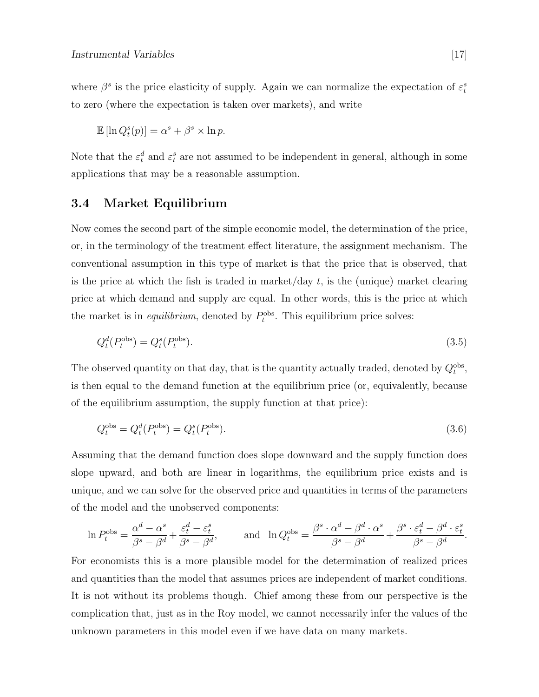where  $\beta^s$  is the price elasticity of supply. Again we can normalize the expectation of  $\varepsilon_t^s$ to zero (where the expectation is taken over markets), and write

$$
\mathbb{E}\left[\ln Q_t^s(p)\right] = \alpha^s + \beta^s \times \ln p.
$$

Note that the  $\varepsilon_t^d$  and  $\varepsilon_t^s$  are not assumed to be independent in general, although in some applications that may be a reasonable assumption.

# 3.4 Market Equilibrium

Now comes the second part of the simple economic model, the determination of the price, or, in the terminology of the treatment effect literature, the assignment mechanism. The conventional assumption in this type of market is that the price that is observed, that is the price at which the fish is traded in market/day  $t$ , is the (unique) market clearing price at which demand and supply are equal. In other words, this is the price at which the market is in *equilibrium*, denoted by  $P_t^{\text{obs}}$  $t_t^{\text{obs}}$ . This equilibrium price solves:

$$
Q_t^d(P_t^{\text{obs}}) = Q_t^s(P_t^{\text{obs}}). \tag{3.5}
$$

The observed quantity on that day, that is the quantity actually traded, denoted by  $Q_t^{\text{obs}}$ , is then equal to the demand function at the equilibrium price (or, equivalently, because of the equilibrium assumption, the supply function at that price):

$$
Q_t^{\text{obs}} = Q_t^d(P_t^{\text{obs}}) = Q_t^s(P_t^{\text{obs}}). \tag{3.6}
$$

Assuming that the demand function does slope downward and the supply function does slope upward, and both are linear in logarithms, the equilibrium price exists and is unique, and we can solve for the observed price and quantities in terms of the parameters of the model and the unobserved components:

$$
\ln P_t^{\text{obs}} = \frac{\alpha^d - \alpha^s}{\beta^s - \beta^d} + \frac{\varepsilon_t^d - \varepsilon_t^s}{\beta^s - \beta^d}, \quad \text{and} \quad \ln Q_t^{\text{obs}} = \frac{\beta^s \cdot \alpha^d - \beta^d \cdot \alpha^s}{\beta^s - \beta^d} + \frac{\beta^s \cdot \varepsilon_t^d - \beta^d \cdot \varepsilon_t^s}{\beta^s - \beta^d}.
$$

For economists this is a more plausible model for the determination of realized prices and quantities than the model that assumes prices are independent of market conditions. It is not without its problems though. Chief among these from our perspective is the complication that, just as in the Roy model, we cannot necessarily infer the values of the unknown parameters in this model even if we have data on many markets.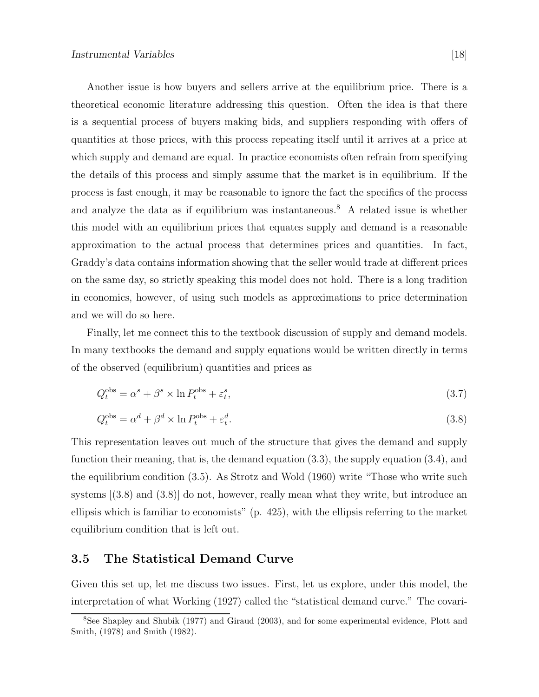Another issue is how buyers and sellers arrive at the equilibrium price. There is a theoretical economic literature addressing this question. Often the idea is that there is a sequential process of buyers making bids, and suppliers responding with offers of quantities at those prices, with this process repeating itself until it arrives at a price at which supply and demand are equal. In practice economists often refrain from specifying the details of this process and simply assume that the market is in equilibrium. If the process is fast enough, it may be reasonable to ignore the fact the specifics of the process and analyze the data as if equilibrium was instantaneous.<sup>8</sup> A related issue is whether this model with an equilibrium prices that equates supply and demand is a reasonable approximation to the actual process that determines prices and quantities. In fact, Graddy's data contains information showing that the seller would trade at different prices on the same day, so strictly speaking this model does not hold. There is a long tradition in economics, however, of using such models as approximations to price determination and we will do so here.

Finally, let me connect this to the textbook discussion of supply and demand models. In many textbooks the demand and supply equations would be written directly in terms of the observed (equilibrium) quantities and prices as

$$
Q_t^{\text{obs}} = \alpha^s + \beta^s \times \ln P_t^{\text{obs}} + \varepsilon_t^s,\tag{3.7}
$$

$$
Q_t^{\text{obs}} = \alpha^d + \beta^d \times \ln P_t^{\text{obs}} + \varepsilon_t^d. \tag{3.8}
$$

This representation leaves out much of the structure that gives the demand and supply function their meaning, that is, the demand equation (3.3), the supply equation (3.4), and the equilibrium condition (3.5). As Strotz and Wold (1960) write "Those who write such systems  $(3.8)$  and  $(3.8)$  do not, however, really mean what they write, but introduce an ellipsis which is familiar to economists" (p. 425), with the ellipsis referring to the market equilibrium condition that is left out.

### 3.5 The Statistical Demand Curve

Given this set up, let me discuss two issues. First, let us explore, under this model, the interpretation of what Working (1927) called the "statistical demand curve." The covari-

<sup>8</sup>See Shapley and Shubik (1977) and Giraud (2003), and for some experimental evidence, Plott and Smith, (1978) and Smith (1982).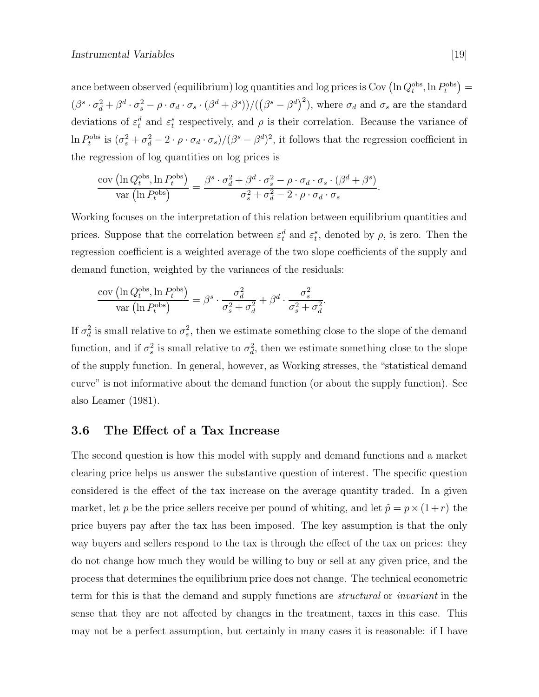ance between observed (equilibrium) log quantities and log prices is Cov  $(\ln Q_t^{\text{obs}}, \ln P_t^{\text{obs}})$  $t^{\text{obs}}$ ) =  $(\beta^s \cdot \sigma_d^2 + \beta^d \cdot \sigma_s^2 - \rho \cdot \sigma_d \cdot \sigma_s \cdot (\beta^d + \beta^s))/((\beta^s - \beta^d)^2)$ , where  $\sigma_d$  and  $\sigma_s$  are the standard deviations of  $\varepsilon_t^d$  and  $\varepsilon_t^s$  respectively, and  $\rho$  is their correlation. Because the variance of  $\ln P_t^{\text{obs}}$ <sup>obs</sup> is  $(\sigma_s^2 + \sigma_d^2 - 2 \cdot \rho \cdot \sigma_d \cdot \sigma_s)/(\beta^s - \beta^d)^2$ , it follows that the regression coefficient in the regression of log quantities on log prices is

$$
\frac{\text{cov}\left(\ln Q_t^{\text{obs}}, \ln P_t^{\text{obs}}\right)}{\text{var}\left(\ln P_t^{\text{obs}}\right)} = \frac{\beta^s \cdot \sigma_d^2 + \beta^d \cdot \sigma_s^2 - \rho \cdot \sigma_d \cdot \sigma_s \cdot (\beta^d + \beta^s)}{\sigma_s^2 + \sigma_d^2 - 2 \cdot \rho \cdot \sigma_d \cdot \sigma_s}.
$$

Working focuses on the interpretation of this relation between equilibrium quantities and prices. Suppose that the correlation between  $\varepsilon_t^d$  and  $\varepsilon_t^s$ , denoted by  $\rho$ , is zero. Then the regression coefficient is a weighted average of the two slope coefficients of the supply and demand function, weighted by the variances of the residuals:

$$
\frac{\mathrm{cov}\left(\ln Q_t^{\mathrm{obs}}, \ln P_t^{\mathrm{obs}}\right)}{\mathrm{var}\left(\ln P_t^{\mathrm{obs}}\right)} = \beta^s \cdot \frac{\sigma_d^2}{\sigma_s^2 + \sigma_d^2} + \beta^d \cdot \frac{\sigma_s^2}{\sigma_s^2 + \sigma_d^2}.
$$

If  $\sigma_d^2$  $\frac{2}{d}$  is small relative to  $\sigma_s^2$  $s<sub>s</sub>$ , then we estimate something close to the slope of the demand function, and if  $\sigma_s^2$  $s^2$  is small relative to  $\sigma_d^2$  $\frac{2}{d}$ , then we estimate something close to the slope of the supply function. In general, however, as Working stresses, the "statistical demand curve" is not informative about the demand function (or about the supply function). See also Leamer (1981).

### 3.6 The Effect of a Tax Increase

The second question is how this model with supply and demand functions and a market clearing price helps us answer the substantive question of interest. The specific question considered is the effect of the tax increase on the average quantity traded. In a given market, let p be the price sellers receive per pound of whiting, and let  $\tilde{p} = p \times (1+r)$  the price buyers pay after the tax has been imposed. The key assumption is that the only way buyers and sellers respond to the tax is through the effect of the tax on prices: they do not change how much they would be willing to buy or sell at any given price, and the process that determines the equilibrium price does not change. The technical econometric term for this is that the demand and supply functions are structural or invariant in the sense that they are not affected by changes in the treatment, taxes in this case. This may not be a perfect assumption, but certainly in many cases it is reasonable: if I have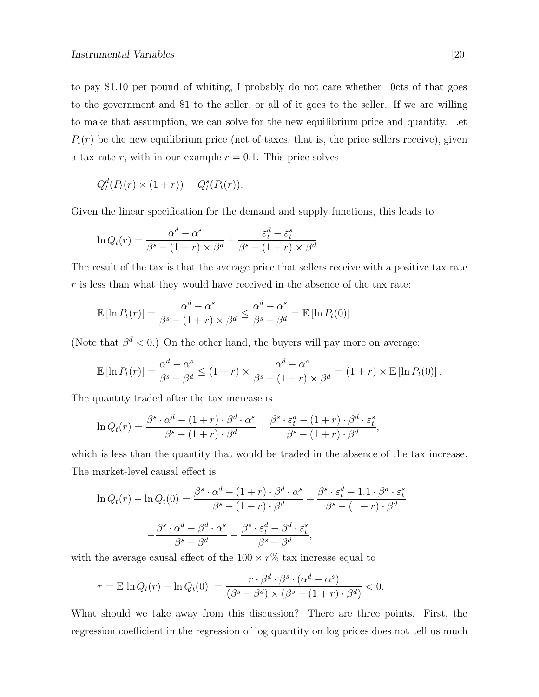to pay \$1.10 per pound of whiting, I probably do not care whether 10cts of that goes to the government and \$1 to the seller, or all of it goes to the seller. If we are willing to make that assumption, we can solve for the new equilibrium price and quantity. Let  $P_t(r)$  be the new equilibrium price (net of taxes, that is, the price sellers receive), given a tax rate r, with in our example  $r = 0.1$ . This price solves

$$
Q_t^d(P_t(r) \times (1+r)) = Q_t^s(P_t(r)).
$$

Given the linear specification for the demand and supply functions, this leads to

$$
\ln Q_t(r) = \frac{\alpha^d - \alpha^s}{\beta^s - (1+r) \times \beta^d} + \frac{\varepsilon_t^d - \varepsilon_t^s}{\beta^s - (1+r) \times \beta^d}.
$$

The result of the tax is that the average price that sellers receive with a positive tax rate r is less than what they would have received in the absence of the tax rate:

$$
\mathbb{E}\left[\ln P_t(r)\right] = \frac{\alpha^d - \alpha^s}{\beta^s - (1+r) \times \beta^d} \le \frac{\alpha^d - \alpha^s}{\beta^s - \beta^d} = \mathbb{E}\left[\ln P_t(0)\right].
$$

(Note that  $\beta^d < 0$ .) On the other hand, the buyers will pay more on average:

$$
\mathbb{E}\left[\ln P_t(r)\right] = \frac{\alpha^d - \alpha^s}{\beta^s - \beta^d} \le (1+r) \times \frac{\alpha^d - \alpha^s}{\beta^s - (1+r) \times \beta^d} = (1+r) \times \mathbb{E}\left[\ln P_t(0)\right].
$$

The quantity traded after the tax increase is

$$
\ln Q_t(r) = \frac{\beta^s \cdot \alpha^d - (1+r) \cdot \beta^d \cdot \alpha^s}{\beta^s - (1+r) \cdot \beta^d} + \frac{\beta^s \cdot \varepsilon_t^d - (1+r) \cdot \beta^d \cdot \varepsilon_t^s}{\beta^s - (1+r) \cdot \beta^d},
$$

which is less than the quantity that would be traded in the absence of the tax increase. The market-level causal effect is

$$
\ln Q_t(r) - \ln Q_t(0) = \frac{\beta^s \cdot \alpha^d - (1+r) \cdot \beta^d \cdot \alpha^s}{\beta^s - (1+r) \cdot \beta^d} + \frac{\beta^s \cdot \varepsilon_t^d - 1 \cdot 1 \cdot \beta^d \cdot \varepsilon_t^s}{\beta^s - (1+r) \cdot \beta^d}
$$

$$
- \frac{\beta^s \cdot \alpha^d - \beta^d \cdot \alpha^s}{\beta^s - \beta^d} - \frac{\beta^s \cdot \varepsilon_t^d - \beta^d \cdot \varepsilon_t^s}{\beta^s - \beta^d},
$$

with the average causal effect of the  $100 \times r\%$  tax increase equal to

$$
\tau = \mathbb{E}[\ln Q_t(r) - \ln Q_t(0)] = \frac{r \cdot \beta^d \cdot \beta^s \cdot (\alpha^d - \alpha^s)}{(\beta^s - \beta^d) \times (\beta^s - (1+r) \cdot \beta^d)} < 0.
$$

What should we take away from this discussion? There are three points. First, the regression coefficient in the regression of log quantity on log prices does not tell us much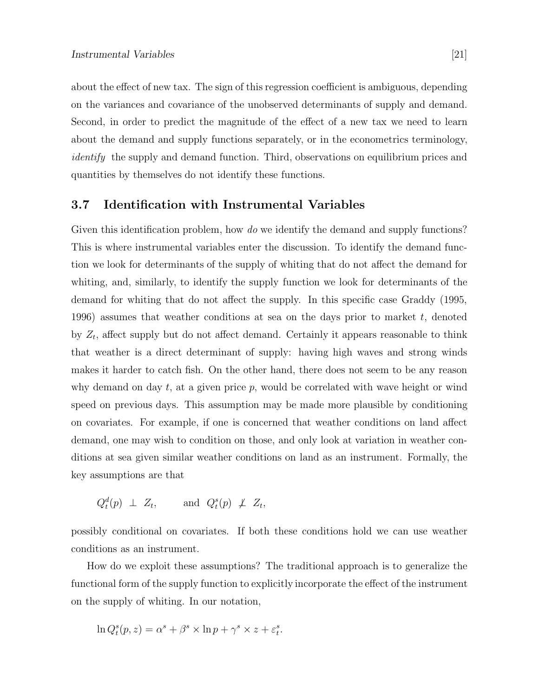about the effect of new tax. The sign of this regression coefficient is ambiguous, depending on the variances and covariance of the unobserved determinants of supply and demand. Second, in order to predict the magnitude of the effect of a new tax we need to learn about the demand and supply functions separately, or in the econometrics terminology, identify the supply and demand function. Third, observations on equilibrium prices and quantities by themselves do not identify these functions.

### 3.7 Identification with Instrumental Variables

Given this identification problem, how do we identify the demand and supply functions? This is where instrumental variables enter the discussion. To identify the demand function we look for determinants of the supply of whiting that do not affect the demand for whiting, and, similarly, to identify the supply function we look for determinants of the demand for whiting that do not affect the supply. In this specific case Graddy (1995, 1996) assumes that weather conditions at sea on the days prior to market  $t$ , denoted by  $Z_t$ , affect supply but do not affect demand. Certainly it appears reasonable to think that weather is a direct determinant of supply: having high waves and strong winds makes it harder to catch fish. On the other hand, there does not seem to be any reason why demand on day  $t$ , at a given price  $p$ , would be correlated with wave height or wind speed on previous days. This assumption may be made more plausible by conditioning on covariates. For example, if one is concerned that weather conditions on land affect demand, one may wish to condition on those, and only look at variation in weather conditions at sea given similar weather conditions on land as an instrument. Formally, the key assumptions are that

 $Q_t^d(p) \perp Z_t$ , and  $Q_t^s(p) \not\perp Z_t$ ,

possibly conditional on covariates. If both these conditions hold we can use weather conditions as an instrument.

How do we exploit these assumptions? The traditional approach is to generalize the functional form of the supply function to explicitly incorporate the effect of the instrument on the supply of whiting. In our notation,

$$
\ln Q_t^s(p,z)=\alpha^s+\beta^s\times\ln p+\gamma^s\times z+\varepsilon_t^s.
$$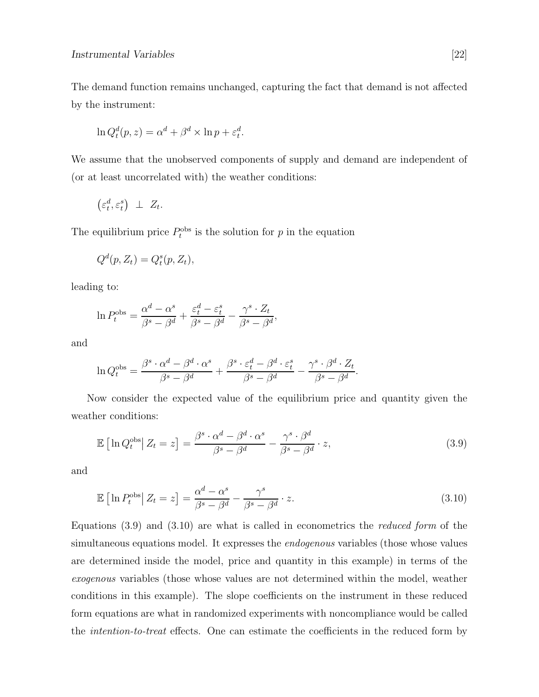The demand function remains unchanged, capturing the fact that demand is not affected by the instrument:

$$
\ln Q_t^d(p, z) = \alpha^d + \beta^d \times \ln p + \varepsilon_t^d.
$$

We assume that the unobserved components of supply and demand are independent of (or at least uncorrelated with) the weather conditions:

$$
\left(\varepsilon_t^d, \varepsilon_t^s\right) \perp Z_t.
$$

The equilibrium price  $P_t^{\text{obs}}$  $t_t^{\text{obs}}$  is the solution for p in the equation

$$
Q^d(p, Z_t) = Q_t^s(p, Z_t),
$$

leading to:

$$
\ln P_t^{\text{obs}} = \frac{\alpha^d - \alpha^s}{\beta^s - \beta^d} + \frac{\varepsilon_t^d - \varepsilon_t^s}{\beta^s - \beta^d} - \frac{\gamma^s \cdot Z_t}{\beta^s - \beta^d},
$$

and

$$
\ln Q_t^{\text{obs}} = \frac{\beta^s \cdot \alpha^d - \beta^d \cdot \alpha^s}{\beta^s - \beta^d} + \frac{\beta^s \cdot \varepsilon_t^d - \beta^d \cdot \varepsilon_t^s}{\beta^s - \beta^d} - \frac{\gamma^s \cdot \beta^d \cdot Z_t}{\beta^s - \beta^d}.
$$

Now consider the expected value of the equilibrium price and quantity given the weather conditions:

$$
\mathbb{E}\left[\ln Q_t^{\text{obs}}\right|Z_t=z\right] = \frac{\beta^s \cdot \alpha^d - \beta^d \cdot \alpha^s}{\beta^s - \beta^d} - \frac{\gamma^s \cdot \beta^d}{\beta^s - \beta^d} \cdot z,\tag{3.9}
$$

and

$$
\mathbb{E}\left[\ln P_t^{\text{obs}}\right|Z_t=z\right] = \frac{\alpha^d - \alpha^s}{\beta^s - \beta^d} - \frac{\gamma^s}{\beta^s - \beta^d} \cdot z.
$$
\n(3.10)

Equations  $(3.9)$  and  $(3.10)$  are what is called in econometrics the *reduced form* of the simultaneous equations model. It expresses the endogenous variables (those whose values are determined inside the model, price and quantity in this example) in terms of the exogenous variables (those whose values are not determined within the model, weather conditions in this example). The slope coefficients on the instrument in these reduced form equations are what in randomized experiments with noncompliance would be called the intention-to-treat effects. One can estimate the coefficients in the reduced form by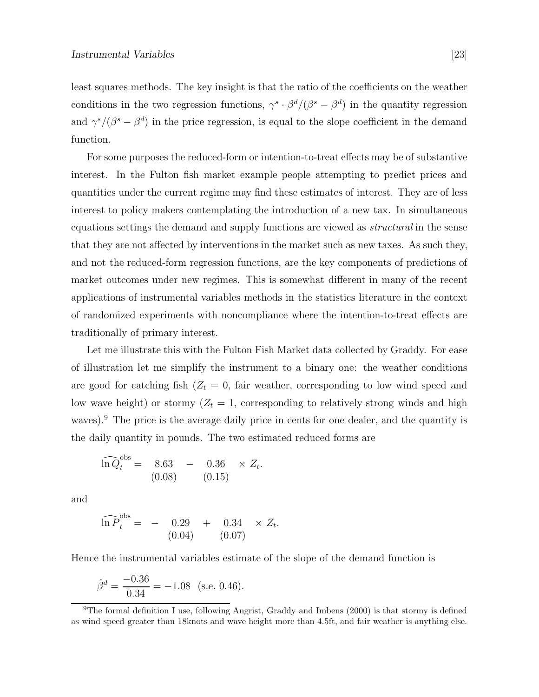least squares methods. The key insight is that the ratio of the coefficients on the weather conditions in the two regression functions,  $\gamma^s \cdot \beta^d/(\beta^s - \beta^d)$  in the quantity regression and  $\gamma^{s}/(\beta^{s}-\beta^{d})$  in the price regression, is equal to the slope coefficient in the demand function.

For some purposes the reduced-form or intention-to-treat effects may be of substantive interest. In the Fulton fish market example people attempting to predict prices and quantities under the current regime may find these estimates of interest. They are of less interest to policy makers contemplating the introduction of a new tax. In simultaneous equations settings the demand and supply functions are viewed as structural in the sense that they are not affected by interventions in the market such as new taxes. As such they, and not the reduced-form regression functions, are the key components of predictions of market outcomes under new regimes. This is somewhat different in many of the recent applications of instrumental variables methods in the statistics literature in the context of randomized experiments with noncompliance where the intention-to-treat effects are traditionally of primary interest.

Let me illustrate this with the Fulton Fish Market data collected by Graddy. For ease of illustration let me simplify the instrument to a binary one: the weather conditions are good for catching fish  $(Z_t = 0$ , fair weather, corresponding to low wind speed and low wave height) or stormy  $(Z_t = 1$ , corresponding to relatively strong winds and high waves).<sup>9</sup> The price is the average daily price in cents for one dealer, and the quantity is the daily quantity in pounds. The two estimated reduced forms are

$$
\widehat{\ln Q}_t^{\text{obs}} = 8.63 - 0.36 \times Z_t.
$$
  
(0.08) (0.15)

and

$$
\widehat{\ln P}_t^{\text{obs}} = -0.29 + 0.34 \times Z_t.
$$
\n
$$
(0.04) \quad (0.07)
$$

Hence the instrumental variables estimate of the slope of the demand function is

$$
\hat{\beta}^d = \frac{-0.36}{0.34} = -1.08
$$
 (s.e. 0.46).

<sup>&</sup>lt;sup>9</sup>The formal definition I use, following Angrist, Graddy and Imbens (2000) is that stormy is defined as wind speed greater than 18knots and wave height more than 4.5ft, and fair weather is anything else.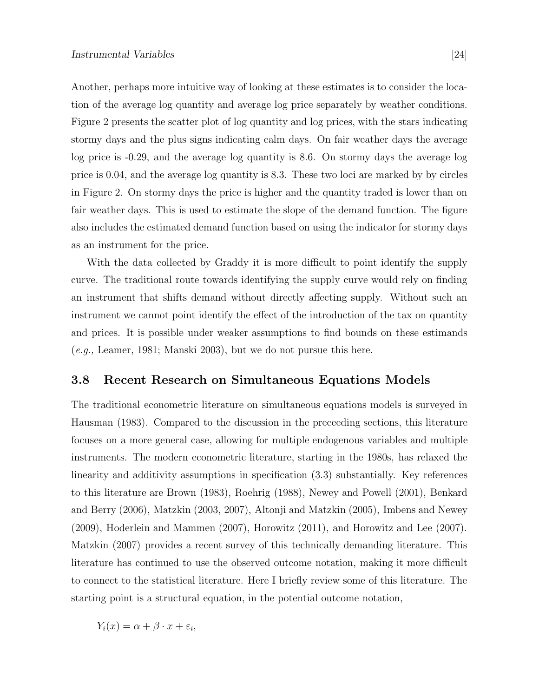Another, perhaps more intuitive way of looking at these estimates is to consider the location of the average log quantity and average log price separately by weather conditions. Figure 2 presents the scatter plot of log quantity and log prices, with the stars indicating stormy days and the plus signs indicating calm days. On fair weather days the average log price is -0.29, and the average log quantity is 8.6. On stormy days the average log price is 0.04, and the average log quantity is 8.3. These two loci are marked by by circles in Figure 2. On stormy days the price is higher and the quantity traded is lower than on fair weather days. This is used to estimate the slope of the demand function. The figure also includes the estimated demand function based on using the indicator for stormy days as an instrument for the price.

With the data collected by Graddy it is more difficult to point identify the supply curve. The traditional route towards identifying the supply curve would rely on finding an instrument that shifts demand without directly affecting supply. Without such an instrument we cannot point identify the effect of the introduction of the tax on quantity and prices. It is possible under weaker assumptions to find bounds on these estimands  $(e.g., Leamer, 1981; Manski 2003)$ , but we do not pursue this here.

#### 3.8 Recent Research on Simultaneous Equations Models

The traditional econometric literature on simultaneous equations models is surveyed in Hausman (1983). Compared to the discussion in the preceeding sections, this literature focuses on a more general case, allowing for multiple endogenous variables and multiple instruments. The modern econometric literature, starting in the 1980s, has relaxed the linearity and additivity assumptions in specification (3.3) substantially. Key references to this literature are Brown (1983), Roehrig (1988), Newey and Powell (2001), Benkard and Berry (2006), Matzkin (2003, 2007), Altonji and Matzkin (2005), Imbens and Newey (2009), Hoderlein and Mammen (2007), Horowitz (2011), and Horowitz and Lee (2007). Matzkin (2007) provides a recent survey of this technically demanding literature. This literature has continued to use the observed outcome notation, making it more difficult to connect to the statistical literature. Here I briefly review some of this literature. The starting point is a structural equation, in the potential outcome notation,

 $Y_i(x) = \alpha + \beta \cdot x + \varepsilon_i,$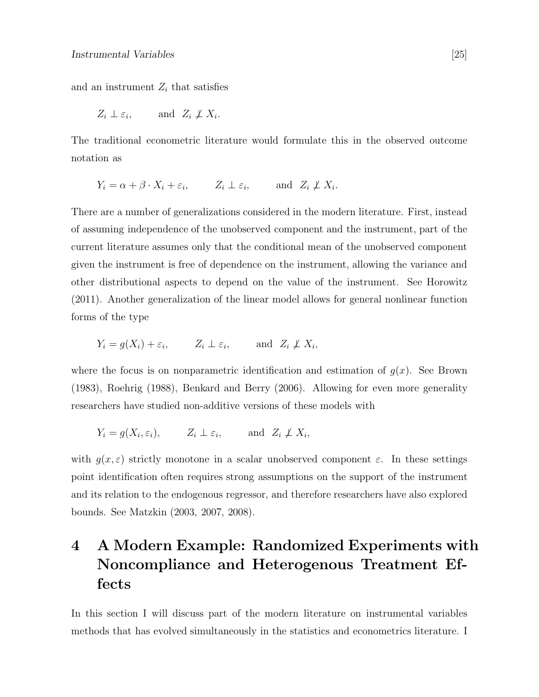and an instrument  $Z_i$  that satisfies

$$
Z_i \perp \varepsilon_i, \qquad \text{and} \ \ Z_i \nsubseteq X_i.
$$

The traditional econometric literature would formulate this in the observed outcome notation as

$$
Y_i = \alpha + \beta \cdot X_i + \varepsilon_i
$$
,  $Z_i \perp \varepsilon_i$ , and  $Z_i \not\perp X_i$ .

There are a number of generalizations considered in the modern literature. First, instead of assuming independence of the unobserved component and the instrument, part of the current literature assumes only that the conditional mean of the unobserved component given the instrument is free of dependence on the instrument, allowing the variance and other distributional aspects to depend on the value of the instrument. See Horowitz (2011). Another generalization of the linear model allows for general nonlinear function forms of the type

$$
Y_i = g(X_i) + \varepsilon_i
$$
,  $Z_i \perp \varepsilon_i$ , and  $Z_i \nperp X_i$ ,

where the focus is on nonparametric identification and estimation of  $g(x)$ . See Brown (1983), Roehrig (1988), Benkard and Berry (2006). Allowing for even more generality researchers have studied non-additive versions of these models with

$$
Y_i = g(X_i, \varepsilon_i), \qquad Z_i \perp \varepsilon_i, \qquad \text{and} \ \ Z_i \nsubseteq X_i,
$$

with  $g(x, \varepsilon)$  strictly monotone in a scalar unobserved component  $\varepsilon$ . In these settings point identification often requires strong assumptions on the support of the instrument and its relation to the endogenous regressor, and therefore researchers have also explored bounds. See Matzkin (2003, 2007, 2008).

# 4 A Modern Example: Randomized Experiments with Noncompliance and Heterogenous Treatment Effects

In this section I will discuss part of the modern literature on instrumental variables methods that has evolved simultaneously in the statistics and econometrics literature. I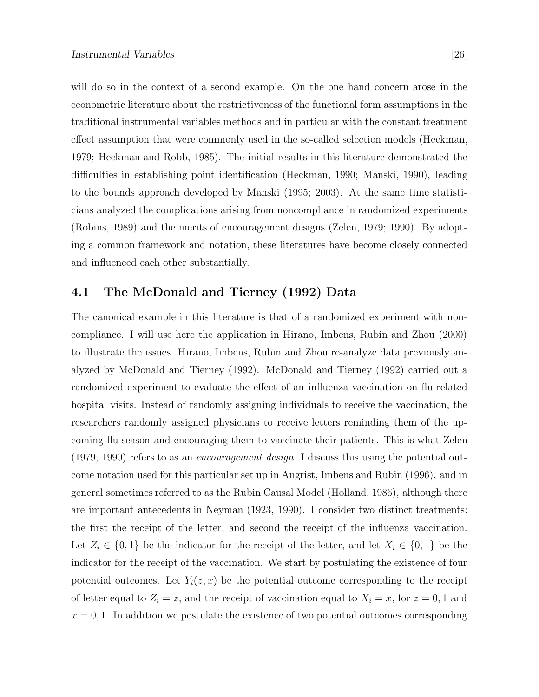will do so in the context of a second example. On the one hand concern arose in the econometric literature about the restrictiveness of the functional form assumptions in the traditional instrumental variables methods and in particular with the constant treatment effect assumption that were commonly used in the so-called selection models (Heckman, 1979; Heckman and Robb, 1985). The initial results in this literature demonstrated the difficulties in establishing point identification (Heckman, 1990; Manski, 1990), leading to the bounds approach developed by Manski (1995; 2003). At the same time statisticians analyzed the complications arising from noncompliance in randomized experiments (Robins, 1989) and the merits of encouragement designs (Zelen, 1979; 1990). By adopting a common framework and notation, these literatures have become closely connected and influenced each other substantially.

# 4.1 The McDonald and Tierney (1992) Data

The canonical example in this literature is that of a randomized experiment with noncompliance. I will use here the application in Hirano, Imbens, Rubin and Zhou (2000) to illustrate the issues. Hirano, Imbens, Rubin and Zhou re-analyze data previously analyzed by McDonald and Tierney (1992). McDonald and Tierney (1992) carried out a randomized experiment to evaluate the effect of an influenza vaccination on flu-related hospital visits. Instead of randomly assigning individuals to receive the vaccination, the researchers randomly assigned physicians to receive letters reminding them of the upcoming flu season and encouraging them to vaccinate their patients. This is what Zelen  $(1979, 1990)$  refers to as an *encouragement design*. I discuss this using the potential outcome notation used for this particular set up in Angrist, Imbens and Rubin (1996), and in general sometimes referred to as the Rubin Causal Model (Holland, 1986), although there are important antecedents in Neyman (1923, 1990). I consider two distinct treatments: the first the receipt of the letter, and second the receipt of the influenza vaccination. Let  $Z_i \in \{0,1\}$  be the indicator for the receipt of the letter, and let  $X_i \in \{0,1\}$  be the indicator for the receipt of the vaccination. We start by postulating the existence of four potential outcomes. Let  $Y_i(z, x)$  be the potential outcome corresponding to the receipt of letter equal to  $Z_i = z$ , and the receipt of vaccination equal to  $X_i = x$ , for  $z = 0, 1$  and  $x = 0, 1$ . In addition we postulate the existence of two potential outcomes corresponding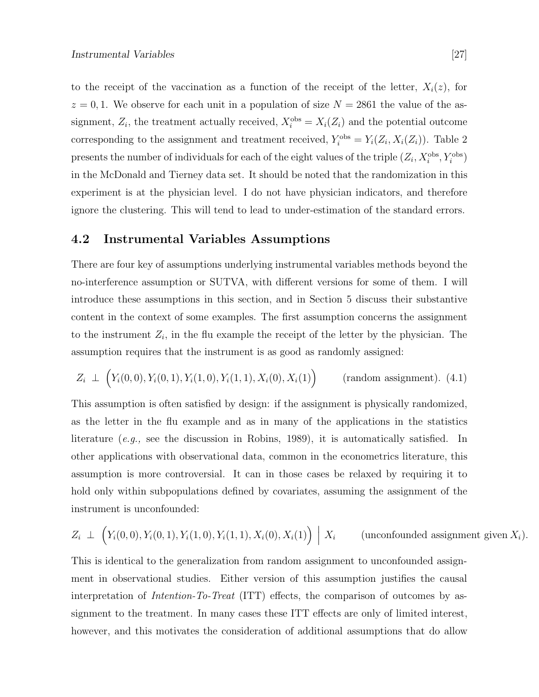to the receipt of the vaccination as a function of the receipt of the letter,  $X_i(z)$ , for  $z = 0, 1$ . We observe for each unit in a population of size  $N = 2861$  the value of the assignment,  $Z_i$ , the treatment actually received,  $X_i^{\text{obs}} = X_i(Z_i)$  and the potential outcome corresponding to the assignment and treatment received,  $Y_i^{\text{obs}} = Y_i(Z_i, X_i(Z_i))$ . Table 2 presents the number of individuals for each of the eight values of the triple  $(Z_i, X_i^{\text{obs}}, Y_i^{\text{obs}})$ in the McDonald and Tierney data set. It should be noted that the randomization in this experiment is at the physician level. I do not have physician indicators, and therefore ignore the clustering. This will tend to lead to under-estimation of the standard errors.

#### 4.2 Instrumental Variables Assumptions

There are four key of assumptions underlying instrumental variables methods beyond the no-interference assumption or SUTVA, with different versions for some of them. I will introduce these assumptions in this section, and in Section 5 discuss their substantive content in the context of some examples. The first assumption concerns the assignment to the instrument  $Z_i$ , in the flu example the receipt of the letter by the physician. The assumption requires that the instrument is as good as randomly assigned:

$$
Z_i \perp \left(Y_i(0,0), Y_i(0,1), Y_i(1,0), Y_i(1,1), X_i(0), X_i(1)\right) \qquad \text{(random assignment). (4.1)}
$$

This assumption is often satisfied by design: if the assignment is physically randomized, as the letter in the flu example and as in many of the applications in the statistics literature (e.g., see the discussion in Robins, 1989), it is automatically satisfied. In other applications with observational data, common in the econometrics literature, this assumption is more controversial. It can in those cases be relaxed by requiring it to hold only within subpopulations defined by covariates, assuming the assignment of the instrument is unconfounded:

$$
Z_i \perp \left(Y_i(0,0), Y_i(0,1), Y_i(1,0), Y_i(1,1), X_i(0), X_i(1)\right) \mid X_i \qquad \text{(unconfounded assignment given } X_i).
$$

This is identical to the generalization from random assignment to unconfounded assignment in observational studies. Either version of this assumption justifies the causal interpretation of Intention-To-Treat (ITT) effects, the comparison of outcomes by assignment to the treatment. In many cases these ITT effects are only of limited interest, however, and this motivates the consideration of additional assumptions that do allow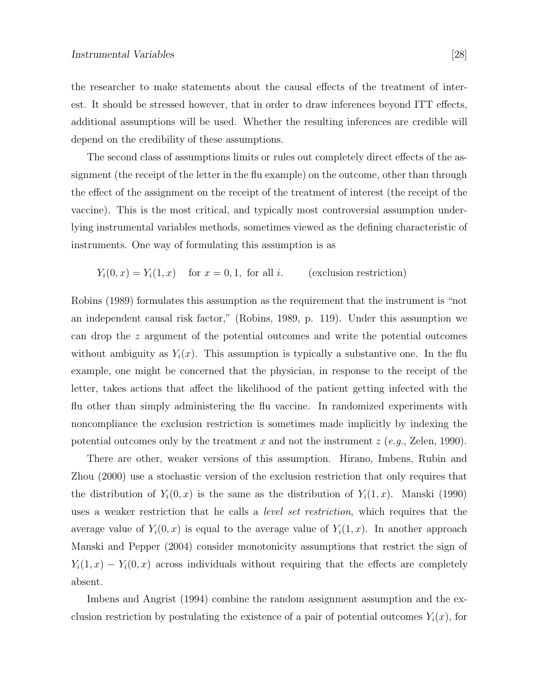the researcher to make statements about the causal effects of the treatment of interest. It should be stressed however, that in order to draw inferences beyond ITT effects, additional assumptions will be used. Whether the resulting inferences are credible will depend on the credibility of these assumptions.

The second class of assumptions limits or rules out completely direct effects of the assignment (the receipt of the letter in the flu example) on the outcome, other than through the effect of the assignment on the receipt of the treatment of interest (the receipt of the vaccine). This is the most critical, and typically most controversial assumption underlying instrumental variables methods, sometimes viewed as the defining characteristic of instruments. One way of formulating this assumption is as

$$
Y_i(0, x) = Y_i(1, x)
$$
 for  $x = 0, 1$ , for all *i*. (exclusion restriction)

Robins (1989) formulates this assumption as the requirement that the instrument is "not an independent causal risk factor," (Robins, 1989, p. 119). Under this assumption we can drop the z argument of the potential outcomes and write the potential outcomes without ambiguity as  $Y_i(x)$ . This assumption is typically a substantive one. In the flu example, one might be concerned that the physician, in response to the receipt of the letter, takes actions that affect the likelihood of the patient getting infected with the flu other than simply administering the flu vaccine. In randomized experiments with noncompliance the exclusion restriction is sometimes made implicitly by indexing the potential outcomes only by the treatment x and not the instrument  $z$  (e.g., Zelen, 1990).

There are other, weaker versions of this assumption. Hirano, Imbens, Rubin and Zhou (2000) use a stochastic version of the exclusion restriction that only requires that the distribution of  $Y_i(0, x)$  is the same as the distribution of  $Y_i(1, x)$ . Manski (1990) uses a weaker restriction that he calls a *level set restriction*, which requires that the average value of  $Y_i(0, x)$  is equal to the average value of  $Y_i(1, x)$ . In another approach Manski and Pepper (2004) consider monotonicity assumptions that restrict the sign of  $Y_i(1, x) - Y_i(0, x)$  across individuals without requiring that the effects are completely absent.

Imbens and Angrist (1994) combine the random assignment assumption and the exclusion restriction by postulating the existence of a pair of potential outcomes  $Y_i(x)$ , for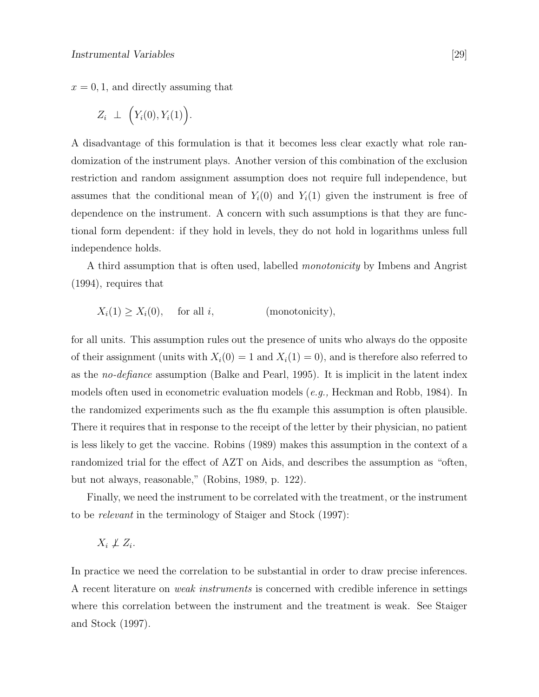$x = 0, 1$ , and directly assuming that

$$
Z_i \perp \left(Y_i(0), Y_i(1)\right).
$$

A disadvantage of this formulation is that it becomes less clear exactly what role randomization of the instrument plays. Another version of this combination of the exclusion restriction and random assignment assumption does not require full independence, but assumes that the conditional mean of  $Y_i(0)$  and  $Y_i(1)$  given the instrument is free of dependence on the instrument. A concern with such assumptions is that they are functional form dependent: if they hold in levels, they do not hold in logarithms unless full independence holds.

A third assumption that is often used, labelled monotonicity by Imbens and Angrist (1994), requires that

$$
X_i(1) \ge X_i(0), \quad \text{ for all } i,
$$
 (monotonicity),

for all units. This assumption rules out the presence of units who always do the opposite of their assignment (units with  $X_i(0) = 1$  and  $X_i(1) = 0$ ), and is therefore also referred to as the no-defiance assumption (Balke and Pearl, 1995). It is implicit in the latent index models often used in econometric evaluation models (e.g., Heckman and Robb, 1984). In the randomized experiments such as the flu example this assumption is often plausible. There it requires that in response to the receipt of the letter by their physician, no patient is less likely to get the vaccine. Robins (1989) makes this assumption in the context of a randomized trial for the effect of AZT on Aids, and describes the assumption as "often, but not always, reasonable," (Robins, 1989, p. 122).

Finally, we need the instrument to be correlated with the treatment, or the instrument to be relevant in the terminology of Staiger and Stock (1997):

$$
X_i \not\perp Z_i.
$$

In practice we need the correlation to be substantial in order to draw precise inferences. A recent literature on weak instruments is concerned with credible inference in settings where this correlation between the instrument and the treatment is weak. See Staiger and Stock (1997).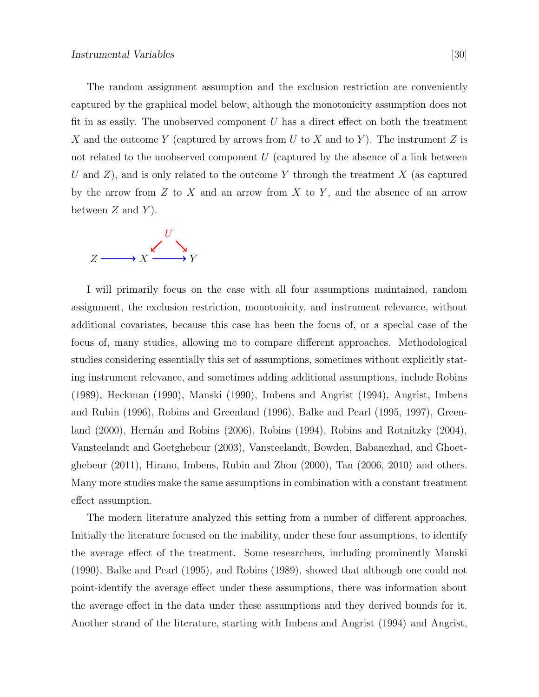The random assignment assumption and the exclusion restriction are conveniently captured by the graphical model below, although the monotonicity assumption does not fit in as easily. The unobserved component  $U$  has a direct effect on both the treatment X and the outcome Y (captured by arrows from U to X and to Y). The instrument Z is not related to the unobserved component  $U$  (captured by the absence of a link between U and  $Z$ ), and is only related to the outcome Y through the treatment  $X$  (as captured by the arrow from  $Z$  to  $X$  and an arrow from  $X$  to  $Y$ , and the absence of an arrow between  $Z$  and  $Y$ ).



I will primarily focus on the case with all four assumptions maintained, random assignment, the exclusion restriction, monotonicity, and instrument relevance, without additional covariates, because this case has been the focus of, or a special case of the focus of, many studies, allowing me to compare different approaches. Methodological studies considering essentially this set of assumptions, sometimes without explicitly stating instrument relevance, and sometimes adding additional assumptions, include Robins (1989), Heckman (1990), Manski (1990), Imbens and Angrist (1994), Angrist, Imbens and Rubin (1996), Robins and Greenland (1996), Balke and Pearl (1995, 1997), Greenland (2000), Hernán and Robins (2006), Robins (1994), Robins and Rotnitzky (2004), Vansteelandt and Goetghebeur (2003), Vansteelandt, Bowden, Babanezhad, and Ghoetghebeur (2011), Hirano, Imbens, Rubin and Zhou (2000), Tan (2006, 2010) and others. Many more studies make the same assumptions in combination with a constant treatment effect assumption.

The modern literature analyzed this setting from a number of different approaches. Initially the literature focused on the inability, under these four assumptions, to identify the average effect of the treatment. Some researchers, including prominently Manski (1990), Balke and Pearl (1995), and Robins (1989), showed that although one could not point-identify the average effect under these assumptions, there was information about the average effect in the data under these assumptions and they derived bounds for it. Another strand of the literature, starting with Imbens and Angrist (1994) and Angrist,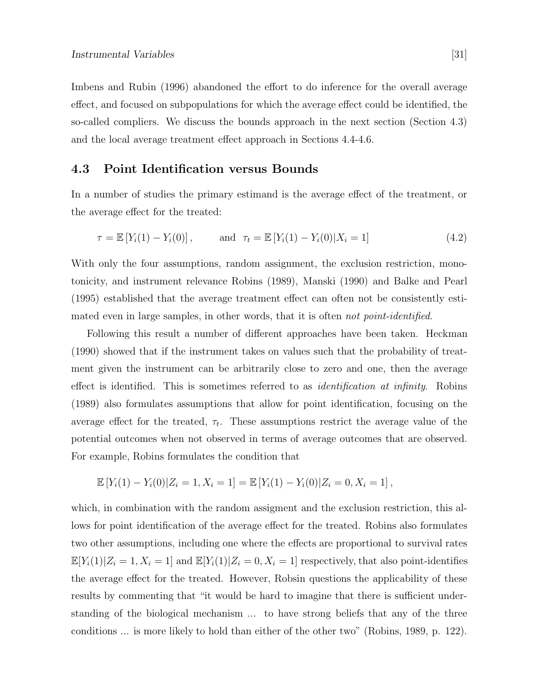Imbens and Rubin (1996) abandoned the effort to do inference for the overall average effect, and focused on subpopulations for which the average effect could be identified, the so-called compliers. We discuss the bounds approach in the next section (Section 4.3) and the local average treatment effect approach in Sections 4.4-4.6.

### 4.3 Point Identification versus Bounds

In a number of studies the primary estimand is the average effect of the treatment, or the average effect for the treated:

$$
\tau = \mathbb{E}[Y_i(1) - Y_i(0)], \quad \text{and} \quad \tau_t = \mathbb{E}[Y_i(1) - Y_i(0)|X_i = 1] \tag{4.2}
$$

With only the four assumptions, random assignment, the exclusion restriction, monotonicity, and instrument relevance Robins (1989), Manski (1990) and Balke and Pearl (1995) established that the average treatment effect can often not be consistently estimated even in large samples, in other words, that it is often *not point-identified*.

Following this result a number of different approaches have been taken. Heckman (1990) showed that if the instrument takes on values such that the probability of treatment given the instrument can be arbitrarily close to zero and one, then the average effect is identified. This is sometimes referred to as identification at infinity. Robins (1989) also formulates assumptions that allow for point identification, focusing on the average effect for the treated,  $\tau_t$ . These assumptions restrict the average value of the potential outcomes when not observed in terms of average outcomes that are observed. For example, Robins formulates the condition that

$$
\mathbb{E}[Y_i(1) - Y_i(0)|Z_i = 1, X_i = 1] = \mathbb{E}[Y_i(1) - Y_i(0)|Z_i = 0, X_i = 1],
$$

which, in combination with the random assigment and the exclusion restriction, this allows for point identification of the average effect for the treated. Robins also formulates two other assumptions, including one where the effects are proportional to survival rates  $\mathbb{E}[Y_i(1)|Z_i = 1, X_i = 1]$  and  $\mathbb{E}[Y_i(1)|Z_i = 0, X_i = 1]$  respectively, that also point-identifies the average effect for the treated. However, Robsin questions the applicability of these results by commenting that "it would be hard to imagine that there is sufficient understanding of the biological mechanism ... to have strong beliefs that any of the three conditions ... is more likely to hold than either of the other two" (Robins, 1989, p. 122).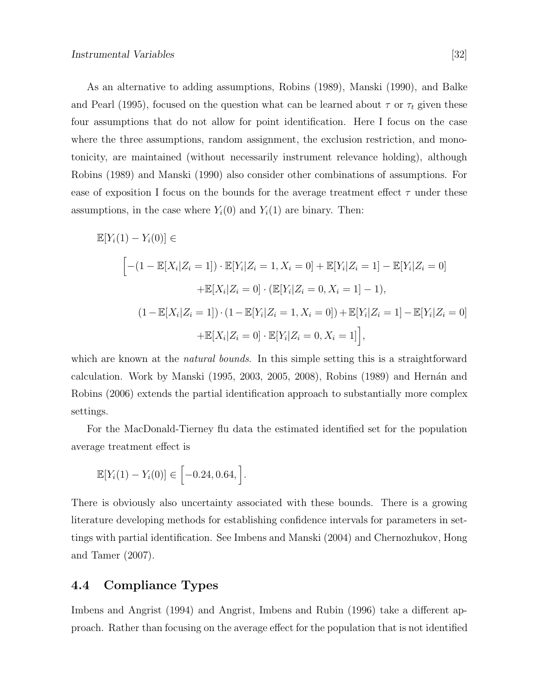As an alternative to adding assumptions, Robins (1989), Manski (1990), and Balke and Pearl (1995), focused on the question what can be learned about  $\tau$  or  $\tau_t$  given these four assumptions that do not allow for point identification. Here I focus on the case where the three assumptions, random assignment, the exclusion restriction, and monotonicity, are maintained (without necessarily instrument relevance holding), although Robins (1989) and Manski (1990) also consider other combinations of assumptions. For ease of exposition I focus on the bounds for the average treatment effect  $\tau$  under these assumptions, in the case where  $Y_i(0)$  and  $Y_i(1)$  are binary. Then:

$$
\mathbb{E}[Y_i(1) - Y_i(0)] \in
$$
\n
$$
\begin{aligned}\n & \left[ -(1 - \mathbb{E}[X_i | Z_i = 1]) \cdot \mathbb{E}[Y_i | Z_i = 1, X_i = 0] + \mathbb{E}[Y_i | Z_i = 1] - \mathbb{E}[Y_i | Z_i = 0] \right. \\
& \left. + \mathbb{E}[X_i | Z_i = 0] \cdot (\mathbb{E}[Y_i | Z_i = 0, X_i = 1] - 1), \right. \\
& \left. (1 - \mathbb{E}[X_i | Z_i = 1]) \cdot (1 - \mathbb{E}[Y_i | Z_i = 1, X_i = 0]) + \mathbb{E}[Y_i | Z_i = 1] - \mathbb{E}[Y_i | Z_i = 0] \right. \\
& \left. + \mathbb{E}[X_i | Z_i = 0] \cdot \mathbb{E}[Y_i | Z_i = 0, X_i = 1] \right],\n \end{aligned}
$$

which are known at the *natural bounds*. In this simple setting this is a straightforward calculation. Work by Manski (1995, 2003, 2005, 2008), Robins (1989) and Hernán and Robins (2006) extends the partial identification approach to substantially more complex settings.

For the MacDonald-Tierney flu data the estimated identified set for the population average treatment effect is

$$
\mathbb{E}[Y_i(1) - Y_i(0)] \in [-0.24, 0.64, ].
$$

There is obviously also uncertainty associated with these bounds. There is a growing literature developing methods for establishing confidence intervals for parameters in settings with partial identification. See Imbens and Manski (2004) and Chernozhukov, Hong and Tamer (2007).

# 4.4 Compliance Types

Imbens and Angrist (1994) and Angrist, Imbens and Rubin (1996) take a different approach. Rather than focusing on the average effect for the population that is not identified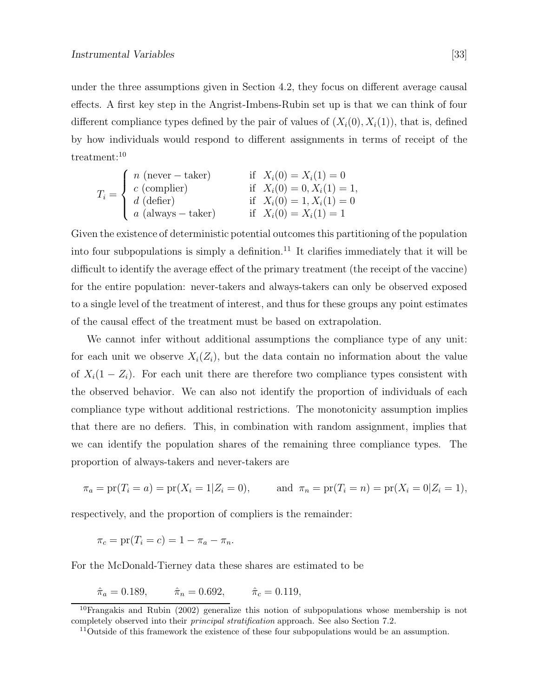under the three assumptions given in Section 4.2, they focus on different average causal effects. A first key step in the Angrist-Imbens-Rubin set up is that we can think of four different compliance types defined by the pair of values of  $(X_i(0), X_i(1))$ , that is, defined by how individuals would respond to different assignments in terms of receipt of the treatment:<sup>10</sup>

$$
T_i = \begin{cases} n \text{ (never - taken)} & \text{if } X_i(0) = X_i(1) = 0 \\ c \text{ (complier)} & \text{if } X_i(0) = 0, X_i(1) = 1, \\ d \text{ (define)} & \text{if } X_i(0) = 1, X_i(1) = 0 \\ a \text{ (always - taken)} & \text{if } X_i(0) = X_i(1) = 1 \end{cases}
$$

Given the existence of deterministic potential outcomes this partitioning of the population into four subpopulations is simply a definition.<sup>11</sup> It clarifies immediately that it will be difficult to identify the average effect of the primary treatment (the receipt of the vaccine) for the entire population: never-takers and always-takers can only be observed exposed to a single level of the treatment of interest, and thus for these groups any point estimates of the causal effect of the treatment must be based on extrapolation.

We cannot infer without additional assumptions the compliance type of any unit: for each unit we observe  $X_i(Z_i)$ , but the data contain no information about the value of  $X_i(1 - Z_i)$ . For each unit there are therefore two compliance types consistent with the observed behavior. We can also not identify the proportion of individuals of each compliance type without additional restrictions. The monotonicity assumption implies that there are no defiers. This, in combination with random assignment, implies that we can identify the population shares of the remaining three compliance types. The proportion of always-takers and never-takers are

$$
\pi_a = \text{pr}(T_i = a) = \text{pr}(X_i = 1 | Z_i = 0),
$$
 and  $\pi_n = \text{pr}(T_i = n) = \text{pr}(X_i = 0 | Z_i = 1),$ 

respectively, and the proportion of compliers is the remainder:

$$
\pi_c = \text{pr}(T_i = c) = 1 - \pi_a - \pi_n.
$$

For the McDonald-Tierney data these shares are estimated to be

$$
\hat{\pi}_a = 0.189,
$$
  $\hat{\pi}_n = 0.692,$   $\hat{\pi}_c = 0.119,$ 

<sup>&</sup>lt;sup>10</sup>Frangakis and Rubin (2002) generalize this notion of subpopulations whose membership is not completely observed into their principal stratification approach. See also Section 7.2.

<sup>&</sup>lt;sup>11</sup>Outside of this framework the existence of these four subpopulations would be an assumption.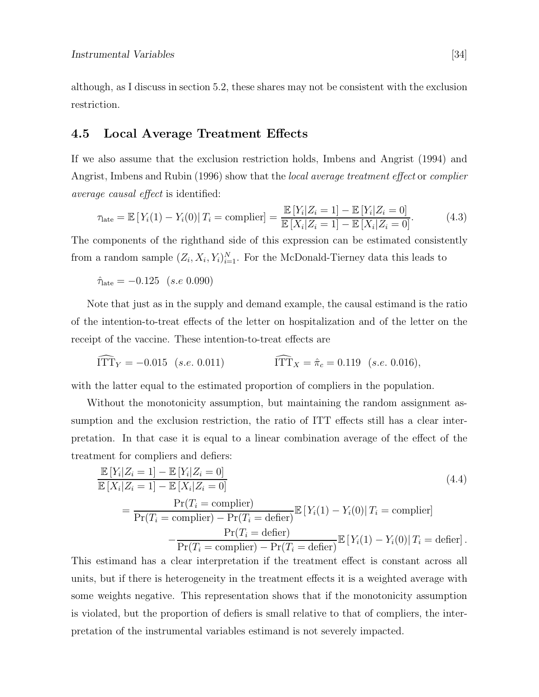although, as I discuss in section 5.2, these shares may not be consistent with the exclusion restriction.

#### 4.5 Local Average Treatment Effects

If we also assume that the exclusion restriction holds, Imbens and Angrist (1994) and Angrist, Imbens and Rubin (1996) show that the *local average treatment effect* or *complier* average causal effect is identified:

$$
\tau_{\text{late}} = \mathbb{E}\left[Y_i(1) - Y_i(0) | T_i = \text{complier}\right] = \frac{\mathbb{E}\left[Y_i | Z_i = 1\right] - \mathbb{E}\left[Y_i | Z_i = 0\right]}{\mathbb{E}\left[X_i | Z_i = 1\right] - \mathbb{E}\left[X_i | Z_i = 0\right]}.
$$
\n(4.3)

The components of the righthand side of this expression can be estimated consistently from a random sample  $(Z_i, X_i, Y_i)_{i=1}^N$ . For the McDonald-Tierney data this leads to

 $\hat{\tau}_{\text{late}} = -0.125$  (s.e 0.090)

Note that just as in the supply and demand example, the causal estimand is the ratio of the intention-to-treat effects of the letter on hospitalization and of the letter on the receipt of the vaccine. These intention-to-treat effects are

$$
\widehat{\text{ITT}}_Y = -0.015 \quad (s.e. \ 0.011) \qquad \qquad \widehat{\text{ITT}}_X = \hat{\pi}_c = 0.119 \quad (s.e. \ 0.016),
$$

with the latter equal to the estimated proportion of compliers in the population.

Without the monotonicity assumption, but maintaining the random assignment assumption and the exclusion restriction, the ratio of ITT effects still has a clear interpretation. In that case it is equal to a linear combination average of the effect of the treatment for compliers and defiers:

$$
\mathbb{E}\left[Y_i|Z_i=1\right]-\mathbb{E}\left[Y_i|Z_i=0\right]
$$
\n
$$
\mathbb{E}\left[X_i|Z_i=1\right]-\mathbb{E}\left[X_i|Z_i=0\right]
$$
\n
$$
=\frac{\Pr(T_i=\text{complier})}{\Pr(T_i=\text{complier})-\Pr(T_i=\text{defier})}\mathbb{E}\left[Y_i(1)-Y_i(0)\right|T_i=\text{complier}\right]
$$
\n
$$
-\frac{\Pr(T_i=\text{defier})}{\Pr(T_i=\text{complier})-\Pr(T_i=\text{defier})}\mathbb{E}\left[Y_i(1)-Y_i(0)\right|T_i=\text{defier}\right].
$$
\n(4.4)

This estimand has a clear interpretation if the treatment effect is constant across all units, but if there is heterogeneity in the treatment effects it is a weighted average with some weights negative. This representation shows that if the monotonicity assumption is violated, but the proportion of defiers is small relative to that of compliers, the interpretation of the instrumental variables estimand is not severely impacted.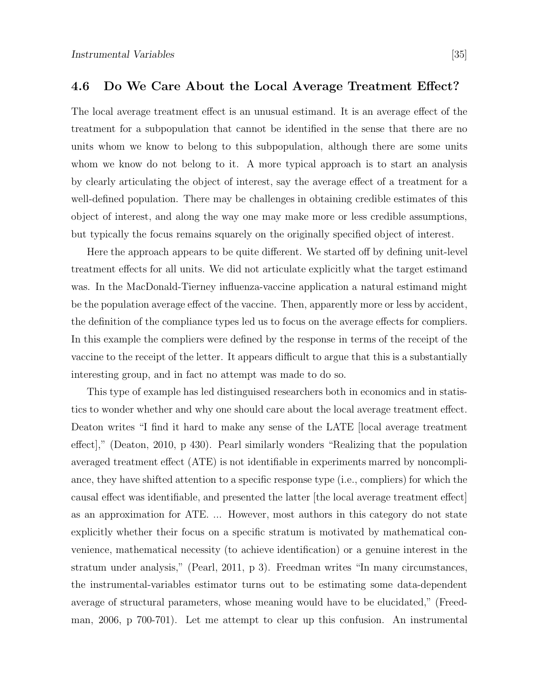#### 4.6 Do We Care About the Local Average Treatment Effect?

The local average treatment effect is an unusual estimand. It is an average effect of the treatment for a subpopulation that cannot be identified in the sense that there are no units whom we know to belong to this subpopulation, although there are some units whom we know do not belong to it. A more typical approach is to start an analysis by clearly articulating the object of interest, say the average effect of a treatment for a well-defined population. There may be challenges in obtaining credible estimates of this object of interest, and along the way one may make more or less credible assumptions, but typically the focus remains squarely on the originally specified object of interest.

Here the approach appears to be quite different. We started off by defining unit-level treatment effects for all units. We did not articulate explicitly what the target estimand was. In the MacDonald-Tierney influenza-vaccine application a natural estimand might be the population average effect of the vaccine. Then, apparently more or less by accident, the definition of the compliance types led us to focus on the average effects for compliers. In this example the compliers were defined by the response in terms of the receipt of the vaccine to the receipt of the letter. It appears difficult to argue that this is a substantially interesting group, and in fact no attempt was made to do so.

This type of example has led distinguised researchers both in economics and in statistics to wonder whether and why one should care about the local average treatment effect. Deaton writes "I find it hard to make any sense of the LATE [local average treatment effect]," (Deaton, 2010, p 430). Pearl similarly wonders "Realizing that the population averaged treatment effect (ATE) is not identifiable in experiments marred by noncompliance, they have shifted attention to a specific response type (i.e., compliers) for which the causal effect was identifiable, and presented the latter [the local average treatment effect] as an approximation for ATE. ... However, most authors in this category do not state explicitly whether their focus on a specific stratum is motivated by mathematical convenience, mathematical necessity (to achieve identification) or a genuine interest in the stratum under analysis," (Pearl, 2011, p 3). Freedman writes "In many circumstances, the instrumental-variables estimator turns out to be estimating some data-dependent average of structural parameters, whose meaning would have to be elucidated," (Freedman, 2006, p 700-701). Let me attempt to clear up this confusion. An instrumental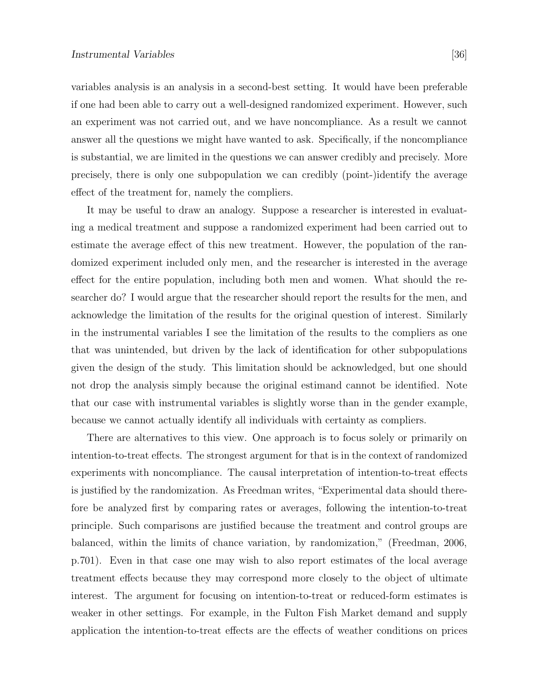variables analysis is an analysis in a second-best setting. It would have been preferable if one had been able to carry out a well-designed randomized experiment. However, such an experiment was not carried out, and we have noncompliance. As a result we cannot answer all the questions we might have wanted to ask. Specifically, if the noncompliance is substantial, we are limited in the questions we can answer credibly and precisely. More precisely, there is only one subpopulation we can credibly (point-)identify the average effect of the treatment for, namely the compliers.

It may be useful to draw an analogy. Suppose a researcher is interested in evaluating a medical treatment and suppose a randomized experiment had been carried out to estimate the average effect of this new treatment. However, the population of the randomized experiment included only men, and the researcher is interested in the average effect for the entire population, including both men and women. What should the researcher do? I would argue that the researcher should report the results for the men, and acknowledge the limitation of the results for the original question of interest. Similarly in the instrumental variables I see the limitation of the results to the compliers as one that was unintended, but driven by the lack of identification for other subpopulations given the design of the study. This limitation should be acknowledged, but one should not drop the analysis simply because the original estimand cannot be identified. Note that our case with instrumental variables is slightly worse than in the gender example, because we cannot actually identify all individuals with certainty as compliers.

There are alternatives to this view. One approach is to focus solely or primarily on intention-to-treat effects. The strongest argument for that is in the context of randomized experiments with noncompliance. The causal interpretation of intention-to-treat effects is justified by the randomization. As Freedman writes, "Experimental data should therefore be analyzed first by comparing rates or averages, following the intention-to-treat principle. Such comparisons are justified because the treatment and control groups are balanced, within the limits of chance variation, by randomization," (Freedman, 2006, p.701). Even in that case one may wish to also report estimates of the local average treatment effects because they may correspond more closely to the object of ultimate interest. The argument for focusing on intention-to-treat or reduced-form estimates is weaker in other settings. For example, in the Fulton Fish Market demand and supply application the intention-to-treat effects are the effects of weather conditions on prices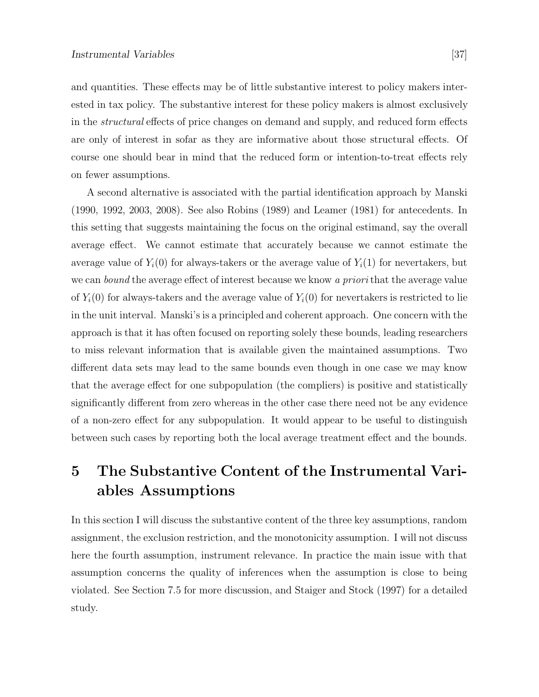and quantities. These effects may be of little substantive interest to policy makers interested in tax policy. The substantive interest for these policy makers is almost exclusively in the structural effects of price changes on demand and supply, and reduced form effects are only of interest in sofar as they are informative about those structural effects. Of course one should bear in mind that the reduced form or intention-to-treat effects rely on fewer assumptions.

A second alternative is associated with the partial identification approach by Manski (1990, 1992, 2003, 2008). See also Robins (1989) and Leamer (1981) for antecedents. In this setting that suggests maintaining the focus on the original estimand, say the overall average effect. We cannot estimate that accurately because we cannot estimate the average value of  $Y_i(0)$  for always-takers or the average value of  $Y_i(1)$  for nevertakers, but we can bound the average effect of interest because we know a priori that the average value of  $Y_i(0)$  for always-takers and the average value of  $Y_i(0)$  for nevertakers is restricted to lie in the unit interval. Manski's is a principled and coherent approach. One concern with the approach is that it has often focused on reporting solely these bounds, leading researchers to miss relevant information that is available given the maintained assumptions. Two different data sets may lead to the same bounds even though in one case we may know that the average effect for one subpopulation (the compliers) is positive and statistically significantly different from zero whereas in the other case there need not be any evidence of a non-zero effect for any subpopulation. It would appear to be useful to distinguish between such cases by reporting both the local average treatment effect and the bounds.

## 5 The Substantive Content of the Instrumental Variables Assumptions

In this section I will discuss the substantive content of the three key assumptions, random assignment, the exclusion restriction, and the monotonicity assumption. I will not discuss here the fourth assumption, instrument relevance. In practice the main issue with that assumption concerns the quality of inferences when the assumption is close to being violated. See Section 7.5 for more discussion, and Staiger and Stock (1997) for a detailed study.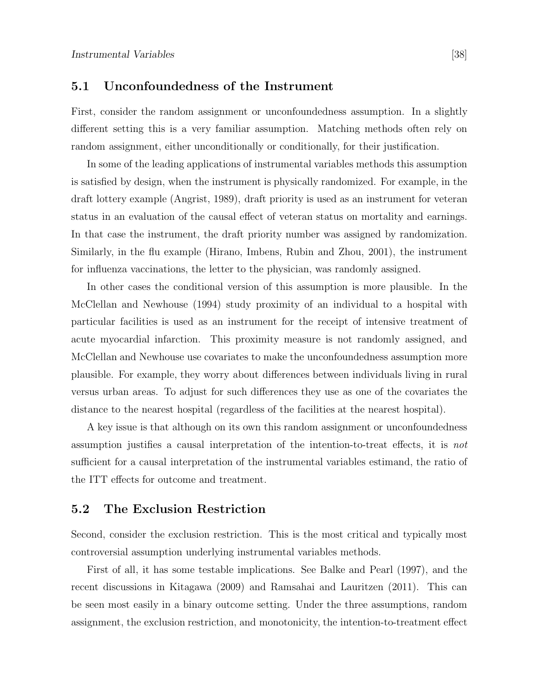### 5.1 Unconfoundedness of the Instrument

First, consider the random assignment or unconfoundedness assumption. In a slightly different setting this is a very familiar assumption. Matching methods often rely on random assignment, either unconditionally or conditionally, for their justification.

In some of the leading applications of instrumental variables methods this assumption is satisfied by design, when the instrument is physically randomized. For example, in the draft lottery example (Angrist, 1989), draft priority is used as an instrument for veteran status in an evaluation of the causal effect of veteran status on mortality and earnings. In that case the instrument, the draft priority number was assigned by randomization. Similarly, in the flu example (Hirano, Imbens, Rubin and Zhou, 2001), the instrument for influenza vaccinations, the letter to the physician, was randomly assigned.

In other cases the conditional version of this assumption is more plausible. In the McClellan and Newhouse (1994) study proximity of an individual to a hospital with particular facilities is used as an instrument for the receipt of intensive treatment of acute myocardial infarction. This proximity measure is not randomly assigned, and McClellan and Newhouse use covariates to make the unconfoundedness assumption more plausible. For example, they worry about differences between individuals living in rural versus urban areas. To adjust for such differences they use as one of the covariates the distance to the nearest hospital (regardless of the facilities at the nearest hospital).

A key issue is that although on its own this random assignment or unconfoundedness assumption justifies a causal interpretation of the intention-to-treat effects, it is not sufficient for a causal interpretation of the instrumental variables estimand, the ratio of the ITT effects for outcome and treatment.

#### 5.2 The Exclusion Restriction

Second, consider the exclusion restriction. This is the most critical and typically most controversial assumption underlying instrumental variables methods.

First of all, it has some testable implications. See Balke and Pearl (1997), and the recent discussions in Kitagawa (2009) and Ramsahai and Lauritzen (2011). This can be seen most easily in a binary outcome setting. Under the three assumptions, random assignment, the exclusion restriction, and monotonicity, the intention-to-treatment effect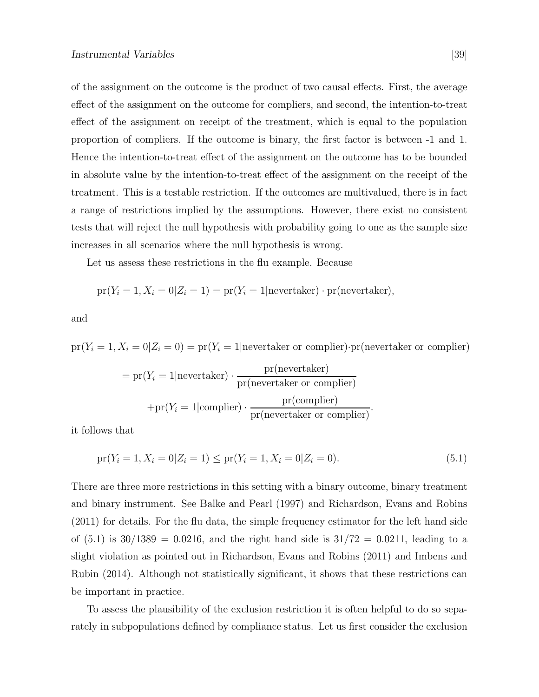of the assignment on the outcome is the product of two causal effects. First, the average effect of the assignment on the outcome for compliers, and second, the intention-to-treat effect of the assignment on receipt of the treatment, which is equal to the population proportion of compliers. If the outcome is binary, the first factor is between -1 and 1. Hence the intention-to-treat effect of the assignment on the outcome has to be bounded in absolute value by the intention-to-treat effect of the assignment on the receipt of the treatment. This is a testable restriction. If the outcomes are multivalued, there is in fact a range of restrictions implied by the assumptions. However, there exist no consistent tests that will reject the null hypothesis with probability going to one as the sample size increases in all scenarios where the null hypothesis is wrong.

Let us assess these restrictions in the flu example. Because

$$
pr(Y_i = 1, X_i = 0 | Z_i = 1) = pr(Y_i = 1 | nevertaker) \cdot pr(nevertaker),
$$

and

 $pr(Y_i = 1, X_i = 0 | Z_i = 0) = pr(Y_i = 1 |$ nevertaker or complier)·pr(nevertaker or complier)

= pr(
$$
Y_i = 1
$$
|nevertaker) ·  $\frac{pr(newertaker)}{pr(newertaker or compiler)}$   
+pr( $Y_i = 1$ |complier) ·  $\frac{pr(complier)}{pr(newertaker or compiler)}$ .

it follows that

$$
\text{pr}(Y_i = 1, X_i = 0 | Z_i = 1) \le \text{pr}(Y_i = 1, X_i = 0 | Z_i = 0). \tag{5.1}
$$

There are three more restrictions in this setting with a binary outcome, binary treatment and binary instrument. See Balke and Pearl (1997) and Richardson, Evans and Robins (2011) for details. For the flu data, the simple frequency estimator for the left hand side of  $(5.1)$  is  $30/1389 = 0.0216$ , and the right hand side is  $31/72 = 0.0211$ , leading to a slight violation as pointed out in Richardson, Evans and Robins (2011) and Imbens and Rubin (2014). Although not statistically significant, it shows that these restrictions can be important in practice.

To assess the plausibility of the exclusion restriction it is often helpful to do so separately in subpopulations defined by compliance status. Let us first consider the exclusion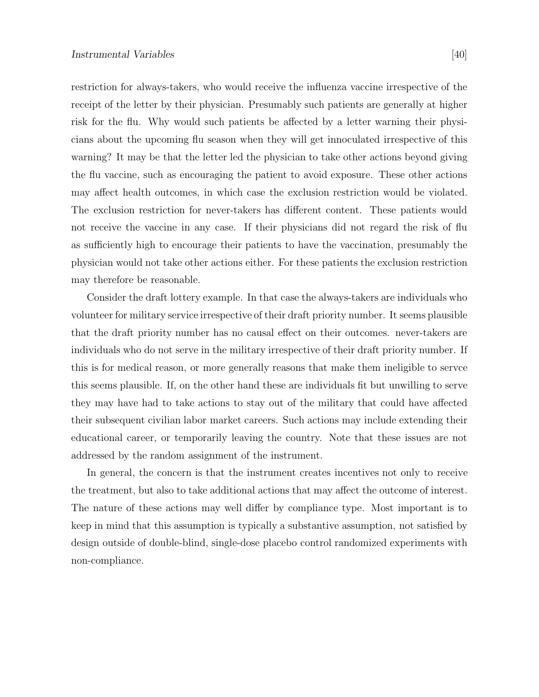restriction for always-takers, who would receive the influenza vaccine irrespective of the receipt of the letter by their physician. Presumably such patients are generally at higher risk for the flu. Why would such patients be affected by a letter warning their physicians about the upcoming flu season when they will get innoculated irrespective of this warning? It may be that the letter led the physician to take other actions beyond giving the flu vaccine, such as encouraging the patient to avoid exposure. These other actions may affect health outcomes, in which case the exclusion restriction would be violated. The exclusion restriction for never-takers has different content. These patients would not receive the vaccine in any case. If their physicians did not regard the risk of flu as sufficiently high to encourage their patients to have the vaccination, presumably the physician would not take other actions either. For these patients the exclusion restriction may therefore be reasonable.

Consider the draft lottery example. In that case the always-takers are individuals who volunteer for military service irrespective of their draft priority number. It seems plausible that the draft priority number has no causal effect on their outcomes. never-takers are individuals who do not serve in the military irrespective of their draft priority number. If this is for medical reason, or more generally reasons that make them ineligible to servce this seems plausible. If, on the other hand these are individuals fit but unwilling to serve they may have had to take actions to stay out of the military that could have affected their subsequent civilian labor market careers. Such actions may include extending their educational career, or temporarily leaving the country. Note that these issues are not addressed by the random assignment of the instrument.

In general, the concern is that the instrument creates incentives not only to receive the treatment, but also to take additional actions that may affect the outcome of interest. The nature of these actions may well differ by compliance type. Most important is to keep in mind that this assumption is typically a substantive assumption, not satisfied by design outside of double-blind, single-dose placebo control randomized experiments with non-compliance.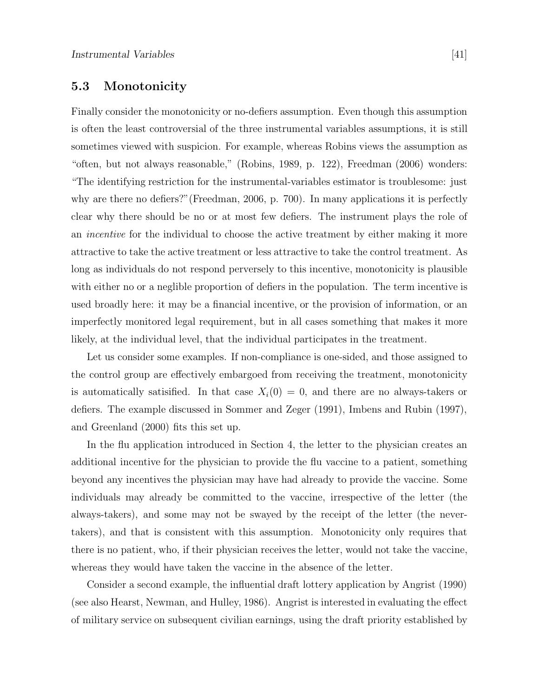#### 5.3 Monotonicity

Finally consider the monotonicity or no-defiers assumption. Even though this assumption is often the least controversial of the three instrumental variables assumptions, it is still sometimes viewed with suspicion. For example, whereas Robins views the assumption as "often, but not always reasonable," (Robins, 1989, p. 122), Freedman (2006) wonders: "The identifying restriction for the instrumental-variables estimator is troublesome: just why are there no defiers?"(Freedman, 2006, p. 700). In many applications it is perfectly clear why there should be no or at most few defiers. The instrument plays the role of an incentive for the individual to choose the active treatment by either making it more attractive to take the active treatment or less attractive to take the control treatment. As long as individuals do not respond perversely to this incentive, monotonicity is plausible with either no or a neglible proportion of defiers in the population. The term incentive is used broadly here: it may be a financial incentive, or the provision of information, or an imperfectly monitored legal requirement, but in all cases something that makes it more likely, at the individual level, that the individual participates in the treatment.

Let us consider some examples. If non-compliance is one-sided, and those assigned to the control group are effectively embargoed from receiving the treatment, monotonicity is automatically satisfied. In that case  $X_i(0) = 0$ , and there are no always-takers or defiers. The example discussed in Sommer and Zeger (1991), Imbens and Rubin (1997), and Greenland (2000) fits this set up.

In the flu application introduced in Section 4, the letter to the physician creates an additional incentive for the physician to provide the flu vaccine to a patient, something beyond any incentives the physician may have had already to provide the vaccine. Some individuals may already be committed to the vaccine, irrespective of the letter (the always-takers), and some may not be swayed by the receipt of the letter (the nevertakers), and that is consistent with this assumption. Monotonicity only requires that there is no patient, who, if their physician receives the letter, would not take the vaccine, whereas they would have taken the vaccine in the absence of the letter.

Consider a second example, the influential draft lottery application by Angrist (1990) (see also Hearst, Newman, and Hulley, 1986). Angrist is interested in evaluating the effect of military service on subsequent civilian earnings, using the draft priority established by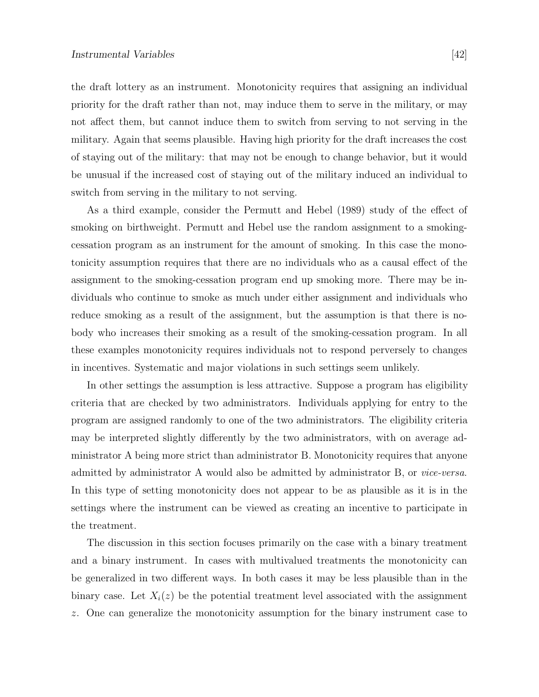the draft lottery as an instrument. Monotonicity requires that assigning an individual priority for the draft rather than not, may induce them to serve in the military, or may not affect them, but cannot induce them to switch from serving to not serving in the military. Again that seems plausible. Having high priority for the draft increases the cost of staying out of the military: that may not be enough to change behavior, but it would be unusual if the increased cost of staying out of the military induced an individual to switch from serving in the military to not serving.

As a third example, consider the Permutt and Hebel (1989) study of the effect of smoking on birthweight. Permutt and Hebel use the random assignment to a smokingcessation program as an instrument for the amount of smoking. In this case the monotonicity assumption requires that there are no individuals who as a causal effect of the assignment to the smoking-cessation program end up smoking more. There may be individuals who continue to smoke as much under either assignment and individuals who reduce smoking as a result of the assignment, but the assumption is that there is nobody who increases their smoking as a result of the smoking-cessation program. In all these examples monotonicity requires individuals not to respond perversely to changes in incentives. Systematic and major violations in such settings seem unlikely.

In other settings the assumption is less attractive. Suppose a program has eligibility criteria that are checked by two administrators. Individuals applying for entry to the program are assigned randomly to one of the two administrators. The eligibility criteria may be interpreted slightly differently by the two administrators, with on average administrator A being more strict than administrator B. Monotonicity requires that anyone admitted by administrator A would also be admitted by administrator B, or vice-versa. In this type of setting monotonicity does not appear to be as plausible as it is in the settings where the instrument can be viewed as creating an incentive to participate in the treatment.

The discussion in this section focuses primarily on the case with a binary treatment and a binary instrument. In cases with multivalued treatments the monotonicity can be generalized in two different ways. In both cases it may be less plausible than in the binary case. Let  $X_i(z)$  be the potential treatment level associated with the assignment z. One can generalize the monotonicity assumption for the binary instrument case to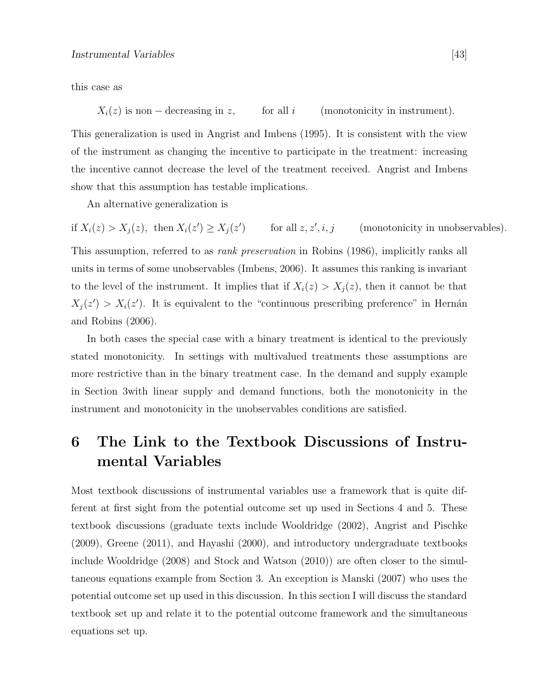this case as

 $X_i(z)$  is non – decreasing in z, for all i (monotonicity in instrument).

This generalization is used in Angrist and Imbens (1995). It is consistent with the view of the instrument as changing the incentive to participate in the treatment: increasing the incentive cannot decrease the level of the treatment received. Angrist and Imbens show that this assumption has testable implications.

An alternative generalization is

if  $X_i(z) > X_j(z)$ , then  $X_i(z') \ge X_j(z')$  for all  $z, z'$ (monotonicity in unobservables).

This assumption, referred to as rank preservation in Robins (1986), implicitly ranks all units in terms of some unobservables (Imbens, 2006). It assumes this ranking is invariant to the level of the instrument. It implies that if  $X_i(z) > X_j(z)$ , then it cannot be that  $X_j(z') > X_i(z')$ . It is equivalent to the "continuous prescribing preference" in Hernán and Robins (2006).

In both cases the special case with a binary treatment is identical to the previously stated monotonicity. In settings with multivalued treatments these assumptions are more restrictive than in the binary treatment case. In the demand and supply example in Section 3with linear supply and demand functions, both the monotonicity in the instrument and monotonicity in the unobservables conditions are satisfied.

### 6 The Link to the Textbook Discussions of Instrumental Variables

Most textbook discussions of instrumental variables use a framework that is quite different at first sight from the potential outcome set up used in Sections 4 and 5. These textbook discussions (graduate texts include Wooldridge (2002), Angrist and Pischke (2009), Greene (2011), and Hayashi (2000), and introductory undergraduate textbooks include Wooldridge (2008) and Stock and Watson (2010)) are often closer to the simultaneous equations example from Section 3. An exception is Manski (2007) who uses the potential outcome set up used in this discussion. In this section I will discuss the standard textbook set up and relate it to the potential outcome framework and the simultaneous equations set up.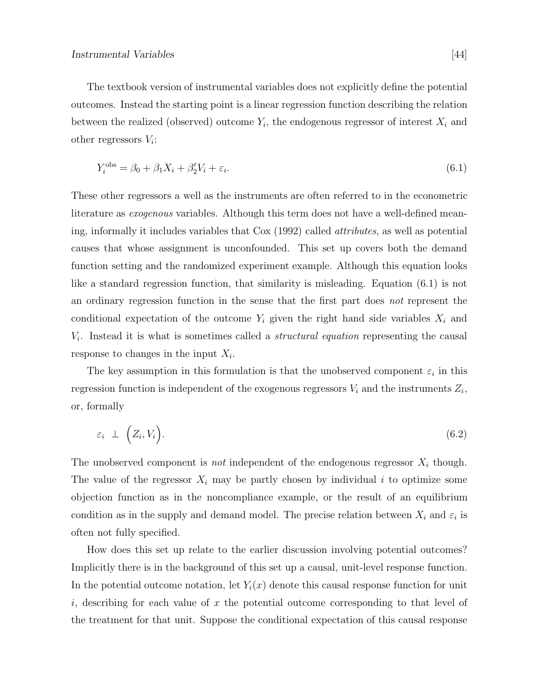The textbook version of instrumental variables does not explicitly define the potential outcomes. Instead the starting point is a linear regression function describing the relation between the realized (observed) outcome  $Y_i$ , the endogenous regressor of interest  $X_i$  and other regressors  $V_i$ :

$$
Y_i^{\text{obs}} = \beta_0 + \beta_1 X_i + \beta_2' V_i + \varepsilon_i. \tag{6.1}
$$

These other regressors a well as the instruments are often referred to in the econometric literature as *exogenous* variables. Although this term does not have a well-defined meaning, informally it includes variables that Cox (1992) called attributes, as well as potential causes that whose assignment is unconfounded. This set up covers both the demand function setting and the randomized experiment example. Although this equation looks like a standard regression function, that similarity is misleading. Equation (6.1) is not an ordinary regression function in the sense that the first part does not represent the conditional expectation of the outcome  $Y_i$  given the right hand side variables  $X_i$  and  $V_i$ . Instead it is what is sometimes called a *structural equation* representing the causal response to changes in the input  $X_i$ .

The key assumption in this formulation is that the unobserved component  $\varepsilon_i$  in this regression function is independent of the exogenous regressors  $V_i$  and the instruments  $Z_i$ , or, formally

$$
\varepsilon_i \perp \left( Z_i, V_i \right). \tag{6.2}
$$

The unobserved component is *not* independent of the endogenous regressor  $X_i$  though. The value of the regressor  $X_i$  may be partly chosen by individual i to optimize some objection function as in the noncompliance example, or the result of an equilibrium condition as in the supply and demand model. The precise relation between  $X_i$  and  $\varepsilon_i$  is often not fully specified.

How does this set up relate to the earlier discussion involving potential outcomes? Implicitly there is in the background of this set up a causal, unit-level response function. In the potential outcome notation, let  $Y_i(x)$  denote this causal response function for unit i, describing for each value of x the potential outcome corresponding to that level of the treatment for that unit. Suppose the conditional expectation of this causal response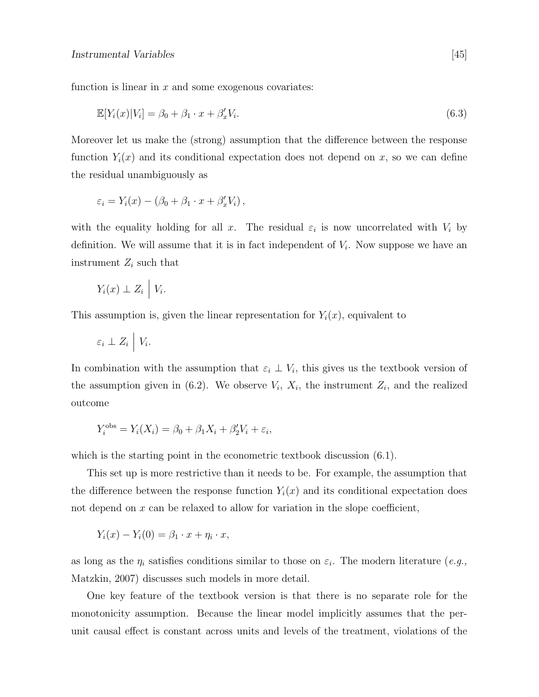$$
\mathbb{E}[Y_i(x)|V_i] = \beta_0 + \beta_1 \cdot x + \beta'_x V_i. \tag{6.3}
$$

Moreover let us make the (strong) assumption that the difference between the response function  $Y_i(x)$  and its conditional expectation does not depend on x, so we can define the residual unambiguously as

$$
\varepsilon_i = Y_i(x) - (\beta_0 + \beta_1 \cdot x + \beta'_x V_i),
$$

with the equality holding for all x. The residual  $\varepsilon_i$  is now uncorrelated with  $V_i$  by definition. We will assume that it is in fact independent of  $V_i$ . Now suppose we have an instrument  $Z_i$  such that

$$
Y_i(x) \perp Z_i \mid V_i.
$$

This assumption is, given the linear representation for  $Y_i(x)$ , equivalent to

$$
\varepsilon_i \perp Z_i \mid V_i.
$$

In combination with the assumption that  $\varepsilon_i \perp V_i$ , this gives us the textbook version of the assumption given in (6.2). We observe  $V_i$ ,  $X_i$ , the instrument  $Z_i$ , and the realized outcome

$$
Y_i^{\text{obs}} = Y_i(X_i) = \beta_0 + \beta_1 X_i + \beta_2' V_i + \varepsilon_i,
$$

which is the starting point in the econometric textbook discussion  $(6.1)$ .

This set up is more restrictive than it needs to be. For example, the assumption that the difference between the response function  $Y_i(x)$  and its conditional expectation does not depend on  $x$  can be relaxed to allow for variation in the slope coefficient,

$$
Y_i(x) - Y_i(0) = \beta_1 \cdot x + \eta_i \cdot x,
$$

as long as the  $\eta_i$  satisfies conditions similar to those on  $\varepsilon_i$ . The modern literature (e.g., Matzkin, 2007) discusses such models in more detail.

One key feature of the textbook version is that there is no separate role for the monotonicity assumption. Because the linear model implicitly assumes that the perunit causal effect is constant across units and levels of the treatment, violations of the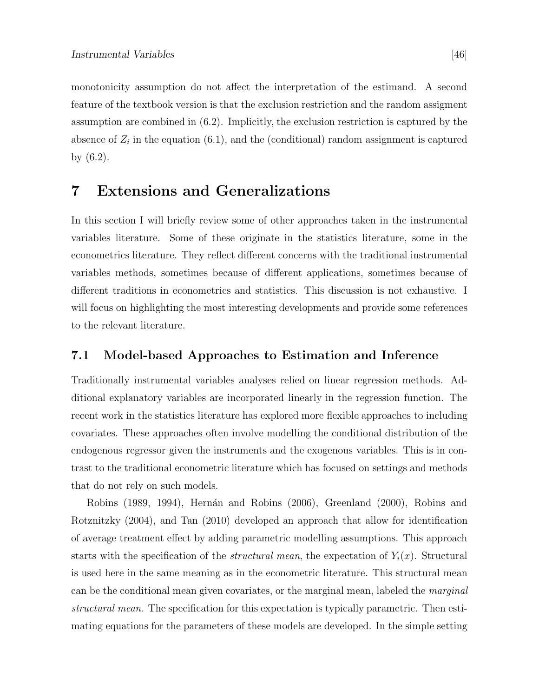by (6.2).

monotonicity assumption do not affect the interpretation of the estimand. A second feature of the textbook version is that the exclusion restriction and the random assigment assumption are combined in (6.2). Implicitly, the exclusion restriction is captured by the absence of  $Z_i$  in the equation  $(6.1)$ , and the (conditional) random assignment is captured

### 7 Extensions and Generalizations

In this section I will briefly review some of other approaches taken in the instrumental variables literature. Some of these originate in the statistics literature, some in the econometrics literature. They reflect different concerns with the traditional instrumental variables methods, sometimes because of different applications, sometimes because of different traditions in econometrics and statistics. This discussion is not exhaustive. I will focus on highlighting the most interesting developments and provide some references to the relevant literature.

#### 7.1 Model-based Approaches to Estimation and Inference

Traditionally instrumental variables analyses relied on linear regression methods. Additional explanatory variables are incorporated linearly in the regression function. The recent work in the statistics literature has explored more flexible approaches to including covariates. These approaches often involve modelling the conditional distribution of the endogenous regressor given the instruments and the exogenous variables. This is in contrast to the traditional econometric literature which has focused on settings and methods that do not rely on such models.

Robins (1989, 1994), Hernán and Robins (2006), Greenland (2000), Robins and Rotznitzky (2004), and Tan (2010) developed an approach that allow for identification of average treatment effect by adding parametric modelling assumptions. This approach starts with the specification of the *structural mean*, the expectation of  $Y_i(x)$ . Structural is used here in the same meaning as in the econometric literature. This structural mean can be the conditional mean given covariates, or the marginal mean, labeled the marginal structural mean. The specification for this expectation is typically parametric. Then estimating equations for the parameters of these models are developed. In the simple setting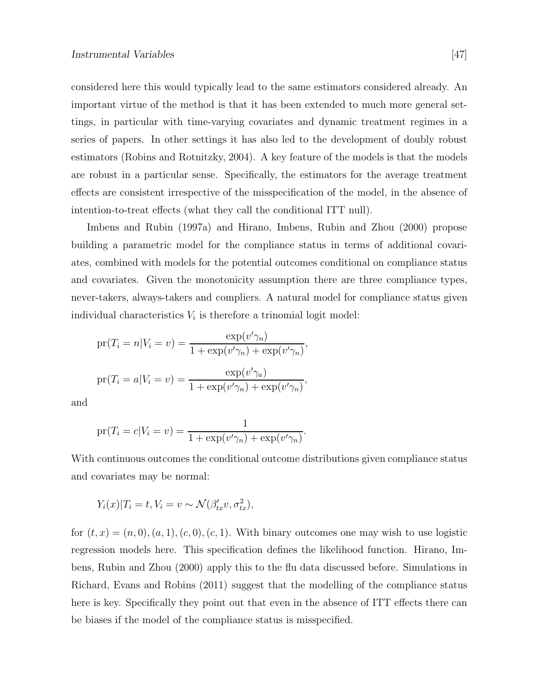considered here this would typically lead to the same estimators considered already. An important virtue of the method is that it has been extended to much more general settings, in particular with time-varying covariates and dynamic treatment regimes in a series of papers. In other settings it has also led to the development of doubly robust estimators (Robins and Rotnitzky, 2004). A key feature of the models is that the models are robust in a particular sense. Specifically, the estimators for the average treatment effects are consistent irrespective of the misspecification of the model, in the absence of intention-to-treat effects (what they call the conditional ITT null).

Imbens and Rubin (1997a) and Hirano, Imbens, Rubin and Zhou (2000) propose building a parametric model for the compliance status in terms of additional covariates, combined with models for the potential outcomes conditional on compliance status and covariates. Given the monotonicity assumption there are three compliance types, never-takers, always-takers and compliers. A natural model for compliance status given individual characteristics  $V_i$  is therefore a trinomial logit model:

$$
pr(T_i = n | V_i = v) = \frac{\exp(v'\gamma_n)}{1 + \exp(v'\gamma_n) + \exp(v'\gamma_n)},
$$

$$
pr(T_i = a | V_i = v) = \frac{\exp(v'\gamma_a)}{1 + \exp(v'\gamma_a) + \exp(v'\gamma_n)},
$$

and

$$
\text{pr}(T_i = c | V_i = v) = \frac{1}{1 + \exp(v'\gamma_n) + \exp(v'\gamma_n)}
$$

With continuous outcomes the conditional outcome distributions given compliance status and covariates may be normal:

.

$$
Y_i(x)|T_i = t, V_i = v \sim \mathcal{N}(\beta'_{tx}v, \sigma_{tx}^2),
$$

for  $(t, x) = (n, 0), (a, 1), (c, 0), (c, 1)$ . With binary outcomes one may wish to use logistic regression models here. This specification defines the likelihood function. Hirano, Imbens, Rubin and Zhou (2000) apply this to the flu data discussed before. Simulations in Richard, Evans and Robins (2011) suggest that the modelling of the compliance status here is key. Specifically they point out that even in the absence of ITT effects there can be biases if the model of the compliance status is misspecified.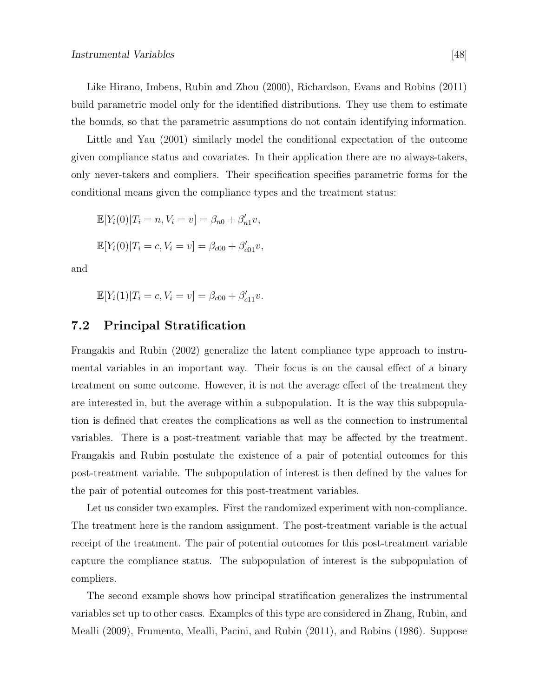Like Hirano, Imbens, Rubin and Zhou (2000), Richardson, Evans and Robins (2011) build parametric model only for the identified distributions. They use them to estimate the bounds, so that the parametric assumptions do not contain identifying information.

Little and Yau (2001) similarly model the conditional expectation of the outcome given compliance status and covariates. In their application there are no always-takers, only never-takers and compliers. Their specification specifies parametric forms for the conditional means given the compliance types and the treatment status:

$$
\mathbb{E}[Y_i(0)|T_i = n, V_i = v] = \beta_{n0} + \beta'_{n1}v,
$$
  

$$
\mathbb{E}[Y_i(0)|T_i = c, V_i = v] = \beta_{c00} + \beta'_{c01}v,
$$

and

$$
\mathbb{E}[Y_i(1)|T_i = c, V_i = v] = \beta_{c00} + \beta'_{c11}v.
$$

### 7.2 Principal Stratification

Frangakis and Rubin (2002) generalize the latent compliance type approach to instrumental variables in an important way. Their focus is on the causal effect of a binary treatment on some outcome. However, it is not the average effect of the treatment they are interested in, but the average within a subpopulation. It is the way this subpopulation is defined that creates the complications as well as the connection to instrumental variables. There is a post-treatment variable that may be affected by the treatment. Frangakis and Rubin postulate the existence of a pair of potential outcomes for this post-treatment variable. The subpopulation of interest is then defined by the values for the pair of potential outcomes for this post-treatment variables.

Let us consider two examples. First the randomized experiment with non-compliance. The treatment here is the random assignment. The post-treatment variable is the actual receipt of the treatment. The pair of potential outcomes for this post-treatment variable capture the compliance status. The subpopulation of interest is the subpopulation of compliers.

The second example shows how principal stratification generalizes the instrumental variables set up to other cases. Examples of this type are considered in Zhang, Rubin, and Mealli (2009), Frumento, Mealli, Pacini, and Rubin (2011), and Robins (1986). Suppose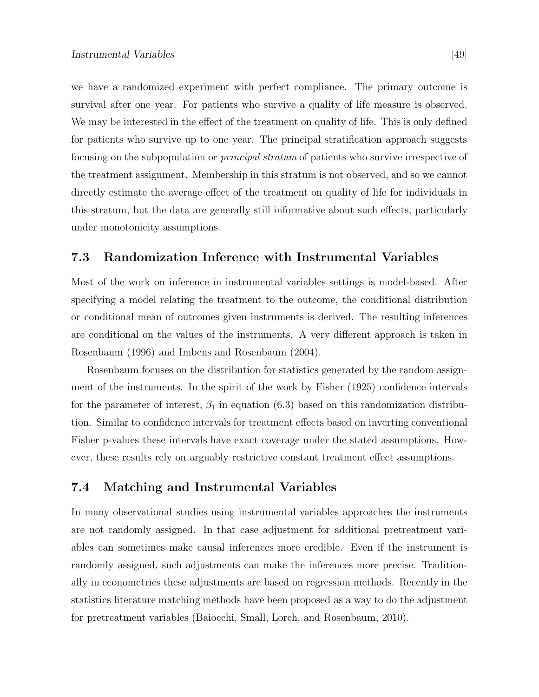we have a randomized experiment with perfect compliance. The primary outcome is survival after one year. For patients who survive a quality of life measure is observed. We may be interested in the effect of the treatment on quality of life. This is only defined for patients who survive up to one year. The principal stratification approach suggests focusing on the subpopulation or principal stratum of patients who survive irrespective of the treatment assignment. Membership in this stratum is not observed, and so we cannot directly estimate the average effect of the treatment on quality of life for individuals in this stratum, but the data are generally still informative about such effects, particularly under monotonicity assumptions.

#### 7.3 Randomization Inference with Instrumental Variables

Most of the work on inference in instrumental variables settings is model-based. After specifying a model relating the treatment to the outcome, the conditional distribution or conditional mean of outcomes given instruments is derived. The resulting inferences are conditional on the values of the instruments. A very different approach is taken in Rosenbaum (1996) and Imbens and Rosenbaum (2004).

Rosenbaum focuses on the distribution for statistics generated by the random assignment of the instruments. In the spirit of the work by Fisher (1925) confidence intervals for the parameter of interest,  $\beta_1$  in equation (6.3) based on this randomization distribution. Similar to confidence intervals for treatment effects based on inverting conventional Fisher p-values these intervals have exact coverage under the stated assumptions. However, these results rely on arguably restrictive constant treatment effect assumptions.

#### 7.4 Matching and Instrumental Variables

In many observational studies using instrumental variables approaches the instruments are not randomly assigned. In that case adjustment for additional pretreatment variables can sometimes make causal inferences more credible. Even if the instrument is randomly assigned, such adjustments can make the inferences more precise. Traditionally in econometrics these adjustments are based on regression methods. Recently in the statistics literature matching methods have been proposed as a way to do the adjustment for pretreatment variables (Baiocchi, Small, Lorch, and Rosenbaum, 2010).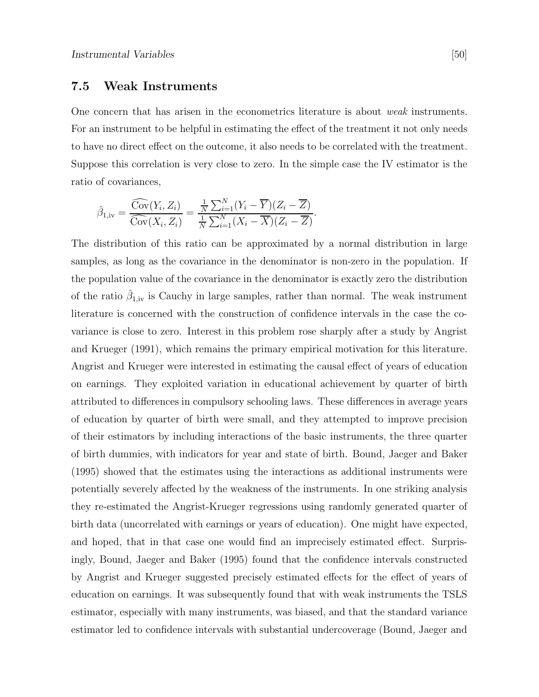#### 7.5 Weak Instruments

One concern that has arisen in the econometrics literature is about weak instruments. For an instrument to be helpful in estimating the effect of the treatment it not only needs to have no direct effect on the outcome, it also needs to be correlated with the treatment. Suppose this correlation is very close to zero. In the simple case the IV estimator is the ratio of covariances,

$$
\hat{\beta}_{1,\text{iv}} = \frac{\widehat{\text{Cov}}(Y_i, Z_i)}{\widehat{\text{Cov}}(X_i, Z_i)} = \frac{\frac{1}{N} \sum_{i=1}^N (Y_i - \overline{Y})(Z_i - \overline{Z})}{\frac{1}{N} \sum_{i=1}^N (X_i - \overline{X})(Z_i - \overline{Z})}.
$$

The distribution of this ratio can be approximated by a normal distribution in large samples, as long as the covariance in the denominator is non-zero in the population. If the population value of the covariance in the denominator is exactly zero the distribution of the ratio  $\hat{\beta}_{1,iv}$  is Cauchy in large samples, rather than normal. The weak instrument literature is concerned with the construction of confidence intervals in the case the covariance is close to zero. Interest in this problem rose sharply after a study by Angrist and Krueger (1991), which remains the primary empirical motivation for this literature. Angrist and Krueger were interested in estimating the causal effect of years of education on earnings. They exploited variation in educational achievement by quarter of birth attributed to differences in compulsory schooling laws. These differences in average years of education by quarter of birth were small, and they attempted to improve precision of their estimators by including interactions of the basic instruments, the three quarter of birth dummies, with indicators for year and state of birth. Bound, Jaeger and Baker (1995) showed that the estimates using the interactions as additional instruments were potentially severely affected by the weakness of the instruments. In one striking analysis they re-estimated the Angrist-Krueger regressions using randomly generated quarter of birth data (uncorrelated with earnings or years of education). One might have expected, and hoped, that in that case one would find an imprecisely estimated effect. Surprisingly, Bound, Jaeger and Baker (1995) found that the confidence intervals constructed by Angrist and Krueger suggested precisely estimated effects for the effect of years of education on earnings. It was subsequently found that with weak instruments the TSLS estimator, especially with many instruments, was biased, and that the standard variance estimator led to confidence intervals with substantial undercoverage (Bound, Jaeger and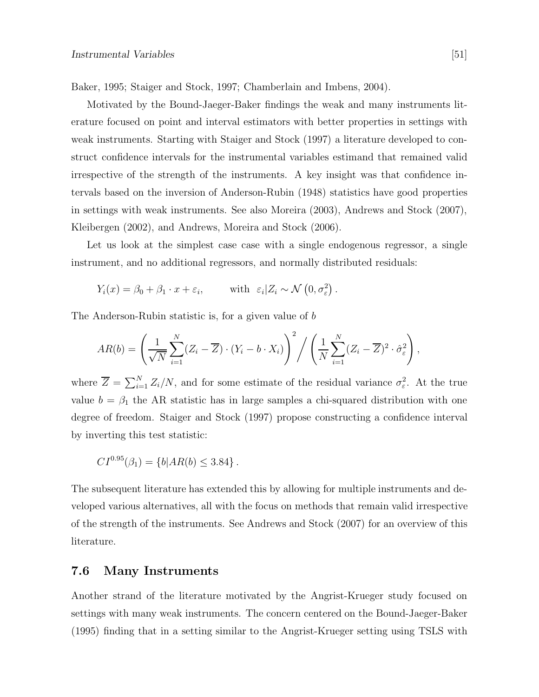Baker, 1995; Staiger and Stock, 1997; Chamberlain and Imbens, 2004).

Motivated by the Bound-Jaeger-Baker findings the weak and many instruments literature focused on point and interval estimators with better properties in settings with weak instruments. Starting with Staiger and Stock (1997) a literature developed to construct confidence intervals for the instrumental variables estimand that remained valid irrespective of the strength of the instruments. A key insight was that confidence intervals based on the inversion of Anderson-Rubin (1948) statistics have good properties in settings with weak instruments. See also Moreira (2003), Andrews and Stock (2007), Kleibergen (2002), and Andrews, Moreira and Stock (2006).

Let us look at the simplest case case with a single endogenous regressor, a single instrument, and no additional regressors, and normally distributed residuals:

$$
Y_i(x) = \beta_0 + \beta_1 \cdot x + \varepsilon_i
$$
, with  $\varepsilon_i | Z_i \sim \mathcal{N}(0, \sigma_{\varepsilon}^2)$ .

The Anderson-Rubin statistic is, for a given value of b

$$
AR(b) = \left(\frac{1}{\sqrt{N}} \sum_{i=1}^{N} (Z_i - \overline{Z}) \cdot (Y_i - b \cdot X_i)\right)^2 / \left(\frac{1}{N} \sum_{i=1}^{N} (Z_i - \overline{Z})^2 \cdot \hat{\sigma}_{\varepsilon}^2\right),
$$

where  $\overline{Z} = \sum_{i=1}^{N} Z_i/N$ , and for some estimate of the residual variance  $\sigma_{\varepsilon}^2$ ε . At the true value  $b = \beta_1$  the AR statistic has in large samples a chi-squared distribution with one degree of freedom. Staiger and Stock (1997) propose constructing a confidence interval by inverting this test statistic:

$$
CI^{0.95}(\beta_1) = \{b|AR(b) \le 3.84\}.
$$

The subsequent literature has extended this by allowing for multiple instruments and developed various alternatives, all with the focus on methods that remain valid irrespective of the strength of the instruments. See Andrews and Stock (2007) for an overview of this literature.

#### 7.6 Many Instruments

Another strand of the literature motivated by the Angrist-Krueger study focused on settings with many weak instruments. The concern centered on the Bound-Jaeger-Baker (1995) finding that in a setting similar to the Angrist-Krueger setting using TSLS with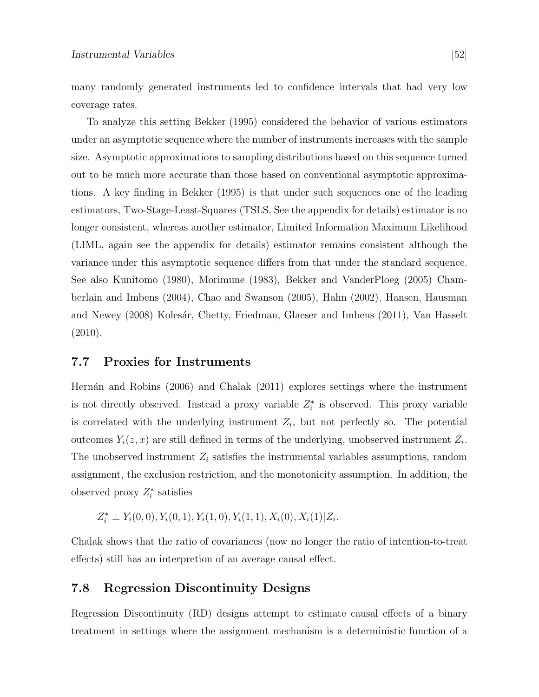many randomly generated instruments led to confidence intervals that had very low coverage rates.

To analyze this setting Bekker (1995) considered the behavior of various estimators under an asymptotic sequence where the number of instruments increases with the sample size. Asymptotic approximations to sampling distributions based on this sequence turned out to be much more accurate than those based on conventional asymptotic approximations. A key finding in Bekker (1995) is that under such sequences one of the leading estimators, Two-Stage-Least-Squares (TSLS, See the appendix for details) estimator is no longer consistent, whereas another estimator, Limited Information Maximum Likelihood (LIML, again see the appendix for details) estimator remains consistent although the variance under this asymptotic sequence differs from that under the standard sequence. See also Kunitomo (1980), Morimune (1983), Bekker and VanderPloeg (2005) Chamberlain and Imbens (2004), Chao and Swanson (2005), Hahn (2002), Hansen, Hausman and Newey (2008) Kolesár, Chetty, Friedman, Glaeser and Imbens (2011), Van Hasselt (2010).

#### 7.7 Proxies for Instruments

Hernán and Robins  $(2006)$  and Chalak  $(2011)$  explores settings where the instrument is not directly observed. Instead a proxy variable  $Z_i^*$  is observed. This proxy variable is correlated with the underlying instrument  $Z_i$ , but not perfectly so. The potential outcomes  $Y_i(z, x)$  are still defined in terms of the underlying, unobserved instrument  $Z_i$ . The unobserved instrument  $Z_i$  satisfies the instrumental variables assumptions, random assignment, the exclusion restriction, and the monotonicity assumption. In addition, the observed proxy  $Z_i^*$  satisfies

 $Z_i^* \perp Y_i(0,0), Y_i(0,1), Y_i(1,0), Y_i(1,1), X_i(0), X_i(1)|Z_i.$ 

Chalak shows that the ratio of covariances (now no longer the ratio of intention-to-treat effects) still has an interpretion of an average causal effect.

#### 7.8 Regression Discontinuity Designs

Regression Discontinuity (RD) designs attempt to estimate causal effects of a binary treatment in settings where the assignment mechanism is a deterministic function of a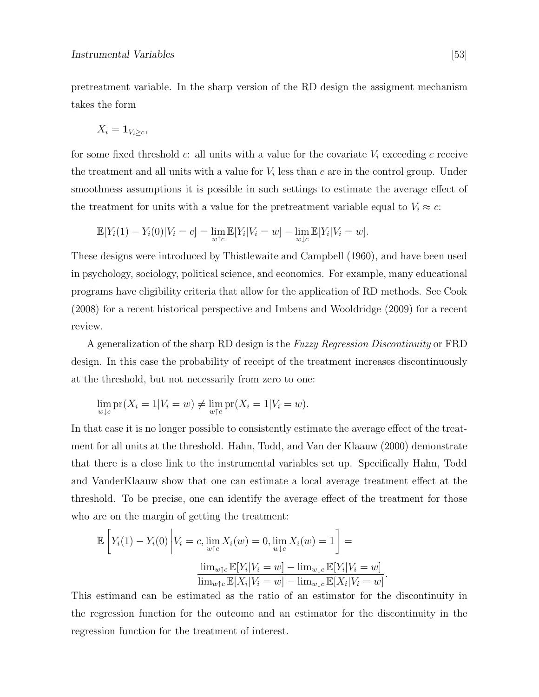pretreatment variable. In the sharp version of the RD design the assigment mechanism takes the form

$$
X_i = \mathbf{1}_{V_i \geq c},
$$

for some fixed threshold c: all units with a value for the covariate  $V_i$  exceeding c receive the treatment and all units with a value for  $V_i$  less than  $c$  are in the control group. Under smoothness assumptions it is possible in such settings to estimate the average effect of the treatment for units with a value for the pretreatment variable equal to  $V_i \approx c$ :

$$
\mathbb{E}[Y_i(1) - Y_i(0)|V_i = c] = \lim_{w \uparrow c} \mathbb{E}[Y_i|V_i = w] - \lim_{w \downarrow c} \mathbb{E}[Y_i|V_i = w].
$$

These designs were introduced by Thistlewaite and Campbell (1960), and have been used in psychology, sociology, political science, and economics. For example, many educational programs have eligibility criteria that allow for the application of RD methods. See Cook (2008) for a recent historical perspective and Imbens and Wooldridge (2009) for a recent review.

A generalization of the sharp RD design is the Fuzzy Regression Discontinuity or FRD design. In this case the probability of receipt of the treatment increases discontinuously at the threshold, but not necessarily from zero to one:

$$
\lim_{w \downarrow c} \text{pr}(X_i = 1 | V_i = w) \neq \lim_{w \uparrow c} \text{pr}(X_i = 1 | V_i = w).
$$

In that case it is no longer possible to consistently estimate the average effect of the treatment for all units at the threshold. Hahn, Todd, and Van der Klaauw (2000) demonstrate that there is a close link to the instrumental variables set up. Specifically Hahn, Todd and VanderKlaauw show that one can estimate a local average treatment effect at the threshold. To be precise, one can identify the average effect of the treatment for those who are on the margin of getting the treatment:

$$
\mathbb{E}\left[Y_i(1) - Y_i(0)\middle| V_i = c, \lim_{w \uparrow c} X_i(w) = 0, \lim_{w \downarrow c} X_i(w) = 1\right] =
$$

$$
\frac{\lim_{w \uparrow c} \mathbb{E}[Y_i|V_i = w] - \lim_{w \downarrow c} \mathbb{E}[Y_i|V_i = w]}{\lim_{w \uparrow c} \mathbb{E}[X_i|V_i = w] - \lim_{w \downarrow c} \mathbb{E}[X_i|V_i = w]}.
$$

This estimand can be estimated as the ratio of an estimator for the discontinuity in the regression function for the outcome and an estimator for the discontinuity in the regression function for the treatment of interest.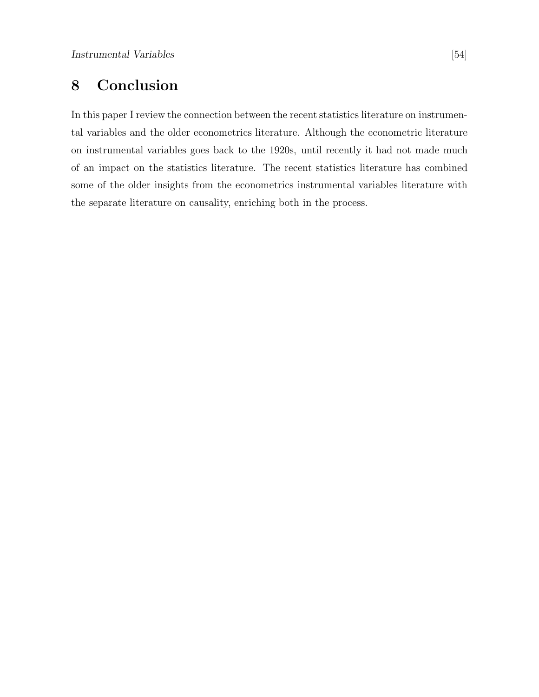## 8 Conclusion

In this paper I review the connection between the recent statistics literature on instrumental variables and the older econometrics literature. Although the econometric literature on instrumental variables goes back to the 1920s, until recently it had not made much of an impact on the statistics literature. The recent statistics literature has combined some of the older insights from the econometrics instrumental variables literature with the separate literature on causality, enriching both in the process.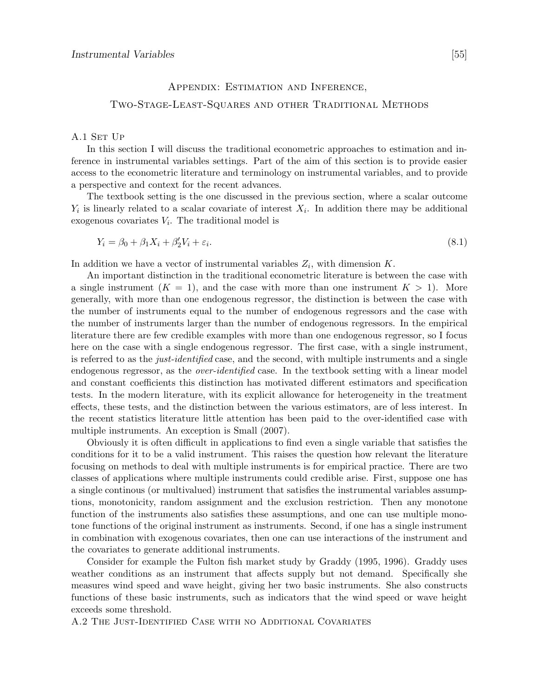# Appendix: Estimation and Inference,

#### Two-Stage-Least-Squares and other Traditional Methods

#### A.1 SET UP

In this section I will discuss the traditional econometric approaches to estimation and inference in instrumental variables settings. Part of the aim of this section is to provide easier access to the econometric literature and terminology on instrumental variables, and to provide a perspective and context for the recent advances.

The textbook setting is the one discussed in the previous section, where a scalar outcome  $Y_i$  is linearly related to a scalar covariate of interest  $X_i$ . In addition there may be additional exogenous covariates  $V_i$ . The traditional model is

$$
Y_i = \beta_0 + \beta_1 X_i + \beta_2' V_i + \varepsilon_i. \tag{8.1}
$$

In addition we have a vector of instrumental variables  $Z_i$ , with dimension K.

An important distinction in the traditional econometric literature is between the case with a single instrument  $(K = 1)$ , and the case with more than one instrument  $K > 1$ ). More generally, with more than one endogenous regressor, the distinction is between the case with the number of instruments equal to the number of endogenous regressors and the case with the number of instruments larger than the number of endogenous regressors. In the empirical literature there are few credible examples with more than one endogenous regressor, so I focus here on the case with a single endogenous regressor. The first case, with a single instrument, is referred to as the just-identified case, and the second, with multiple instruments and a single endogenous regressor, as the *over-identified* case. In the textbook setting with a linear model and constant coefficients this distinction has motivated different estimators and specification tests. In the modern literature, with its explicit allowance for heterogeneity in the treatment effects, these tests, and the distinction between the various estimators, are of less interest. In the recent statistics literature little attention has been paid to the over-identified case with multiple instruments. An exception is Small (2007).

Obviously it is often difficult in applications to find even a single variable that satisfies the conditions for it to be a valid instrument. This raises the question how relevant the literature focusing on methods to deal with multiple instruments is for empirical practice. There are two classes of applications where multiple instruments could credible arise. First, suppose one has a single continous (or multivalued) instrument that satisfies the instrumental variables assumptions, monotonicity, random assignment and the exclusion restriction. Then any monotone function of the instruments also satisfies these assumptions, and one can use multiple monotone functions of the original instrument as instruments. Second, if one has a single instrument in combination with exogenous covariates, then one can use interactions of the instrument and the covariates to generate additional instruments.

Consider for example the Fulton fish market study by Graddy (1995, 1996). Graddy uses weather conditions as an instrument that affects supply but not demand. Specifically she measures wind speed and wave height, giving her two basic instruments. She also constructs functions of these basic instruments, such as indicators that the wind speed or wave height exceeds some threshold.

A.2 The Just-Identified Case with no Additional Covariates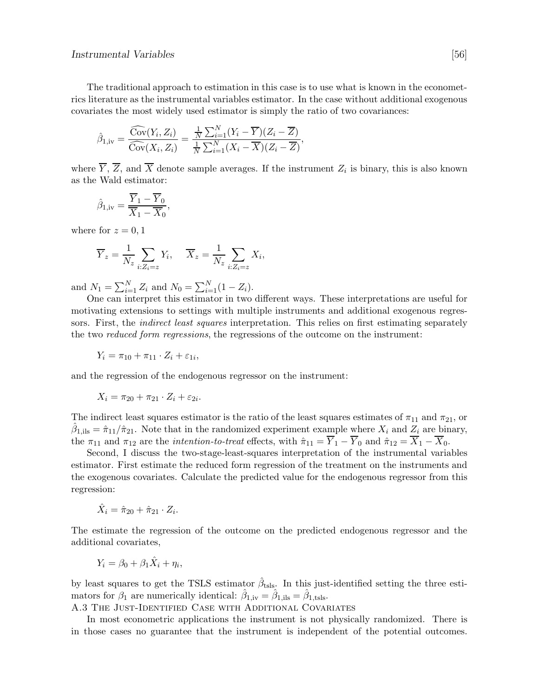The traditional approach to estimation in this case is to use what is known in the econometrics literature as the instrumental variables estimator. In the case without additional exogenous covariates the most widely used estimator is simply the ratio of two covariances:

$$
\hat{\beta}_{1,iv} = \frac{\widehat{\mathrm{Cov}}(Y_i, Z_i)}{\widehat{\mathrm{Cov}}(X_i, Z_i)} = \frac{\frac{1}{N} \sum_{i=1}^{N} (Y_i - \overline{Y})(Z_i - \overline{Z})}{\frac{1}{N} \sum_{i=1}^{N} (X_i - \overline{X})(Z_i - \overline{Z})},
$$

where Y, Z, and X denote sample averages. If the instrument  $Z_i$  is binary, this is also known as the Wald estimator:

$$
\hat{\beta}_{1, \text{iv}} = \frac{\overline{Y}_1 - \overline{Y}_0}{\overline{X}_1 - \overline{X}_0},
$$

where for  $z = 0, 1$ 

$$
\overline{Y}_z = \frac{1}{N_z} \sum_{i: Z_i = z} Y_i, \quad \overline{X}_z = \frac{1}{N_z} \sum_{i: Z_i = z} X_i,
$$

and  $N_1 = \sum_{i=1}^{N} Z_i$  and  $N_0 = \sum_{i=1}^{N} (1 - Z_i)$ .

One can interpret this estimator in two different ways. These interpretations are useful for motivating extensions to settings with multiple instruments and additional exogenous regressors. First, the *indirect least squares* interpretation. This relies on first estimating separately the two reduced form regressions, the regressions of the outcome on the instrument:

 $Y_i = \pi_{10} + \pi_{11} \cdot Z_i + \varepsilon_{1i},$ 

and the regression of the endogenous regressor on the instrument:

$$
X_i = \pi_{20} + \pi_{21} \cdot Z_i + \varepsilon_{2i}.
$$

The indirect least squares estimator is the ratio of the least squares estimates of  $\pi_{11}$  and  $\pi_{21}$ , or  $\hat{\beta}_{1, \text{ils}} = \hat{\pi}_{11}/\hat{\pi}_{21}$ . Note that in the randomized experiment example where  $X_i$  and  $Z_i$  are binary, the  $\pi_{11}$  and  $\pi_{12}$  are the *intention-to-treat* effects, with  $\hat{\pi}_{11} = \overline{Y}_1 - \overline{Y}_0$  and  $\hat{\pi}_{12} = \overline{X}_1 - \overline{X}_0$ .

Second, I discuss the two-stage-least-squares interpretation of the instrumental variables estimator. First estimate the reduced form regression of the treatment on the instruments and the exogenous covariates. Calculate the predicted value for the endogenous regressor from this regression:

$$
\hat{X}_i = \hat{\pi}_{20} + \hat{\pi}_{21} \cdot Z_i.
$$

The estimate the regression of the outcome on the predicted endogenous regressor and the additional covariates,

$$
Y_i = \beta_0 + \beta_1 \hat{X}_i + \eta_i,
$$

by least squares to get the TSLS estimator  $\hat{\beta}_{\text{tsls}}$ . In this just-identified setting the three estimators for  $\beta_1$  are numerically identical:  $\hat{\beta}_{1,iv} = \hat{\beta}_{1,ils} = \hat{\beta}_{1,tsls}$ .

A.3 The Just-Identified Case with Additional Covariates

In most econometric applications the instrument is not physically randomized. There is in those cases no guarantee that the instrument is independent of the potential outcomes.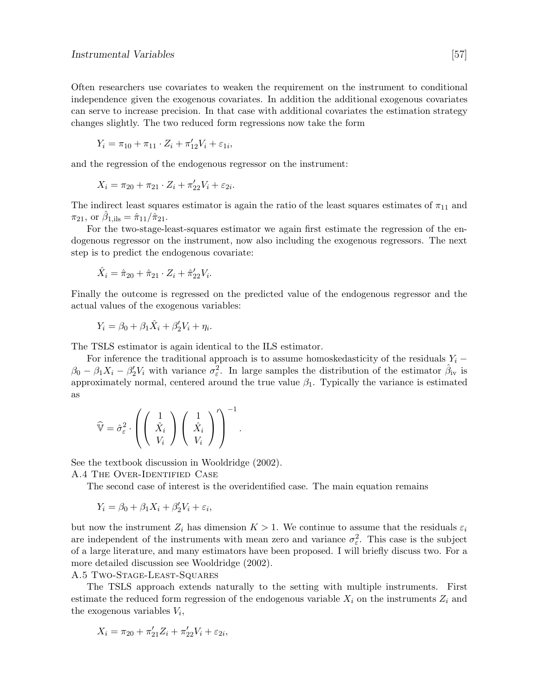Often researchers use covariates to weaken the requirement on the instrument to conditional independence given the exogenous covariates. In addition the additional exogenous covariates can serve to increase precision. In that case with additional covariates the estimation strategy changes slightly. The two reduced form regressions now take the form

$$
Y_i = \pi_{10} + \pi_{11} \cdot Z_i + \pi'_{12} V_i + \varepsilon_{1i},
$$

and the regression of the endogenous regressor on the instrument:

$$
X_i = \pi_{20} + \pi_{21} \cdot Z_i + \pi'_{22} V_i + \varepsilon_{2i}.
$$

The indirect least squares estimator is again the ratio of the least squares estimates of  $\pi_{11}$  and  $\pi_{21}$ , or  $\hat{\beta}_{1, \text{ils}} = \hat{\pi}_{11}/\hat{\pi}_{21}$ .

For the two-stage-least-squares estimator we again first estimate the regression of the endogenous regressor on the instrument, now also including the exogenous regressors. The next step is to predict the endogenous covariate:

$$
\hat{X}_i = \hat{\pi}_{20} + \hat{\pi}_{21} \cdot Z_i + \hat{\pi}'_{22} V_i.
$$

Finally the outcome is regressed on the predicted value of the endogenous regressor and the actual values of the exogenous variables:

$$
Y_i = \beta_0 + \beta_1 \hat{X}_i + \beta_2' V_i + \eta_i.
$$

The TSLS estimator is again identical to the ILS estimator.

For inference the traditional approach is to assume homoskedasticity of the residuals  $Y_i$  −  $\beta_0 - \beta_1 X_i - \beta_2' V_i$  with variance  $\sigma_{\varepsilon}^2$ <sup>2</sup>/<sub>ε</sub>. In large samples the distribution of the estimator  $\hat{\beta}_{iv}$  is approximately normal, centered around the true value  $\beta_1$ . Typically the variance is estimated as

$$
\widehat{\mathbb{V}} = \widehat{\sigma}_{\varepsilon}^{2} \cdot \left( \left( \begin{array}{c} 1 \\ \hat{X}_{i} \\ V_{i} \end{array} \right) \left( \begin{array}{c} 1 \\ \hat{X}_{i} \\ V_{i} \end{array} \right)^{\prime} \right)^{-1}
$$

See the textbook discussion in Wooldridge (2002).

A.4 The Over-Identified Case

The second case of interest is the overidentified case. The main equation remains

.

$$
Y_i = \beta_0 + \beta_1 X_i + \beta_2' V_i + \varepsilon_i,
$$

but now the instrument  $Z_i$  has dimension  $K > 1$ . We continue to assume that the residuals  $\varepsilon_i$ are independent of the instruments with mean zero and variance  $\sigma_{\varepsilon}^2$  $\frac{2}{\varepsilon}$ . This case is the subject of a large literature, and many estimators have been proposed. I will briefly discuss two. For a more detailed discussion see Wooldridge (2002).

A.5 Two-Stage-Least-Squares

The TSLS approach extends naturally to the setting with multiple instruments. First estimate the reduced form regression of the endogenous variable  $X_i$  on the instruments  $Z_i$  and the exogenous variables  $V_i$ ,

$$
X_i = \pi_{20} + \pi'_{21} Z_i + \pi'_{22} V_i + \varepsilon_{2i},
$$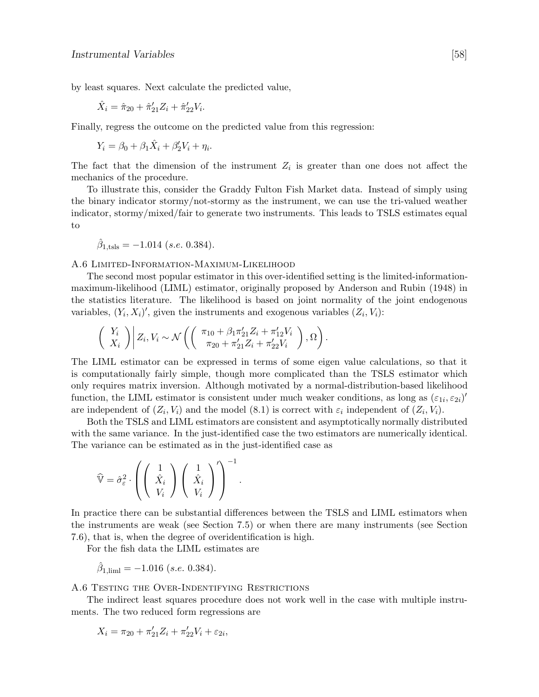by least squares. Next calculate the predicted value,

 $\hat{X}_i = \hat{\pi}_{20} + \hat{\pi}'_{21} Z_i + \hat{\pi}'_{22} V_i.$ 

Finally, regress the outcome on the predicted value from this regression:

$$
Y_i = \beta_0 + \beta_1 \hat{X}_i + \beta_2' V_i + \eta_i.
$$

The fact that the dimension of the instrument  $Z_i$  is greater than one does not affect the mechanics of the procedure.

To illustrate this, consider the Graddy Fulton Fish Market data. Instead of simply using the binary indicator stormy/not-stormy as the instrument, we can use the tri-valued weather indicator, stormy/mixed/fair to generate two instruments. This leads to TSLS estimates equal to

$$
\hat{\beta}_{1,\text{tsls}} = -1.014 \ (s.e. \ 0.384).
$$

A.6 Limited-Information-Maximum-Likelihood

The second most popular estimator in this over-identified setting is the limited-informationmaximum-likelihood (LIML) estimator, originally proposed by Anderson and Rubin (1948) in the statistics literature. The likelihood is based on joint normality of the joint endogenous variables,  $(Y_i, X_i)'$ , given the instruments and exogenous variables  $(Z_i, V_i)$ :

$$
\left(\begin{array}{c} Y_i \\ X_i \end{array}\right) \mid Z_i, V_i \sim \mathcal{N}\left(\left(\begin{array}{c} \pi_{10}+\beta_1\pi'_{21}Z_i+\pi'_{12}V_i \\ \pi_{20}+\pi'_{21}Z_i+\pi'_{22}V_i \end{array}\right), \Omega\right).
$$

The LIML estimator can be expressed in terms of some eigen value calculations, so that it is computationally fairly simple, though more complicated than the TSLS estimator which only requires matrix inversion. Although motivated by a normal-distribution-based likelihood function, the LIML estimator is consistent under much weaker conditions, as long as  $(\varepsilon_{1i}, \varepsilon_{2i})'$ are independent of  $(Z_i, V_i)$  and the model  $(8.1)$  is correct with  $\varepsilon_i$  independent of  $(Z_i, V_i)$ .

Both the TSLS and LIML estimators are consistent and asymptotically normally distributed with the same variance. In the just-identified case the two estimators are numerically identical. The variance can be estimated as in the just-identified case as

$$
\widehat{\mathbb{V}} = \widehat{\sigma}_{\varepsilon}^{2} \cdot \left( \left( \begin{array}{c} 1 \\ \hat{X}_{i} \\ V_{i} \end{array} \right) \left( \begin{array}{c} 1 \\ \hat{X}_{i} \\ V_{i} \end{array} \right)^{\prime} \right)^{-1}
$$

In practice there can be substantial differences between the TSLS and LIML estimators when the instruments are weak (see Section 7.5) or when there are many instruments (see Section 7.6), that is, when the degree of overidentification is high.

.

For the fish data the LIML estimates are

$$
\hat{\beta}_{1,\text{liml}} = -1.016 \ (s.e. \ 0.384).
$$

A.6 Testing the Over-Indentifying Restrictions

The indirect least squares procedure does not work well in the case with multiple instruments. The two reduced form regressions are

$$
X_i = \pi_{20} + \pi'_{21} Z_i + \pi'_{22} V_i + \varepsilon_{2i},
$$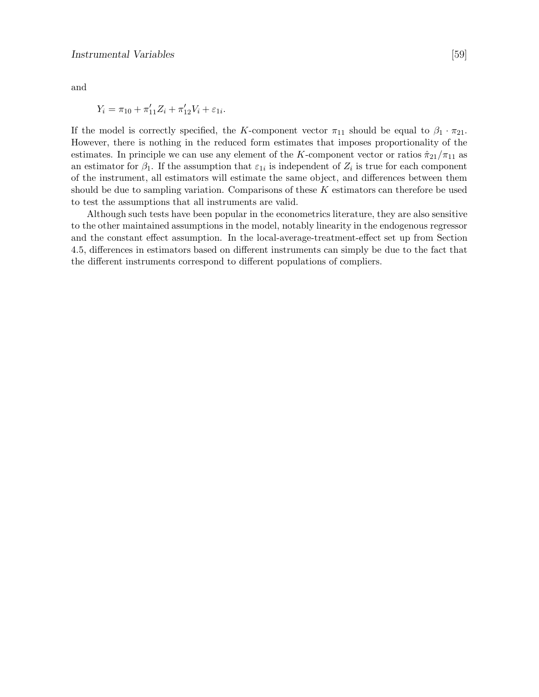and

$$
Y_i = \pi_{10} + \pi'_{11} Z_i + \pi'_{12} V_i + \varepsilon_{1i}.
$$

If the model is correctly specified, the K-component vector  $\pi_{11}$  should be equal to  $\beta_1 \cdot \pi_{21}$ . However, there is nothing in the reduced form estimates that imposes proportionality of the estimates. In principle we can use any element of the K-component vector or ratios  $\hat{\pi}_{21}/\pi_{11}$  as an estimator for  $\beta_1$ . If the assumption that  $\varepsilon_{1i}$  is independent of  $Z_i$  is true for each component of the instrument, all estimators will estimate the same object, and differences between them should be due to sampling variation. Comparisons of these K estimators can therefore be used to test the assumptions that all instruments are valid.

Although such tests have been popular in the econometrics literature, they are also sensitive to the other maintained assumptions in the model, notably linearity in the endogenous regressor and the constant effect assumption. In the local-average-treatment-effect set up from Section 4.5, differences in estimators based on different instruments can simply be due to the fact that the different instruments correspond to different populations of compliers.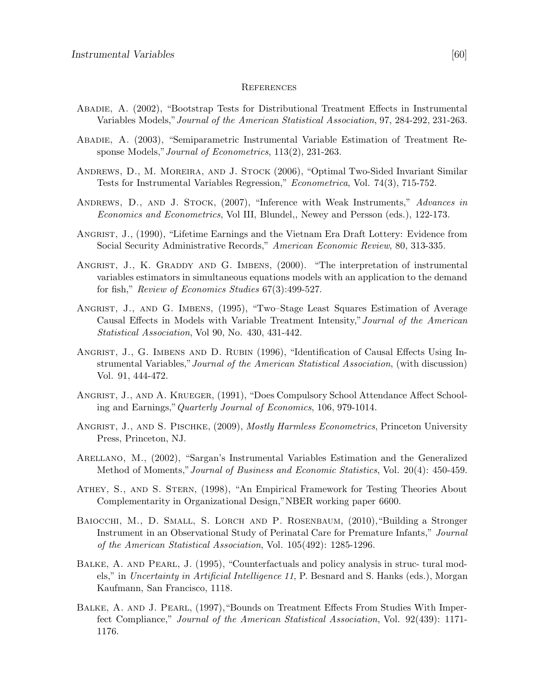#### **REFERENCES**

- Abadie, A. (2002), "Bootstrap Tests for Distributional Treatment Effects in Instrumental Variables Models,"Journal of the American Statistical Association, 97, 284-292, 231-263.
- Abadie, A. (2003), "Semiparametric Instrumental Variable Estimation of Treatment Response Models," Journal of Econometrics, 113(2), 231-263.
- Andrews, D., M. Moreira, and J. Stock (2006), "Optimal Two-Sided Invariant Similar Tests for Instrumental Variables Regression," Econometrica, Vol. 74(3), 715-752.
- ANDREWS, D., AND J. STOCK, (2007), "Inference with Weak Instruments," Advances in Economics and Econometrics, Vol III, Blundel,, Newey and Persson (eds.), 122-173.
- Angrist, J., (1990), "Lifetime Earnings and the Vietnam Era Draft Lottery: Evidence from Social Security Administrative Records," American Economic Review, 80, 313-335.
- ANGRIST, J., K. GRADDY AND G. IMBENS, (2000). "The interpretation of instrumental variables estimators in simultaneous equations models with an application to the demand for fish," Review of Economics Studies 67(3):499-527.
- Angrist, J., and G. Imbens, (1995), "Two–Stage Least Squares Estimation of Average Causal Effects in Models with Variable Treatment Intensity,"Journal of the American Statistical Association, Vol 90, No. 430, 431-442.
- ANGRIST, J., G. IMBENS AND D. RUBIN (1996), "Identification of Causal Effects Using Instrumental Variables,"Journal of the American Statistical Association, (with discussion) Vol. 91, 444-472.
- Angrist, J., and A. Krueger, (1991), "Does Compulsory School Attendance Affect Schooling and Earnings,"Quarterly Journal of Economics, 106, 979-1014.
- ANGRIST, J., AND S. PISCHKE, (2009), *Mostly Harmless Econometrics*, Princeton University Press, Princeton, NJ.
- Arellano, M., (2002), "Sargan's Instrumental Variables Estimation and the Generalized Method of Moments," Journal of Business and Economic Statistics, Vol. 20(4): 450-459.
- Athey, S., and S. Stern, (1998), "An Empirical Framework for Testing Theories About Complementarity in Organizational Design,"NBER working paper 6600.
- BAIOCCHI, M., D. SMALL, S. LORCH AND P. ROSENBAUM, (2010), "Building a Stronger Instrument in an Observational Study of Perinatal Care for Premature Infants," Journal of the American Statistical Association, Vol. 105(492): 1285-1296.
- BALKE, A. AND PEARL, J. (1995), "Counterfactuals and policy analysis in struc- tural models," in Uncertainty in Artificial Intelligence 11, P. Besnard and S. Hanks (eds.), Morgan Kaufmann, San Francisco, 1118.
- BALKE, A. AND J. PEARL, (1997), "Bounds on Treatment Effects From Studies With Imperfect Compliance," Journal of the American Statistical Association, Vol. 92(439): 1171- 1176.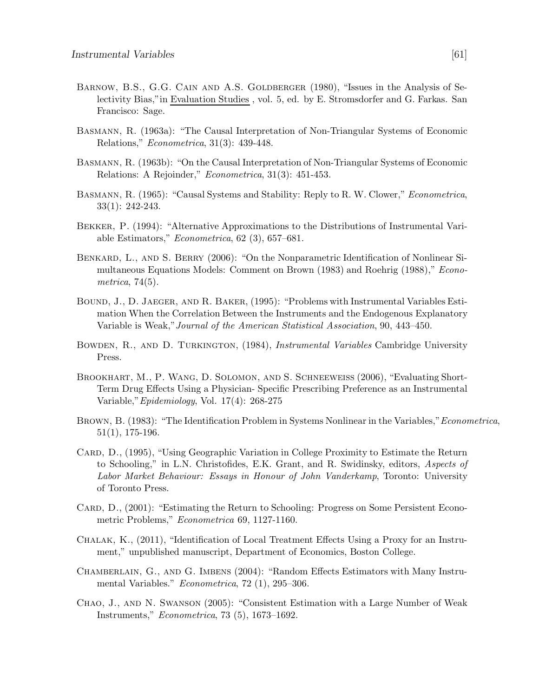- BARNOW, B.S., G.G. CAIN AND A.S. GOLDBERGER (1980), "Issues in the Analysis of Selectivity Bias,"in Evaluation Studies , vol. 5, ed. by E. Stromsdorfer and G. Farkas. San Francisco: Sage.
- Basmann, R. (1963a): "The Causal Interpretation of Non-Triangular Systems of Economic Relations," Econometrica, 31(3): 439-448.
- Basmann, R. (1963b): "On the Causal Interpretation of Non-Triangular Systems of Economic Relations: A Rejoinder," Econometrica, 31(3): 451-453.
- Basmann, R. (1965): "Causal Systems and Stability: Reply to R. W. Clower," Econometrica, 33(1): 242-243.
- Bekker, P. (1994): "Alternative Approximations to the Distributions of Instrumental Variable Estimators," Econometrica, 62 (3), 657–681.
- BENKARD, L., AND S. BERRY (2006): "On the Nonparametric Identification of Nonlinear Simultaneous Equations Models: Comment on Brown (1983) and Roehrig (1988)," Econometrica, 74(5).
- BOUND, J., D. JAEGER, AND R. BAKER, (1995): "Problems with Instrumental Variables Estimation When the Correlation Between the Instruments and the Endogenous Explanatory Variable is Weak,"Journal of the American Statistical Association, 90, 443–450.
- BOWDEN, R., AND D. TURKINGTON, (1984), *Instrumental Variables* Cambridge University Press.
- Brookhart, M., P. Wang, D. Solomon, and S. Schneeweiss (2006), "Evaluating Short-Term Drug Effects Using a Physician- Specific Prescribing Preference as an Instrumental Variable,"Epidemiology, Vol. 17(4): 268-275
- Brown, B. (1983): "The Identification Problem in Systems Nonlinear in the Variables,"Econometrica, 51(1), 175-196.
- CARD, D., (1995), "Using Geographic Variation in College Proximity to Estimate the Return to Schooling," in L.N. Christofides, E.K. Grant, and R. Swidinsky, editors, Aspects of Labor Market Behaviour: Essays in Honour of John Vanderkamp, Toronto: University of Toronto Press.
- CARD, D., (2001): "Estimating the Return to Schooling: Progress on Some Persistent Econometric Problems," Econometrica 69, 1127-1160.
- Chalak, K., (2011), "Identification of Local Treatment Effects Using a Proxy for an Instrument," unpublished manuscript, Department of Economics, Boston College.
- Chamberlain, G., and G. Imbens (2004): "Random Effects Estimators with Many Instrumental Variables."  $Econometrica$ , 72 $(1)$ , 295-306.
- Chao, J., and N. Swanson (2005): "Consistent Estimation with a Large Number of Weak Instruments," Econometrica, 73 (5), 1673–1692.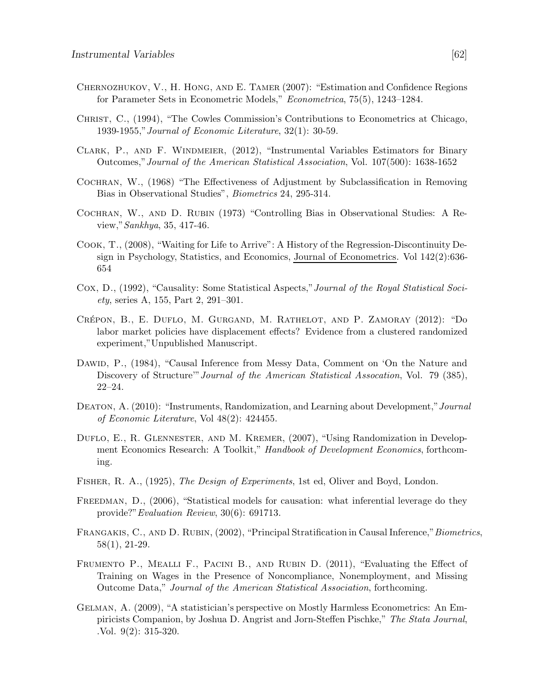- Chernozhukov, V., H. Hong, and E. Tamer (2007): "Estimation and Confidence Regions for Parameter Sets in Econometric Models," Econometrica, 75(5), 1243–1284.
- CHRIST, C., (1994), "The Cowles Commission's Contributions to Econometrics at Chicago, 1939-1955,"Journal of Economic Literature, 32(1): 30-59.
- Clark, P., and F. Windmeier, (2012), "Instrumental Variables Estimators for Binary Outcomes,"Journal of the American Statistical Association, Vol. 107(500): 1638-1652
- Cochran, W., (1968) "The Effectiveness of Adjustment by Subclassification in Removing Bias in Observational Studies", Biometrics 24, 295-314.
- Cochran, W., and D. Rubin (1973) "Controlling Bias in Observational Studies: A Review,"Sankhya, 35, 417-46.
- Cook, T., (2008), "Waiting for Life to Arrive": A History of the Regression-Discontinuity Design in Psychology, Statistics, and Economics, Journal of Econometrics. Vol 142(2):636- 654
- Cox, D., (1992), "Causality: Some Statistical Aspects,"Journal of the Royal Statistical Society, series A, 155, Part 2, 291–301.
- CRÉPON, B., E. DUFLO, M. GURGAND, M. RATHELOT, AND P. ZAMORAY (2012): "Do labor market policies have displacement effects? Evidence from a clustered randomized experiment,"Unpublished Manuscript.
- DAWID, P., (1984), "Causal Inference from Messy Data, Comment on 'On the Nature and Discovery of Structure''' Journal of the American Statistical Assocation, Vol. 79 (385), 22–24.
- DEATON, A. (2010): "Instruments, Randomization, and Learning about Development," Journal of Economic Literature, Vol 48(2): 424455.
- Duflo, E., R. Glennester, and M. Kremer, (2007), "Using Randomization in Development Economics Research: A Toolkit," Handbook of Development Economics, forthcoming.
- Fisher, R. A., (1925), The Design of Experiments, 1st ed, Oliver and Boyd, London.
- FREEDMAN, D.,  $(2006)$ , "Statistical models for causation: what inferential leverage do they provide?"Evaluation Review, 30(6): 691713.
- Frangakis, C., and D. Rubin, (2002), "Principal Stratification in Causal Inference,"Biometrics, 58(1), 21-29.
- FRUMENTO P., MEALLI F., PACINI B., AND RUBIN D. (2011), "Evaluating the Effect of Training on Wages in the Presence of Noncompliance, Nonemployment, and Missing Outcome Data," Journal of the American Statistical Association, forthcoming.
- Gelman, A. (2009), "A statistician's perspective on Mostly Harmless Econometrics: An Empiricists Companion, by Joshua D. Angrist and Jorn-Steffen Pischke," The Stata Journal, .Vol. 9(2): 315-320.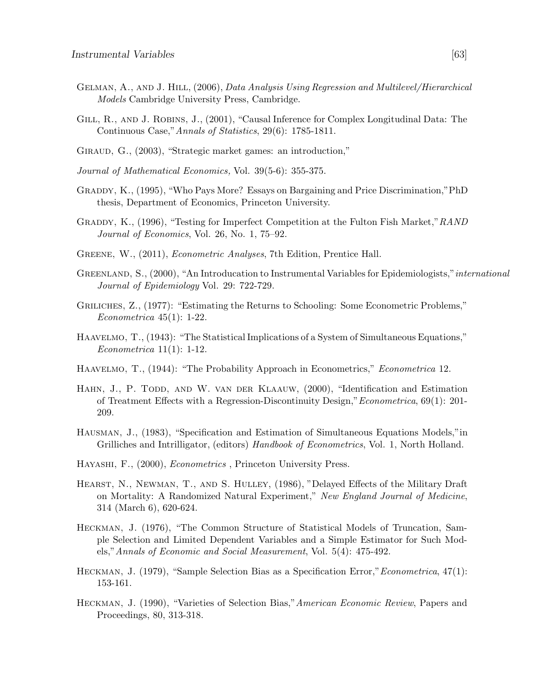- Gelman, A., and J. Hill, (2006), Data Analysis Using Regression and Multilevel/Hierarchical Models Cambridge University Press, Cambridge.
- GILL, R., AND J. ROBINS, J., (2001), "Causal Inference for Complex Longitudinal Data: The Continuous Case,"Annals of Statistics, 29(6): 1785-1811.
- GIRAUD, G.,  $(2003)$ , "Strategic market games: an introduction,"
- Journal of Mathematical Economics, Vol. 39(5-6): 355-375.
- Graddy, K., (1995), "Who Pays More? Essays on Bargaining and Price Discrimination,"PhD thesis, Department of Economics, Princeton University.
- GRADDY, K., (1996), "Testing for Imperfect Competition at the Fulton Fish Market," RAND Journal of Economics, Vol. 26, No. 1, 75–92.
- GREENE, W., (2011), *Econometric Analyses*, 7th Edition, Prentice Hall.
- GREENLAND, S., (2000), "An Introducation to Instrumental Variables for Epidemiologists," international Journal of Epidemiology Vol. 29: 722-729.
- GRILICHES, Z., (1977): "Estimating the Returns to Schooling: Some Econometric Problems," Econometrica 45(1): 1-22.
- Haavelmo, T., (1943): "The Statistical Implications of a System of Simultaneous Equations," Econometrica 11(1): 1-12.
- Haavelmo, T., (1944): "The Probability Approach in Econometrics," Econometrica 12.
- HAHN, J., P. TODD, AND W. VAN DER KLAAUW, (2000), "Identification and Estimation of Treatment Effects with a Regression-Discontinuity Design,"Econometrica, 69(1): 201- 209.
- Hausman, J., (1983), "Specification and Estimation of Simultaneous Equations Models,"in Grilliches and Intrilligator, (editors) Handbook of Econometrics, Vol. 1, North Holland.
- HAYASHI, F., (2000), *Econometrics*, Princeton University Press.
- HEARST, N., NEWMAN, T., AND S. HULLEY, (1986), "Delayed Effects of the Military Draft on Mortality: A Randomized Natural Experiment," New England Journal of Medicine, 314 (March 6), 620-624.
- Heckman, J. (1976), "The Common Structure of Statistical Models of Truncation, Sample Selection and Limited Dependent Variables and a Simple Estimator for Such Models,"Annals of Economic and Social Measurement, Vol. 5(4): 475-492.
- HECKMAN, J. (1979), "Sample Selection Bias as a Specification Error," Econometrica, 47(1): 153-161.
- Heckman, J. (1990), "Varieties of Selection Bias,"American Economic Review, Papers and Proceedings, 80, 313-318.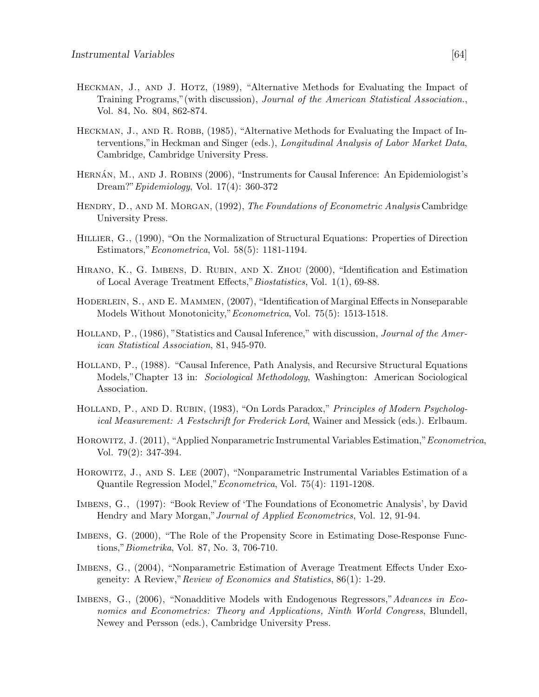- HECKMAN, J., AND J. HOTZ, (1989), "Alternative Methods for Evaluating the Impact of Training Programs,"(with discussion), Journal of the American Statistical Association., Vol. 84, No. 804, 862-874.
- HECKMAN, J., AND R. ROBB, (1985), "Alternative Methods for Evaluating the Impact of Interventions,"in Heckman and Singer (eds.), Longitudinal Analysis of Labor Market Data, Cambridge, Cambridge University Press.
- HERNÁN, M., AND J. ROBINS (2006), "Instruments for Causal Inference: An Epidemiologist's Dream?"Epidemiology, Vol. 17(4): 360-372
- HENDRY, D., AND M. MORGAN, (1992), The Foundations of Econometric Analysis Cambridge University Press.
- Hillier, G., (1990), "On the Normalization of Structural Equations: Properties of Direction Estimators,"Econometrica, Vol. 58(5): 1181-1194.
- Hirano, K., G. Imbens, D. Rubin, and X. Zhou (2000), "Identification and Estimation of Local Average Treatment Effects,"Biostatistics, Vol. 1(1), 69-88.
- Hoderlein, S., and E. Mammen, (2007), "Identification of Marginal Effects in Nonseparable Models Without Monotonicity,"Econometrica, Vol. 75(5): 1513-1518.
- HOLLAND, P., (1986), "Statistics and Causal Inference," with discussion, *Journal of the Amer*ican Statistical Association, 81, 945-970.
- Holland, P., (1988). "Causal Inference, Path Analysis, and Recursive Structural Equations Models,"Chapter 13 in: Sociological Methodology, Washington: American Sociological Association.
- HOLLAND, P., AND D. RUBIN, (1983), "On Lords Paradox," *Principles of Modern Psycholog*ical Measurement: A Festschrift for Frederick Lord, Wainer and Messick (eds.). Erlbaum.
- Horowitz, J. (2011), "Applied Nonparametric Instrumental Variables Estimation,"Econometrica, Vol. 79(2): 347-394.
- Horowitz, J., and S. Lee (2007), "Nonparametric Instrumental Variables Estimation of a Quantile Regression Model,"Econometrica, Vol. 75(4): 1191-1208.
- Imbens, G., (1997): "Book Review of 'The Foundations of Econometric Analysis', by David Hendry and Mary Morgan,"Journal of Applied Econometrics, Vol. 12, 91-94.
- IMBENS, G. (2000), "The Role of the Propensity Score in Estimating Dose-Response Functions,"Biometrika, Vol. 87, No. 3, 706-710.
- IMBENS, G.,  $(2004)$ , "Nonparametric Estimation of Average Treatment Effects Under Exogeneity: A Review," Review of Economics and Statistics, 86(1): 1-29.
- IMBENS, G., (2006), "Nonadditive Models with Endogenous Regressors," Advances in Economics and Econometrics: Theory and Applications, Ninth World Congress, Blundell, Newey and Persson (eds.), Cambridge University Press.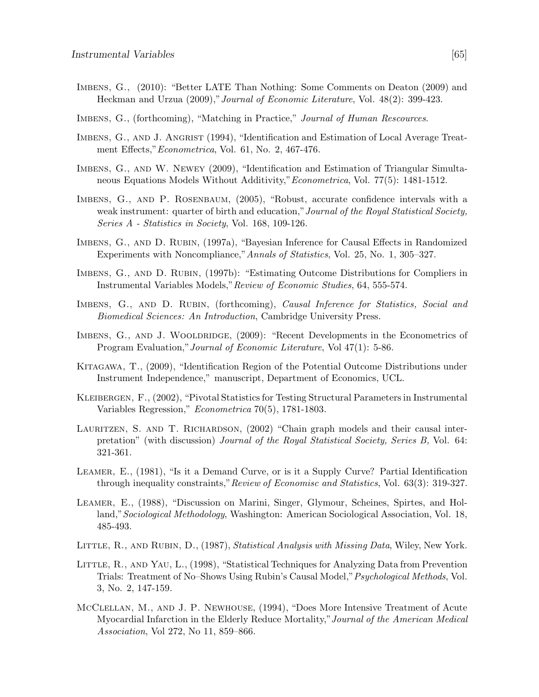- IMBENS, G., (2010): "Better LATE Than Nothing: Some Comments on Deaton (2009) and Heckman and Urzua (2009),"Journal of Economic Literature, Vol. 48(2): 399-423.
- IMBENS, G., (forthcoming), "Matching in Practice," Journal of Human Rescources.
- IMBENS, G., AND J. ANGRIST (1994), "Identification and Estimation of Local Average Treatment Effects,"Econometrica, Vol. 61, No. 2, 467-476.
- Imbens, G., and W. Newey (2009), "Identification and Estimation of Triangular Simultaneous Equations Models Without Additivity,"Econometrica, Vol. 77(5): 1481-1512.
- IMBENS, G., AND P. ROSENBAUM, (2005), "Robust, accurate confidence intervals with a weak instrument: quarter of birth and education," Journal of the Royal Statistical Society, Series A - Statistics in Society, Vol. 168, 109-126.
- Imbens, G., and D. Rubin, (1997a), "Bayesian Inference for Causal Effects in Randomized Experiments with Noncompliance,"Annals of Statistics, Vol. 25, No. 1, 305–327.
- IMBENS, G., AND D. RUBIN, (1997b): "Estimating Outcome Distributions for Compliers in Instrumental Variables Models,"Review of Economic Studies, 64, 555-574.
- IMBENS, G., AND D. RUBIN, (forthcoming), Causal Inference for Statistics, Social and Biomedical Sciences: An Introduction, Cambridge University Press.
- IMBENS, G., AND J. WOOLDRIDGE, (2009): "Recent Developments in the Econometrics of Program Evaluation," Journal of Economic Literature, Vol 47(1): 5-86.
- Kitagawa, T., (2009), "Identification Region of the Potential Outcome Distributions under Instrument Independence," manuscript, Department of Economics, UCL.
- Kleibergen, F., (2002), "Pivotal Statistics for Testing Structural Parameters in Instrumental Variables Regression," Econometrica 70(5), 1781-1803.
- LAURITZEN, S. AND T. RICHARDSON, (2002) "Chain graph models and their causal interpretation" (with discussion) Journal of the Royal Statistical Society, Series B, Vol. 64: 321-361.
- Leamer, E., (1981), "Is it a Demand Curve, or is it a Supply Curve? Partial Identification through inequality constraints," Review of Economisc and Statistics, Vol. 63(3): 319-327.
- Leamer, E., (1988), "Discussion on Marini, Singer, Glymour, Scheines, Spirtes, and Holland,"Sociological Methodology, Washington: American Sociological Association, Vol. 18, 485-493.
- LITTLE, R., AND RUBIN, D., (1987), Statistical Analysis with Missing Data, Wiley, New York.
- LITTLE, R., AND YAU, L., (1998), "Statistical Techniques for Analyzing Data from Prevention Trials: Treatment of No–Shows Using Rubin's Causal Model,"Psychological Methods, Vol. 3, No. 2, 147-159.
- McClellan, M., and J. P. Newhouse, (1994), "Does More Intensive Treatment of Acute Myocardial Infarction in the Elderly Reduce Mortality," Journal of the American Medical Association, Vol 272, No 11, 859–866.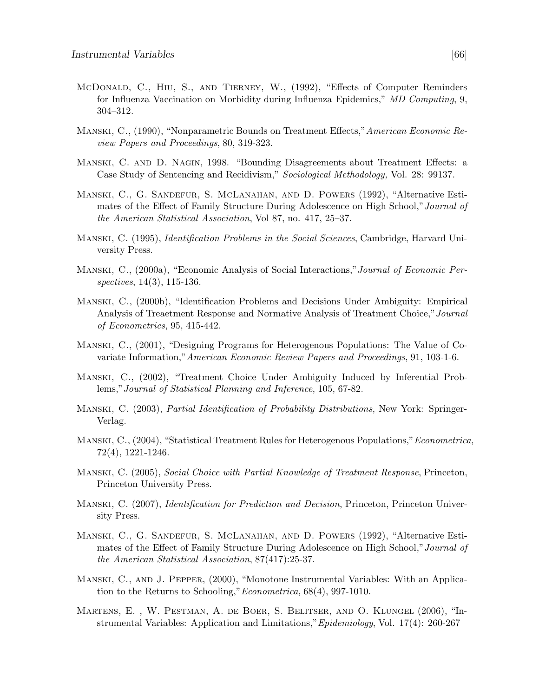- McDonald, C., Hiu, S., and Tierney, W., (1992), "Effects of Computer Reminders for Influenza Vaccination on Morbidity during Influenza Epidemics," MD Computing, 9, 304–312.
- Manski, C., (1990), "Nonparametric Bounds on Treatment Effects,"American Economic Review Papers and Proceedings, 80, 319-323.
- Manski, C. and D. Nagin, 1998. "Bounding Disagreements about Treatment Effects: a Case Study of Sentencing and Recidivism," Sociological Methodology, Vol. 28: 99137.
- Manski, C., G. Sandefur, S. McLanahan, and D. Powers (1992), "Alternative Estimates of the Effect of Family Structure During Adolescence on High School," Journal of the American Statistical Association, Vol 87, no. 417, 25–37.
- Manski, C. (1995), Identification Problems in the Social Sciences, Cambridge, Harvard University Press.
- Manski, C., (2000a), "Economic Analysis of Social Interactions,"Journal of Economic Perspectives, 14(3), 115-136.
- Manski, C., (2000b), "Identification Problems and Decisions Under Ambiguity: Empirical Analysis of Treaetment Response and Normative Analysis of Treatment Choice,"Journal of Econometrics, 95, 415-442.
- Manski, C., (2001), "Designing Programs for Heterogenous Populations: The Value of Covariate Information,"American Economic Review Papers and Proceedings, 91, 103-1-6.
- Manski, C., (2002), "Treatment Choice Under Ambiguity Induced by Inferential Problems,"Journal of Statistical Planning and Inference, 105, 67-82.
- Manski, C. (2003), Partial Identification of Probability Distributions, New York: Springer-Verlag.
- Manski, C., (2004), "Statistical Treatment Rules for Heterogenous Populations,"Econometrica, 72(4), 1221-1246.
- Manski, C. (2005), Social Choice with Partial Knowledge of Treatment Response, Princeton, Princeton University Press.
- Manski, C. (2007), Identification for Prediction and Decision, Princeton, Princeton University Press.
- Manski, C., G. Sandefur, S. McLanahan, and D. Powers (1992), "Alternative Estimates of the Effect of Family Structure During Adolescence on High School," Journal of the American Statistical Association, 87(417):25-37.
- Manski, C., and J. Pepper, (2000), "Monotone Instrumental Variables: With an Application to the Returns to Schooling,"Econometrica, 68(4), 997-1010.
- Martens, E. , W. Pestman, A. de Boer, S. Belitser, and O. Klungel (2006), "Instrumental Variables: Application and Limitations," *Epidemiology*, Vol. 17(4): 260-267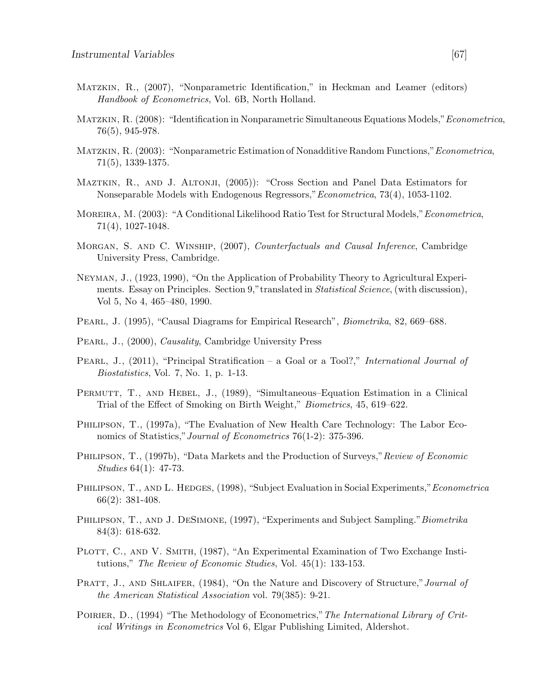- Matzkin, R., (2007), "Nonparametric Identification," in Heckman and Leamer (editors) Handbook of Econometrics, Vol. 6B, North Holland.
- Matzkin, R. (2008): "Identification in Nonparametric Simultaneous Equations Models,"Econometrica, 76(5), 945-978.
- Matzkin, R. (2003): "Nonparametric Estimation of Nonadditive Random Functions,"Econometrica, 71(5), 1339-1375.
- Maztkin, R., and J. Altonji, (2005)): "Cross Section and Panel Data Estimators for Nonseparable Models with Endogenous Regressors,"Econometrica, 73(4), 1053-1102.
- Moreira, M. (2003): "A Conditional Likelihood Ratio Test for Structural Models,"Econometrica, 71(4), 1027-1048.
- Morgan, S. and C. Winship, (2007), Counterfactuals and Causal Inference, Cambridge University Press, Cambridge.
- Neyman, J., (1923, 1990), "On the Application of Probability Theory to Agricultural Experiments. Essay on Principles. Section 9,"translated in *Statistical Science*, (with discussion), Vol 5, No 4, 465–480, 1990.
- Pearl, J. (1995), "Causal Diagrams for Empirical Research", Biometrika, 82, 669–688.
- PEARL, J., (2000), *Causality*, Cambridge University Press
- PEARL, J., (2011), "Principal Stratification a Goal or a Tool?," International Journal of Biostatistics, Vol. 7, No. 1, p. 1-13.
- PERMUTT, T., AND HEBEL, J., (1989), "Simultaneous–Equation Estimation in a Clinical Trial of the Effect of Smoking on Birth Weight," Biometrics, 45, 619–622.
- Philipson, T., (1997a), "The Evaluation of New Health Care Technology: The Labor Economics of Statistics," Journal of Econometrics 76(1-2): 375-396.
- PHILIPSON, T., (1997b), "Data Markets and the Production of Surveys," Review of Economic Studies 64(1): 47-73.
- PHILIPSON, T., AND L. HEDGES, (1998), "Subject Evaluation in Social Experiments," Econometrica 66(2): 381-408.
- PHILIPSON, T., AND J. DESIMONE, (1997), "Experiments and Subject Sampling." Biometrika 84(3): 618-632.
- PLOTT, C., AND V. SMITH, (1987), "An Experimental Examination of Two Exchange Institutions," The Review of Economic Studies, Vol. 45(1): 133-153.
- PRATT, J., AND SHLAIFER, (1984), "On the Nature and Discovery of Structure," Journal of the American Statistical Association vol. 79(385): 9-21.
- POIRIER, D., (1994) "The Methodology of Econometrics," The International Library of Critical Writings in Econometrics Vol 6, Elgar Publishing Limited, Aldershot.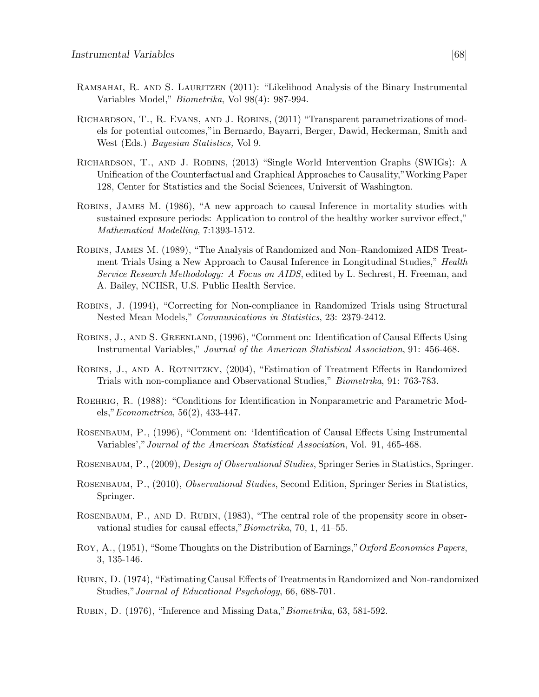- Ramsahai, R. and S. Lauritzen (2011): "Likelihood Analysis of the Binary Instrumental Variables Model," Biometrika, Vol 98(4): 987-994.
- Richardson, T., R. Evans, and J. Robins, (2011) "Transparent parametrizations of models for potential outcomes,"in Bernardo, Bayarri, Berger, Dawid, Heckerman, Smith and West (Eds.) Bayesian Statistics, Vol 9.
- Richardson, T., and J. Robins, (2013) "Single World Intervention Graphs (SWIGs): A Unification of the Counterfactual and Graphical Approaches to Causality,"Working Paper 128, Center for Statistics and the Social Sciences, Universit of Washington.
- ROBINS, JAMES M. (1986), "A new approach to causal Inference in mortality studies with sustained exposure periods: Application to control of the healthy worker survivor effect," Mathematical Modelling, 7:1393-1512.
- Robins, James M. (1989), "The Analysis of Randomized and Non–Randomized AIDS Treatment Trials Using a New Approach to Causal Inference in Longitudinal Studies," *Health* Service Research Methodology: A Focus on AIDS, edited by L. Sechrest, H. Freeman, and A. Bailey, NCHSR, U.S. Public Health Service.
- Robins, J. (1994), "Correcting for Non-compliance in Randomized Trials using Structural Nested Mean Models," Communications in Statistics, 23: 2379-2412.
- Robins, J., and S. Greenland, (1996), "Comment on: Identification of Causal Effects Using Instrumental Variables," Journal of the American Statistical Association, 91: 456-468.
- Robins, J., and A. Rotnitzky, (2004), "Estimation of Treatment Effects in Randomized Trials with non-compliance and Observational Studies," Biometrika, 91: 763-783.
- ROEHRIG, R. (1988): "Conditions for Identification in Nonparametric and Parametric Models,"Econometrica, 56(2), 433-447.
- Rosenbaum, P., (1996), "Comment on: 'Identification of Causal Effects Using Instrumental Variables',"Journal of the American Statistical Association, Vol. 91, 465-468.
- Rosenbaum, P., (2009), Design of Observational Studies, Springer Series in Statistics, Springer.
- Rosenbaum, P., (2010), Observational Studies, Second Edition, Springer Series in Statistics, Springer.
- ROSENBAUM, P., AND D. RUBIN, (1983), "The central role of the propensity score in observational studies for causal effects,"Biometrika, 70, 1, 41–55.
- Roy, A., (1951), "Some Thoughts on the Distribution of Earnings," Oxford Economics Papers, 3, 135-146.
- Rubin, D. (1974), "Estimating Causal Effects of Treatments in Randomized and Non-randomized Studies,"Journal of Educational Psychology, 66, 688-701.
- Rubin, D. (1976), "Inference and Missing Data,"Biometrika, 63, 581-592.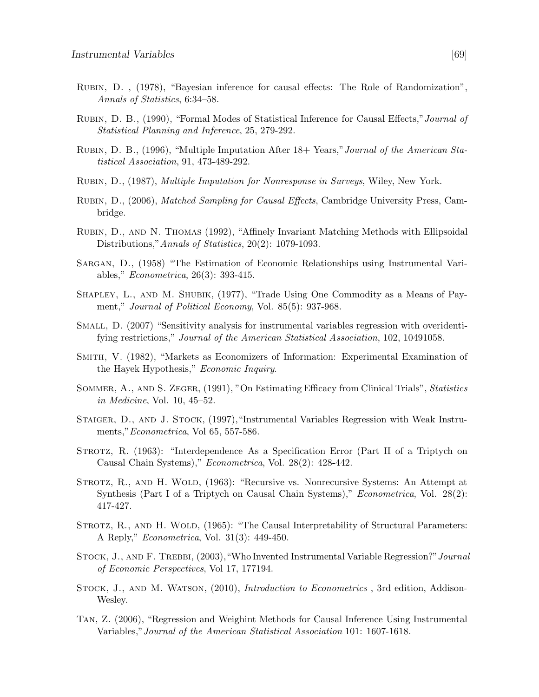- Rubin, D. , (1978), "Bayesian inference for causal effects: The Role of Randomization", Annals of Statistics, 6:34–58.
- Rubin, D. B., (1990), "Formal Modes of Statistical Inference for Causal Effects,"Journal of Statistical Planning and Inference, 25, 279-292.
- Rubin, D. B., (1996), "Multiple Imputation After 18+ Years,"Journal of the American Statistical Association, 91, 473-489-292.
- Rubin, D., (1987), Multiple Imputation for Nonresponse in Surveys, Wiley, New York.
- Rubin, D., (2006), Matched Sampling for Causal Effects, Cambridge University Press, Cambridge.
- Rubin, D., and N. Thomas (1992), "Affinely Invariant Matching Methods with Ellipsoidal Distributions," Annals of Statistics, 20(2): 1079-1093.
- Sargan, D., (1958) "The Estimation of Economic Relationships using Instrumental Variables," Econometrica, 26(3): 393-415.
- SHAPLEY, L., AND M. SHUBIK, (1977), "Trade Using One Commodity as a Means of Payment," Journal of Political Economy, Vol. 85(5): 937-968.
- Small, D. (2007) "Sensitivity analysis for instrumental variables regression with overidentifying restrictions," Journal of the American Statistical Association, 102, 10491058.
- Smith, V. (1982), "Markets as Economizers of Information: Experimental Examination of the Hayek Hypothesis," Economic Inquiry.
- SOMMER, A., AND S. ZEGER, (1991), "On Estimating Efficacy from Clinical Trials", Statistics in Medicine, Vol. 10, 45–52.
- Staiger, D., and J. Stock, (1997),"Instrumental Variables Regression with Weak Instruments," *Econometrica*, Vol 65, 557-586.
- STROTZ, R. (1963): "Interdependence As a Specification Error (Part II of a Triptych on Causal Chain Systems)," Econometrica, Vol. 28(2): 428-442.
- STROTZ, R., AND H. WOLD, (1963): "Recursive vs. Nonrecursive Systems: An Attempt at Synthesis (Part I of a Triptych on Causal Chain Systems)," *Econometrica*, Vol. 28(2): 417-427.
- STROTZ, R., AND H. WOLD, (1965): "The Causal Interpretability of Structural Parameters: A Reply," Econometrica, Vol. 31(3): 449-450.
- STOCK, J., AND F. TREBBI, (2003), "Who Invented Instrumental Variable Regression?" Journal of Economic Perspectives, Vol 17, 177194.
- STOCK, J., AND M. WATSON, (2010), *Introduction to Econometrics*, 3rd edition, Addison-Wesley.
- Tan, Z. (2006), "Regression and Weighint Methods for Causal Inference Using Instrumental Variables,"Journal of the American Statistical Association 101: 1607-1618.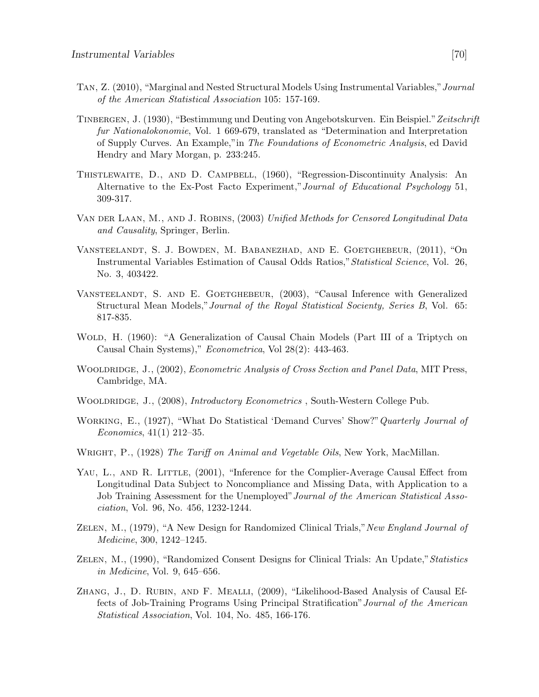- Tan, Z. (2010), "Marginal and Nested Structural Models Using Instrumental Variables,"Journal of the American Statistical Association 105: 157-169.
- Tinbergen, J. (1930), "Bestimmung und Deuting von Angebotskurven. Ein Beispiel."Zeitschrift fur Nationalokonomie, Vol. 1 669-679, translated as "Determination and Interpretation of Supply Curves. An Example,"in The Foundations of Econometric Analysis, ed David Hendry and Mary Morgan, p. 233:245.
- Thistlewaite, D., and D. Campbell, (1960), "Regression-Discontinuity Analysis: An Alternative to the Ex-Post Facto Experiment,"Journal of Educational Psychology 51, 309-317.
- VAN DER LAAN, M., AND J. ROBINS, (2003) Unified Methods for Censored Longitudinal Data and Causality, Springer, Berlin.
- Vansteelandt, S. J. Bowden, M. Babanezhad, and E. Goetghebeur, (2011), "On Instrumental Variables Estimation of Causal Odds Ratios,"Statistical Science, Vol. 26, No. 3, 403422.
- VANSTEELANDT, S. AND E. GOETGHEBEUR, (2003), "Causal Inference with Generalized Structural Mean Models,"Journal of the Royal Statistical Socienty, Series B, Vol. 65: 817-835.
- Wold, H. (1960): "A Generalization of Causal Chain Models (Part III of a Triptych on Causal Chain Systems)," Econometrica, Vol 28(2): 443-463.
- WOOLDRIDGE, J., (2002), *Econometric Analysis of Cross Section and Panel Data*, MIT Press, Cambridge, MA.
- Wooldridge, J., (2008), Introductory Econometrics , South-Western College Pub.
- WORKING, E., (1927), "What Do Statistical 'Demand Curves' Show?" Quarterly Journal of Economics, 41(1) 212–35.
- WRIGHT, P., (1928) The Tariff on Animal and Vegetable Oils, New York, MacMillan.
- YAU, L., AND R. LITTLE, (2001), "Inference for the Complier-Average Causal Effect from Longitudinal Data Subject to Noncompliance and Missing Data, with Application to a Job Training Assessment for the Unemployed" Journal of the American Statistical Association, Vol. 96, No. 456, 1232-1244.
- ZELEN, M., (1979), "A New Design for Randomized Clinical Trials," New England Journal of Medicine, 300, 1242–1245.
- ZELEN, M., (1990), "Randomized Consent Designs for Clinical Trials: An Update," Statistics in Medicine, Vol. 9, 645–656.
- Zhang, J., D. Rubin, and F. Mealli, (2009), "Likelihood-Based Analysis of Causal Effects of Job-Training Programs Using Principal Stratification"Journal of the American Statistical Association, Vol. 104, No. 485, 166-176.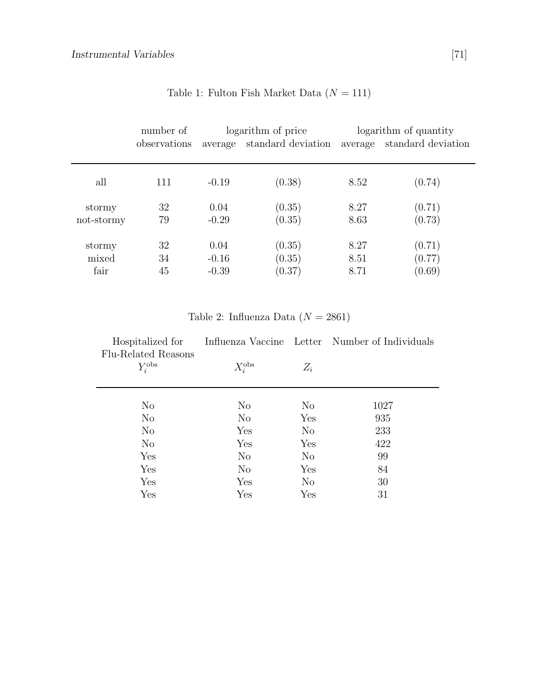|            | number of    | logarithm of price |                    | logarithm of quantity |                    |
|------------|--------------|--------------------|--------------------|-----------------------|--------------------|
|            | observations | average            | standard deviation | average               | standard deviation |
|            |              |                    |                    |                       |                    |
| all        | 111          | $-0.19$            | (0.38)             | 8.52                  | (0.74)             |
|            |              |                    |                    | 8.27                  |                    |
| stormy     | 32           | 0.04               | (0.35)             |                       | (0.71)             |
| not-stormy | 79           | $-0.29$            | (0.35)             | 8.63                  | (0.73)             |
|            |              |                    |                    |                       |                    |
| stormy     | 32           | 0.04               | (0.35)             | 8.27                  | (0.71)             |
| mixed      | 34           | $-0.16$            | (0.35)             | 8.51                  | (0.77)             |
| fair       | 45           | $-0.39$            | (0.37)             | 8.71                  | (0.69)             |

Table 1: Fulton Fish Market Data  $\left(N=111\right)$ 

Table 2: Influenza Data ( $N = 2861$ )

| Hospitalized for    |                    |                | Influenza Vaccine Letter Number of Individuals |  |
|---------------------|--------------------|----------------|------------------------------------------------|--|
| Flu-Related Reasons |                    |                |                                                |  |
| $Y_i^{\text{obs}}$  | $X_i^{\text{obs}}$ | $Z_i$          |                                                |  |
|                     |                    |                |                                                |  |
| $\rm No$            | N <sub>o</sub>     | N <sub>o</sub> | 1027                                           |  |
| $\rm No$            | $\rm No$           | Yes            | 935                                            |  |
| $\rm No$            | Yes                | $\rm No$       | 233                                            |  |
| $\rm No$            | Yes                | Yes            | 422                                            |  |
| Yes                 | N <sub>o</sub>     | $\rm No$       | 99                                             |  |
| Yes                 | N <sub>o</sub>     | Yes            | 84                                             |  |
| Yes                 | Yes                | $\rm No$       | 30                                             |  |
| Yes                 | Yes                | Yes            | 31                                             |  |